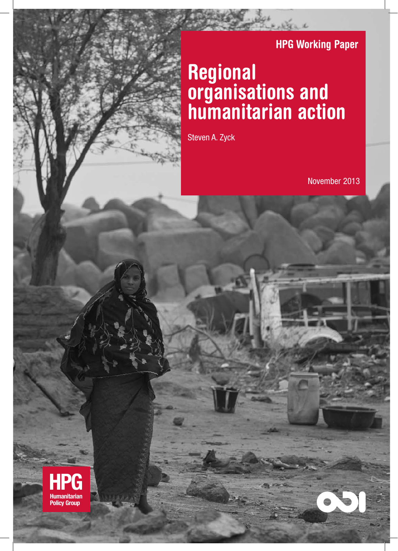## **HPG Working Paper**

# **Regional organisations and humanitarian action**

Steven A. Zyck

November 2013

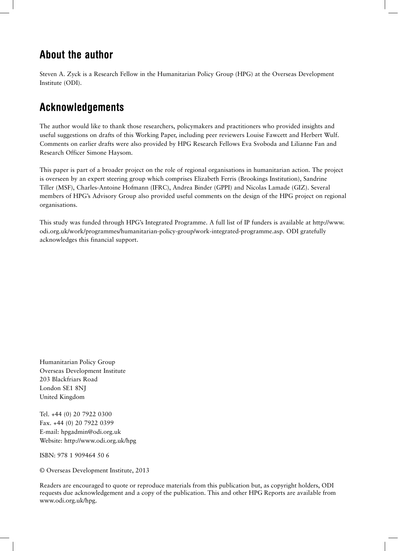# **About the author**

Steven A. Zyck is a Research Fellow in the Humanitarian Policy Group (HPG) at the Overseas Development Institute (ODI).

# **Acknowledgements**

The author would like to thank those researchers, policymakers and practitioners who provided insights and useful suggestions on drafts of this Working Paper, including peer reviewers Louise Fawcett and Herbert Wulf. Comments on earlier drafts were also provided by HPG Research Fellows Eva Svoboda and Lilianne Fan and Research Officer Simone Haysom.

This paper is part of a broader project on the role of regional organisations in humanitarian action. The project is overseen by an expert steering group which comprises Elizabeth Ferris (Brookings Institution), Sandrine Tiller (MSF), Charles-Antoine Hofmann (IFRC), Andrea Binder (GPPI) and Nicolas Lamade (GIZ). Several members of HPG's Advisory Group also provided useful comments on the design of the HPG project on regional organisations.

This study was funded through HPG's Integrated Programme. A full list of IP funders is available at http://www. odi.org.uk/work/programmes/humanitarian-policy-group/work-integrated-programme.asp. ODI gratefully acknowledges this financial support.

Humanitarian Policy Group Overseas Development Institute 203 Blackfriars Road London SE1 8NJ United Kingdom

Tel. +44 (0) 20 7922 0300 Fax. +44 (0) 20 7922 0399 E-mail: hpgadmin@odi.org.uk Website: http://www.odi.org.uk/hpg

ISBN: 978 1 909464 50 6

© Overseas Development Institute, 2013

Readers are encouraged to quote or reproduce materials from this publication but, as copyright holders, ODI requests due acknowledgement and a copy of the publication. This and other HPG Reports are available from www.odi.org.uk/hpg.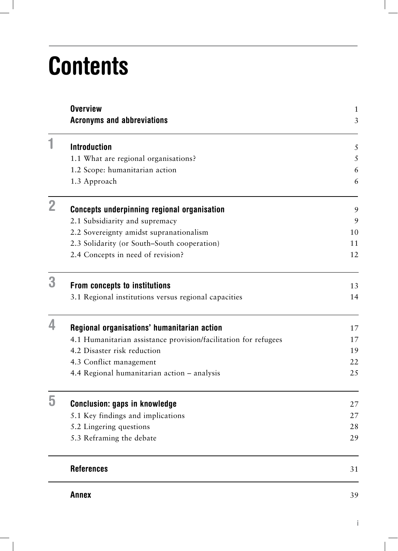# **Contents**

| <b>Overview</b><br><b>Acronyms and abbreviations</b>            | 1<br>3 |
|-----------------------------------------------------------------|--------|
|                                                                 |        |
| <b>Introduction</b>                                             | 5      |
| 1.1 What are regional organisations?                            | 5      |
| 1.2 Scope: humanitarian action                                  | 6      |
| 1.3 Approach                                                    | 6      |
| <b>Concepts underpinning regional organisation</b>              | 9      |
| 2.1 Subsidiarity and supremacy                                  | 9      |
| 2.2 Sovereignty amidst supranationalism                         | 10     |
| 2.3 Solidarity (or South-South cooperation)                     | 11     |
| 2.4 Concepts in need of revision?                               | 12     |
| From concepts to institutions                                   | 13     |
| 3.1 Regional institutions versus regional capacities            | 14     |
| Regional organisations' humanitarian action                     | 17     |
| 4.1 Humanitarian assistance provision/facilitation for refugees | 17     |
| 4.2 Disaster risk reduction                                     | 19     |
| 4.3 Conflict management                                         | 22     |
| 4.4 Regional humanitarian action - analysis                     | 25     |
| <b>Conclusion: gaps in knowledge</b>                            | 27     |
| 5.1 Key findings and implications                               | 27     |
| 5.2 Lingering questions                                         | 28     |
| 5.3 Reframing the debate                                        | 29     |
| <b>References</b>                                               | 31     |
| <b>Annex</b>                                                    | 39     |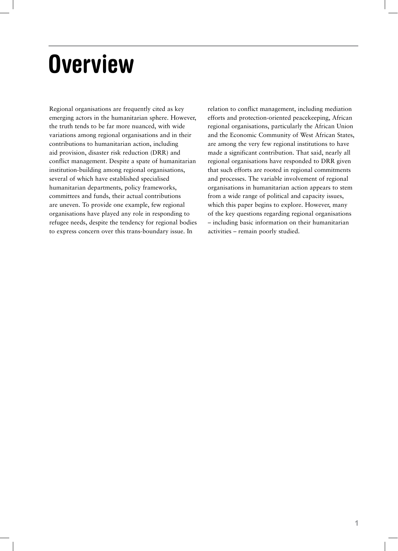# **Overview**

Regional organisations are frequently cited as key emerging actors in the humanitarian sphere. However, the truth tends to be far more nuanced, with wide variations among regional organisations and in their contributions to humanitarian action, including aid provision, disaster risk reduction (DRR) and conflict management. Despite a spate of humanitarian institution-building among regional organisations, several of which have established specialised humanitarian departments, policy frameworks, committees and funds, their actual contributions are uneven. To provide one example, few regional organisations have played any role in responding to refugee needs, despite the tendency for regional bodies to express concern over this trans-boundary issue. In

relation to conflict management, including mediation efforts and protection-oriented peacekeeping, African regional organisations, particularly the African Union and the Economic Community of West African States, are among the very few regional institutions to have made a significant contribution. That said, nearly all regional organisations have responded to DRR given that such efforts are rooted in regional commitments and processes. The variable involvement of regional organisations in humanitarian action appears to stem from a wide range of political and capacity issues, which this paper begins to explore. However, many of the key questions regarding regional organisations – including basic information on their humanitarian activities – remain poorly studied.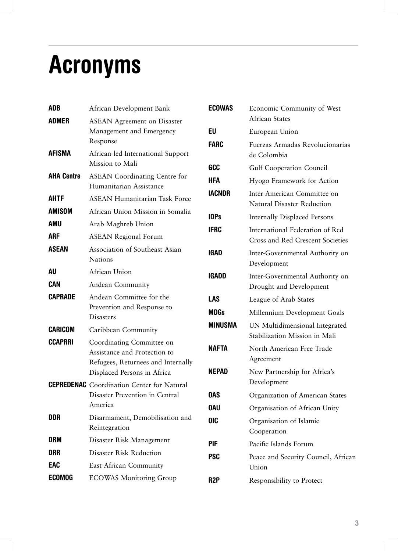# **Acronyms**

| ADB               | African Development Bank                                          |
|-------------------|-------------------------------------------------------------------|
| <b>ADMER</b>      | <b>ASEAN Agreement on Disaster</b>                                |
|                   | Management and Emergency                                          |
|                   | Response                                                          |
| AFISMA            | African-led International Support                                 |
|                   | Mission to Mali                                                   |
| <b>AHA Centre</b> | <b>ASEAN</b> Coordinating Centre for                              |
|                   | Humanitarian Assistance                                           |
| <b>AHTF</b>       | <b>ASEAN Humanitarian Task Force</b>                              |
| AMISOM            | African Union Mission in Somalia                                  |
| AMU               | Arab Maghreb Union                                                |
| ARF               | <b>ASEAN Regional Forum</b>                                       |
| <b>ASEAN</b>      | Association of Southeast Asian                                    |
|                   | <b>Nations</b>                                                    |
| AU                | African Union                                                     |
| <b>CAN</b>        | <b>Andean Community</b>                                           |
| <b>CAPRADE</b>    | Andean Committee for the                                          |
|                   | Prevention and Response to                                        |
|                   | <b>Disasters</b>                                                  |
| <b>CARICOM</b>    | Caribbean Community                                               |
| <b>CCAPRRI</b>    | Coordinating Committee on                                         |
|                   | Assistance and Protection to                                      |
|                   | Refugees, Returnees and Internally<br>Displaced Persons in Africa |
|                   | <b>CEPREDENAC</b> Coordination Center for Natural                 |
|                   | Disaster Prevention in Central                                    |
|                   | America                                                           |
| <b>DDR</b>        | Disarmament, Demobilisation and                                   |
|                   | Reintegration                                                     |
| <b>DRM</b>        | Disaster Risk Management                                          |
| DRR               | <b>Disaster Risk Reduction</b>                                    |
| <b>EAC</b>        | East African Community                                            |
| <b>ECOMOG</b>     | <b>ECOWAS Monitoring Group</b>                                    |

| <b>ECOWAS</b>  | Economic Community of West<br>African States                               |
|----------------|----------------------------------------------------------------------------|
| EU             | European Union                                                             |
| <b>FARC</b>    | Fuerzas Armadas Revolucionarias<br>de Colombia                             |
| GCC            | <b>Gulf Cooperation Council</b>                                            |
| HFA            | Hyogo Framework for Action                                                 |
| <b>IACNDR</b>  | Inter-American Committee on<br><b>Natural Disaster Reduction</b>           |
| <b>IDPs</b>    | <b>Internally Displaced Persons</b>                                        |
| <b>IFRC</b>    | International Federation of Red<br><b>Cross and Red Crescent Societies</b> |
| <b>IGAD</b>    | Inter-Governmental Authority on<br>Development                             |
| <b>IGADD</b>   | Inter-Governmental Authority on<br>Drought and Development                 |
| LAS            | League of Arab States                                                      |
| <b>MDGs</b>    | Millennium Development Goals                                               |
| <b>MINUSMA</b> | UN Multidimensional Integrated<br>Stabilization Mission in Mali            |
| <b>NAFTA</b>   | North American Free Trade<br>Agreement                                     |
| <b>NEPAD</b>   | New Partnership for Africa's<br>Development                                |
| <b>OAS</b>     | Organization of American States                                            |
| 0AU            | Organisation of African Unity                                              |
| <b>OIC</b>     | Organisation of Islamic<br>Cooperation                                     |
| PIF            | Pacific Islands Forum                                                      |
|                |                                                                            |
| PSC            | Peace and Security Council, African<br>Union                               |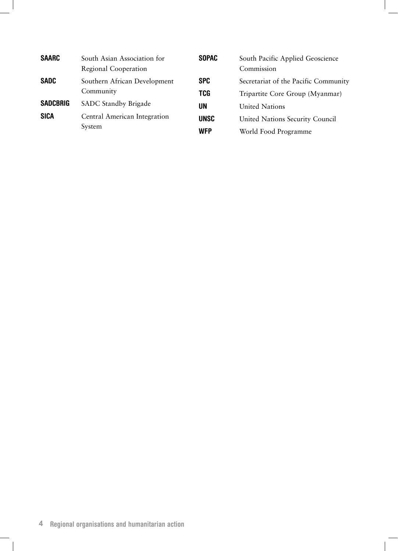| <b>SAARC</b>    | South Asian Association for<br>Regional Cooperation | <b>SOPAC</b> | South Pacific Applied Geoscience<br>Commission |
|-----------------|-----------------------------------------------------|--------------|------------------------------------------------|
| <b>SADC</b>     | Southern African Development                        | <b>SPC</b>   | Secretariat of the Pacific Community           |
|                 | Community                                           | <b>TCG</b>   | Tripartite Core Group (Myanmar)                |
| <b>SADCBRIG</b> | SADC Standby Brigade                                | UN           | <b>United Nations</b>                          |
| <b>SICA</b>     | Central American Integration                        | <b>UNSC</b>  | United Nations Security Council                |
|                 | System                                              | <b>WFP</b>   | World Food Programme                           |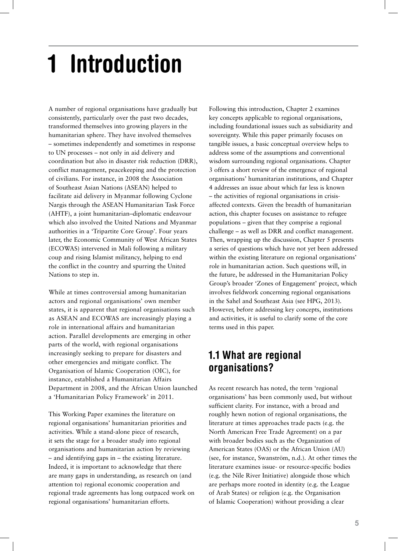# **1 Introduction**

A number of regional organisations have gradually but consistently, particularly over the past two decades, transformed themselves into growing players in the humanitarian sphere. They have involved themselves – sometimes independently and sometimes in response to UN processes – not only in aid delivery and coordination but also in disaster risk reduction (DRR), conflict management, peacekeeping and the protection of civilians. For instance, in 2008 the Association of Southeast Asian Nations (ASEAN) helped to facilitate aid delivery in Myanmar following Cyclone Nargis through the ASEAN Humanitarian Task Force (AHTF), a joint humanitarian–diplomatic endeavour which also involved the United Nations and Myanmar authorities in a 'Tripartite Core Group'. Four years later, the Economic Community of West African States (ECOWAS) intervened in Mali following a military coup and rising Islamist militancy, helping to end the conflict in the country and spurring the United Nations to step in.

While at times controversial among humanitarian actors and regional organisations' own member states, it is apparent that regional organisations such as ASEAN and ECOWAS are increasingly playing a role in international affairs and humanitarian action. Parallel developments are emerging in other parts of the world, with regional organisations increasingly seeking to prepare for disasters and other emergencies and mitigate conflict. The Organisation of Islamic Cooperation (OIC), for instance, established a Humanitarian Affairs Department in 2008, and the African Union launched a 'Humanitarian Policy Framework' in 2011.

This Working Paper examines the literature on regional organisations' humanitarian priorities and activities. While a stand-alone piece of research, it sets the stage for a broader study into regional organisations and humanitarian action by reviewing – and identifying gaps in – the existing literature. Indeed, it is important to acknowledge that there are many gaps in understanding, as research on (and attention to) regional economic cooperation and regional trade agreements has long outpaced work on regional organisations' humanitarian efforts.

Following this introduction, Chapter 2 examines key concepts applicable to regional organisations, including foundational issues such as subsidiarity and sovereignty. While this paper primarily focuses on tangible issues, a basic conceptual overview helps to address some of the assumptions and conventional wisdom surrounding regional organisations. Chapter 3 offers a short review of the emergence of regional organisations' humanitarian institutions, and Chapter 4 addresses an issue about which far less is known – the activities of regional organisations in crisisaffected contexts. Given the breadth of humanitarian action, this chapter focuses on assistance to refugee populations – given that they comprise a regional challenge – as well as DRR and conflict management. Then, wrapping up the discussion, Chapter 5 presents a series of questions which have not yet been addressed within the existing literature on regional organisations' role in humanitarian action. Such questions will, in the future, be addressed in the Humanitarian Policy Group's broader 'Zones of Engagement' project, which involves fieldwork concerning regional organisations in the Sahel and Southeast Asia (see HPG, 2013). However, before addressing key concepts, institutions and activities, it is useful to clarify some of the core terms used in this paper.

### **1.1 What are regional organisations?**

As recent research has noted, the term 'regional organisations' has been commonly used, but without sufficient clarity. For instance, with a broad and roughly hewn notion of regional organisations, the literature at times approaches trade pacts (e.g. the North American Free Trade Agreement) on a par with broader bodies such as the Organization of American States (OAS) or the African Union (AU) (see, for instance, Swanström, n.d.). At other times the literature examines issue- or resource-specific bodies (e.g. the Nile River Initiative) alongside those which are perhaps more rooted in identity (e.g. the League of Arab States) or religion (e.g. the Organisation of Islamic Cooperation) without providing a clear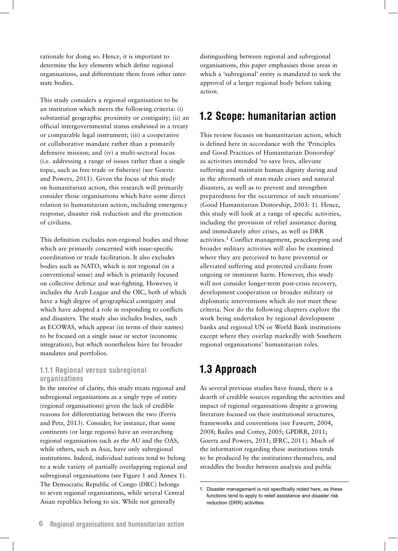rationale for doing so. Hence, it is important to determine the key elements which define regional organisations, and differentiate them from other interstate bodies.

This study considers a regional organisation to be an institution which meets the following criteria: (i) substantial geographic proximity or contiguity; (ii) an official intergovernmental status enshrined in a treaty or comparable legal instrument; (iii) a cooperative or collaborative mandate rather than a primarily defensive mission; and (iv) a multi-sectoral focus (i.e. addressing a range of issues rather than a single topic, such as free trade or fisheries) (see Goertz and Powers, 2011). Given the focus of this study on humanitarian action, this research will primarily consider those organisations which have some direct relation to humanitarian action, including emergency response, disaster risk reduction and the protection of civilians.

This definition excludes non-regional bodies and those which are primarily concerned with issue-specific coordination or trade facilitation. It also excludes bodies such as NATO, which is not regional (in a conventional sense) and which is primarily focused on collective defence and war-fighting. However, it includes the Arab League and the OIC, both of which have a high degree of geographical contiguity and which have adopted a role in responding to conflicts and disasters. The study also includes bodies, such as ECOWAS, which appear (in terms of their names) to be focused on a single issue or sector (economic integration), but which nonetheless have far broader mandates and portfolios.

#### **1.1.1 Regional versus subregional organisations**

In the interest of clarity, this study treats regional and subregional organisations as a singly type of entity (regional organisations) given the lack of credible reasons for differentiating between the two (Ferris and Petz, 2013). Consider, for instance, that some continents (or large regions) have an overarching regional organisation such as the AU and the OAS, while others, such as Asia, have only subregional institutions. Indeed, individual nations tend to belong to a wide variety of partially overlapping regional and subregional organisations (see Figure 1 and Annex 1). The Democratic Republic of Congo (DRC) belongs to seven regional organisations, while several Central Asian republics belong to six. While not generally

distinguishing between regional and subregional organisations, this paper emphasises those areas in which a 'subregional' entity is mandated to seek the approval of a larger regional body before taking action.

## **1.2 Scope: humanitarian action**

This review focuses on humanitarian action, which is defined here in accordance with the 'Principles and Good Practices of Humanitarian Donorship' as activities intended 'to save lives, alleviate suffering and maintain human dignity during and in the aftermath of man-made crises and natural disasters, as well as to prevent and strengthen preparedness for the occurrence of such situations' (Good Humanitarian Donorship, 2003: 1). Hence, this study will look at a range of specific activities, including the provision of relief assistance during and immediately after crises, as well as DRR activities.1 Conflict management, peacekeeping and broader military activities will also be examined where they are perceived to have prevented or alleviated suffering and protected civilians from ongoing or imminent harm. However, this study will not consider longer-term post-crisis recovery, development cooperation or broader military or diplomatic interventions which do not meet these criteria. Nor do the following chapters explore the work being undertaken by regional development banks and regional UN or World Bank institutions except where they overlap markedly with Southern regional organisations' humanitarian roles.

# **1.3 Approach**

As several previous studies have found, there is a dearth of credible sources regarding the activities and impact of regional organisations despite a growing literature focused on their institutional structures, frameworks and conventions (see Fawcett, 2004, 2008; Bailes and Cottey, 2005; GPDRR, 2011; Goertz and Powers, 2011; IFRC, 2011). Much of the information regarding these institutions tends to be produced by the institutions themselves, and straddles the border between analysis and public

<sup>1.</sup> Disaster management is not specifically noted here, as these functions tend to apply to relief assistance and disaster risk reduction (DRR) activities.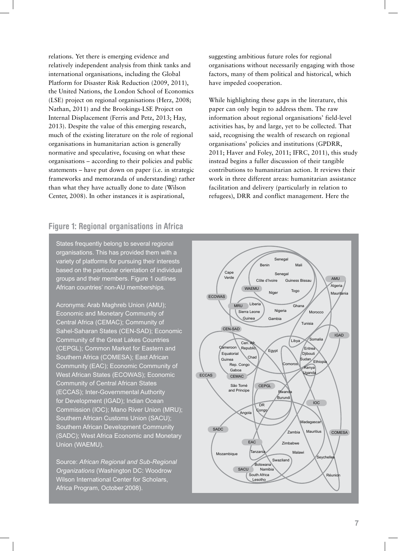relations. Yet there is emerging evidence and relatively independent analysis from think tanks and international organisations, including the Global Platform for Disaster Risk Reduction (2009, 2011), the United Nations, the London School of Economics (LSE) project on regional organisations (Herz, 2008; Nathan, 2011) and the Brookings-LSE Project on Internal Displacement (Ferris and Petz, 2013; Hay, 2013). Despite the value of this emerging research, much of the existing literature on the role of regional organisations in humanitarian action is generally normative and speculative, focusing on what these organisations – according to their policies and public statements – have put down on paper (i.e. in strategic frameworks and memoranda of understanding) rather than what they have actually done to date (Wilson Center, 2008). In other instances it is aspirational,

suggesting ambitious future roles for regional organisations without necessarily engaging with those factors, many of them political and historical, which have impeded cooperation.

While highlighting these gaps in the literature, this paper can only begin to address them. The raw information about regional organisations' field-level activities has, by and large, yet to be collected. That said, recognising the wealth of research on regional organisations' policies and institutions (GPDRR, 2011; Haver and Foley, 2011; IFRC, 2011), this study instead begins a fuller discussion of their tangible contributions to humanitarian action. It reviews their work in three different areas: humanitarian assistance facilitation and delivery (particularly in relation to refugees), DRR and conflict management. Here the

#### **Figure 1: Regional organisations in Africa**

States frequently belong to several regional organisations. This has provided them with a variety of platforms for pursuing their interests based on the particular orientation of individual groups and their members. Figure 1 outlines African countries' non-AU memberships.

Acronyms: Arab Maghreb Union (AMU); Economic and Monetary Community of Central Africa (CEMAC); Community of Sahel-Saharan States (CEN-SAD); Economic Community of the Great Lakes Countries (CEPGL); Common Market for Eastern and Southern Africa (COMESA); East African Community (EAC); Economic Community of West African States (ECOWAS); Economic Community of Central African States (ECCAS); Inter-Governmental Authority for Development (IGAD); Indian Ocean Commission (IOC); Mano River Union (MRU); Southern African Customs Union (SACU); Southern African Development Community (SADC); West Africa Economic and Monetary Union (WAEMU).

Source: *African Regional and Sub-Regional Organizations* (Washington DC: Woodrow Wilson International Center for Scholars, Africa Program, October 2008).

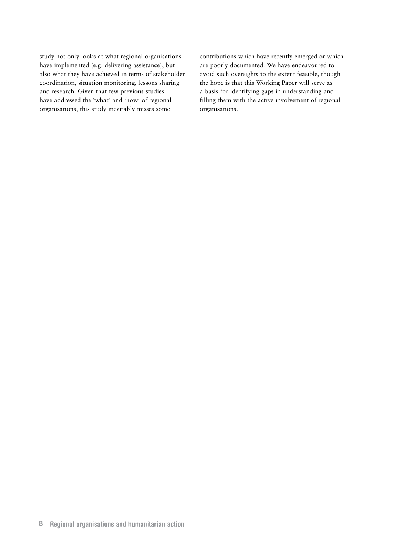study not only looks at what regional organisations have implemented (e.g. delivering assistance), but also what they have achieved in terms of stakeholder coordination, situation monitoring, lessons sharing and research. Given that few previous studies have addressed the 'what' and 'how' of regional organisations, this study inevitably misses some

contributions which have recently emerged or which are poorly documented. We have endeavoured to avoid such oversights to the extent feasible, though the hope is that this Working Paper will serve as a basis for identifying gaps in understanding and filling them with the active involvement of regional organisations.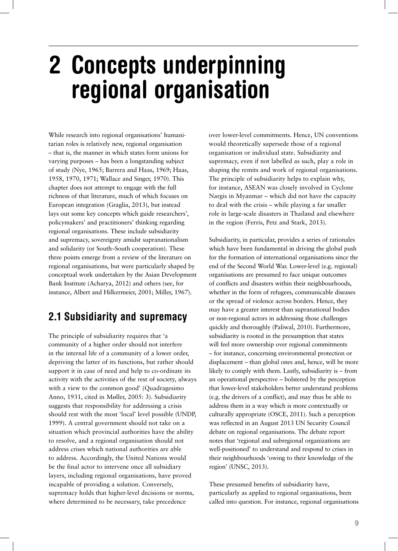# **2 Concepts underpinning regional organisation**

While research into regional organisations' humanitarian roles is relatively new, regional organisation – that is, the manner in which states form unions for varying purposes – has been a longstanding subject of study (Nye, 1965; Barrera and Haas, 1969; Haas, 1958, 1970, 1971; Wallace and Singer, 1970). This chapter does not attempt to engage with the full richness of that literature, much of which focuses on European integration (Graglia, 2013), but instead lays out some key concepts which guide researchers', policymakers' and practitioners' thinking regarding regional organisations. These include subsidiarity and supremacy, sovereignty amidst supranationalism and solidarity (or South–South cooperation). These three points emerge from a review of the literature on regional organisations, but were particularly shaped by conceptual work undertaken by the Asian Development Bank Institute (Acharya, 2012) and others (see, for instance, Albert and Hilkermeier, 2001; Miller, 1967).

## **2.1 Subsidiarity and supremacy**

The principle of subsidiarity requires that 'a community of a higher order should not interfere in the internal life of a community of a lower order, depriving the latter of its functions, but rather should support it in case of need and help to co-ordinate its activity with the activities of the rest of society, always with a view to the common good' (Quadragesimo Anno, 1931, cited in Møller, 2005: 3). Subsidiarity suggests that responsibility for addressing a crisis should rest with the most 'local' level possible (UNDP, 1999). A central government should not take on a situation which provincial authorities have the ability to resolve, and a regional organisation should not address crises which national authorities are able to address. Accordingly, the United Nations would be the final actor to intervene once all subsidiary layers, including regional organisations, have proved incapable of providing a solution. Conversely, supremacy holds that higher-level decisions or norms, where determined to be necessary, take precedence

over lower-level commitments. Hence, UN conventions would theoretically supersede those of a regional organisation or individual state. Subsidiarity and supremacy, even if not labelled as such, play a role in shaping the remits and work of regional organisations. The principle of subsidiarity helps to explain why, for instance, ASEAN was closely involved in Cyclone Nargis in Myanmar – which did not have the capacity to deal with the crisis – while playing a far smaller role in large-scale disasters in Thailand and elsewhere in the region (Ferris, Petz and Stark, 2013).

Subsidiarity, in particular, provides a series of rationales which have been fundamental in driving the global push for the formation of international organisations since the end of the Second World War. Lower-level (e.g. regional) organisations are presumed to face unique outcomes of conflicts and disasters within their neighbourhoods, whether in the form of refugees, communicable diseases or the spread of violence across borders. Hence, they may have a greater interest than supranational bodies or non-regional actors in addressing those challenges quickly and thoroughly (Paliwal, 2010). Furthermore, subsidiarity is rooted in the presumption that states will feel more ownership over regional commitments – for instance, concerning environmental protection or displacement – than global ones and, hence, will be more likely to comply with them. Lastly, subsidiarity is – from an operational perspective – bolstered by the perception that lower-level stakeholders better understand problems (e.g. the drivers of a conflict), and may thus be able to address them in a way which is more contextually or culturally appropriate (OSCE, 2011). Such a perception was reflected in an August 2013 UN Security Council debate on regional organisations. The debate report notes that 'regional and subregional organizations are well-positioned' to understand and respond to crises in their neighbourhoods 'owing to their knowledge of the region' (UNSC, 2013).

These presumed benefits of subsidiarity have, particularly as applied to regional organisations, been called into question. For instance, regional organisations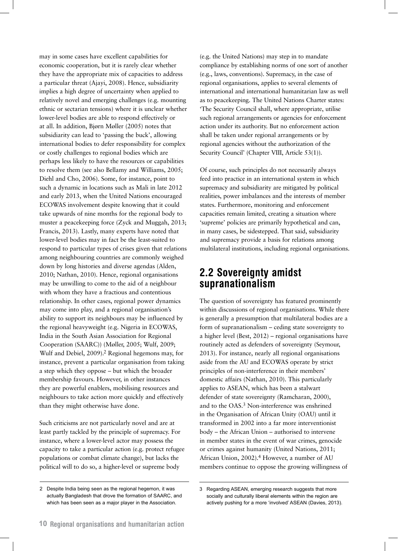may in some cases have excellent capabilities for economic cooperation, but it is rarely clear whether they have the appropriate mix of capacities to address a particular threat (Ajayi, 2008). Hence, subsidiarity implies a high degree of uncertainty when applied to relatively novel and emerging challenges (e.g. mounting ethnic or sectarian tensions) where it is unclear whether lower-level bodies are able to respond effectively or at all. In addition, Bjørn Møller (2005) notes that subsidiarity can lead to 'passing the buck', allowing international bodies to defer responsibility for complex or costly challenges to regional bodies which are perhaps less likely to have the resources or capabilities to resolve them (see also Bellamy and Williams, 2005; Diehl and Cho, 2006). Some, for instance, point to such a dynamic in locations such as Mali in late 2012 and early 2013, when the United Nations encouraged ECOWAS involvement despite knowing that it could take upwards of nine months for the regional body to muster a peacekeeping force (Zyck and Muggah, 2013; Francis, 2013). Lastly, many experts have noted that lower-level bodies may in fact be the least-suited to respond to particular types of crises given that relations among neighbouring countries are commonly weighed down by long histories and diverse agendas (Alden, 2010; Nathan, 2010). Hence, regional organisations may be unwilling to come to the aid of a neighbour with whom they have a fractious and contentious relationship. In other cases, regional power dynamics may come into play, and a regional organisation's ability to support its neighbours may be influenced by the regional heavyweight (e.g. Nigeria in ECOWAS, India in the South Asian Association for Regional Cooperation (SAARC)) (Møller, 2005; Wulf, 2009; Wulf and Debiel, 2009).2 Regional hegemons may, for instance, prevent a particular organisation from taking a step which they oppose – but which the broader membership favours. However, in other instances they are powerful enablers, mobilising resources and neighbours to take action more quickly and effectively than they might otherwise have done.

Such criticisms are not particularly novel and are at least partly tackled by the principle of supremacy. For instance, where a lower-level actor may possess the capacity to take a particular action (e.g. protect refugee populations or combat climate change), but lacks the political will to do so, a higher-level or supreme body

2 Despite India being seen as the regional hegemon, it was actually Bangladesh that drove the formation of SAARC, and which has been seen as a major player in the Association.

(e.g. the United Nations) may step in to mandate compliance by establishing norms of one sort of another (e.g., laws, conventions). Supremacy, in the case of regional organisations, applies to several elements of international and international humanitarian law as well as to peacekeeping. The United Nations Charter states: 'The Security Council shall, where appropriate, utilise such regional arrangements or agencies for enforcement action under its authority. But no enforcement action shall be taken under regional arrangements or by regional agencies without the authorization of the Security Council' (Chapter VIII, Article 53(1)).

Of course, such principles do not necessarily always feed into practice in an international system in which supremacy and subsidiarity are mitigated by political realities, power imbalances and the interests of member states. Furthermore, monitoring and enforcement capacities remain limited, creating a situation where 'supreme' policies are primarily hypothetical and can, in many cases, be sidestepped. That said, subsidiarity and supremacy provide a basis for relations among multilateral institutions, including regional organisations.

### **2.2 Sovereignty amidst supranationalism**

The question of sovereignty has featured prominently within discussions of regional organisations. While there is generally a presumption that multilateral bodies are a form of supranationalism – ceding state sovereignty to a higher level (Best, 2012) – regional organisations have routinely acted as defenders of sovereignty (Seymour, 2013). For instance, nearly all regional organisations aside from the AU and ECOWAS operate by strict principles of non-interference in their members' domestic affairs (Nathan, 2010). This particularly applies to ASEAN, which has been a stalwart defender of state sovereignty (Ramcharan, 2000), and to the OAS.3 Non-interference was enshrined in the Organisation of African Unity (OAU) until it transformed in 2002 into a far more interventionist body – the African Union – authorised to intervene in member states in the event of war crimes, genocide or crimes against humanity (United Nations, 2011; African Union, 2002).<sup>4</sup> However, a number of AU members continue to oppose the growing willingness of

<sup>3</sup> Regarding ASEAN, emerging research suggests that more socially and culturally liberal elements within the region are actively pushing for a more 'involved' ASEAN (Davies, 2013).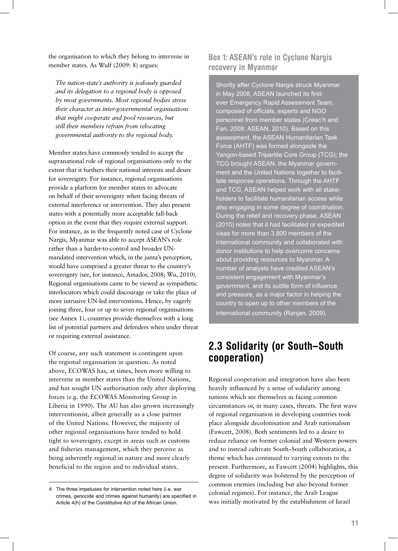the organisation to which they belong to intervene in member states. As Wulf (2009: 8) argues:

*The nation-state's authority is jealously guarded and its delegation to a regional body is opposed by most governments. Most regional bodies stress their character as inter-governmental organisations that might cooperate and pool resources, but still their members refrain from relocating governmental authority to the regional body.*

Member states have commonly tended to accept the supranational role of regional organisations only to the extent that it furthers their national interests and desire for sovereignty. For instance, regional organisations provide a platform for member states to advocate on behalf of their sovereignty when facing threats of external interference or intervention. They also present states with a potentially more acceptable fall-back option in the event that they require external support. For instance, as in the frequently noted case of Cyclone Nargis, Myanmar was able to accept ASEAN's role rather than a harder-to-control and broader UNmandated intervention which, in the junta's perception, would have comprised a greater threat to the country's sovereignty (see, for instance, Amador, 2008; Wu, 2010). Regional organisations came to be viewed as sympathetic interlocutors which could discourage or take the place of more intrusive UN-led interventions. Hence, by eagerly joining three, four or up to seven regional organisations (see Annex 1), countries provide themselves with a long list of potential partners and defenders when under threat or requiring external assistance.

Of course, any such statement is contingent upon the regional organisation in question. As noted above, ECOWAS has, at times, been more willing to intervene in member states than the United Nations, and has sought UN authorisation only after deploying forces (e.g. the ECOWAS Monitoring Group in Liberia in 1990). The AU has also grown increasingly interventionist, albeit generally as a close partner of the United Nations. However, the majority of other regional organisations have tended to hold tight to sovereignty, except in areas such as customs and fisheries management, which they perceive as being inherently regional in nature and more clearly beneficial to the region and to individual states.

#### **Box 1: ASEAN's role in Cyclone Nargis recovery in Myanmar**

Shortly after Cyclone Nargis struck Myanmar in May 2008, ASEAN launched its firstever Emergency Rapid Assessment Team, composed of officials, experts and NGO personnel from member states (Creac'h and Fan, 2008; ASEAN, 2010). Based on this assessment, the ASEAN Humanitarian Task Force (AHTF) was formed alongside the Yangon-based Tripartite Core Group (TCG); the TCG brought ASEAN, the Myanmar government and the United Nations together to facilitate response operations. Through the AHTF and TCG, ASEAN helped work with all stakeholders to facilitate humanitarian access while also engaging in some degree of coordination. During the relief and recovery phase, ASEAN (2010) notes that it had facilitated or expedited visas for more than 3,800 members of the international community and collaborated with donor institutions to help overcome concerns about providing resources to Myanmar. A number of analysts have credited ASEAN's consistent engagement with Myanmar's government, and its subtle form of influence and pressure, as a major factor in helping the country to open up to other members of the international community (Ranjan, 2009).

## **2.3 Solidarity (or South–South cooperation)**

Regional cooperation and integration have also been heavily influenced by a sense of solidarity among nations which see themselves as facing common circumstances or, in many cases, threats. The first wave of regional organisation in developing countries took place alongside decolonisation and Arab nationalism (Fawcett, 2008). Both sentiments led to a desire to reduce reliance on former colonial and Western powers and to instead cultivate South–South collaboration, a theme which has continued to varying extents to the present. Furthermore, as Fawcett (2004) highlights, this degree of solidarity was bolstered by the perception of common enemies (including but also beyond former colonial regimes). For instance, the Arab League was initially motivated by the establishment of Israel

<sup>4</sup> The three impetuses for intervention noted here (i.e. war crimes, genocide and crimes against humanity) are specified in Article 4(h) of the Constitutive Act of the African Union.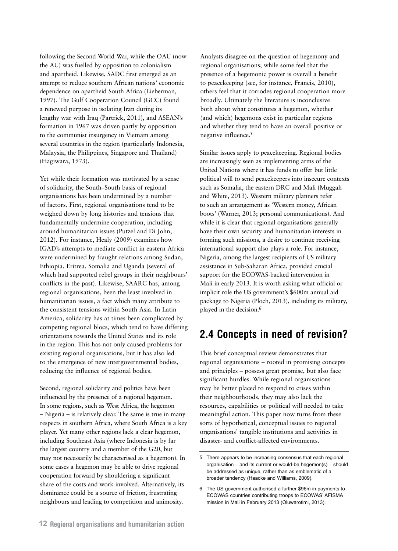following the Second World War, while the OAU (now the AU) was fuelled by opposition to colonialism and apartheid. Likewise, SADC first emerged as an attempt to reduce southern African nations' economic dependence on apartheid South Africa (Lieberman, 1997). The Gulf Cooperation Council (GCC) found a renewed purpose in isolating Iran during its lengthy war with Iraq (Partrick, 2011), and ASEAN's formation in 1967 was driven partly by opposition to the communist insurgency in Vietnam among several countries in the region (particularly Indonesia, Malaysia, the Philippines, Singapore and Thailand) (Hagiwara, 1973).

Yet while their formation was motivated by a sense of solidarity, the South–South basis of regional organisations has been undermined by a number of factors. First, regional organisations tend to be weighed down by long histories and tensions that fundamentally undermine cooperation, including around humanitarian issues (Putzel and Di John, 2012). For instance, Healy (2009) examines how IGAD's attempts to mediate conflict in eastern Africa were undermined by fraught relations among Sudan, Ethiopia, Eritrea, Somalia and Uganda (several of which had supported rebel groups in their neighbours' conflicts in the past). Likewise, SAARC has, among regional organisations, been the least involved in humanitarian issues, a fact which many attribute to the consistent tensions within South Asia. In Latin America, solidarity has at times been complicated by competing regional blocs, which tend to have differing orientations towards the United States and its role in the region. This has not only caused problems for existing regional organisations, but it has also led to the emergence of new intergovernmental bodies, reducing the influence of regional bodies.

Second, regional solidarity and politics have been influenced by the presence of a regional hegemon. In some regions, such as West Africa, the hegemon – Nigeria – is relatively clear. The same is true in many respects in southern Africa, where South Africa is a key player. Yet many other regions lack a clear hegemon, including Southeast Asia (where Indonesia is by far the largest country and a member of the G20, but may not necessarily be characterised as a hegemon). In some cases a hegemon may be able to drive regional cooperation forward by shouldering a significant share of the costs and work involved. Alternatively, its dominance could be a source of friction, frustrating neighbours and leading to competition and animosity.

Analysts disagree on the question of hegemony and regional organisations; while some feel that the presence of a hegemonic power is overall a benefit to peacekeeping (see, for instance, Francis, 2010), others feel that it corrodes regional cooperation more broadly. Ultimately the literature is inconclusive both about what constitutes a hegemon, whether (and which) hegemons exist in particular regions and whether they tend to have an overall positive or negative influence.5

Similar issues apply to peacekeeping. Regional bodies are increasingly seen as implementing arms of the United Nations where it has funds to offer but little political will to send peacekeepers into insecure contexts such as Somalia, the eastern DRC and Mali (Muggah and White, 2013). Western military planners refer to such an arrangement as 'Western money, African boots' (Warner, 2013; personal communications). And while it is clear that regional organisations generally have their own security and humanitarian interests in forming such missions, a desire to continue receiving international support also plays a role. For instance, Nigeria, among the largest recipients of US military assistance in Sub-Saharan Africa, provided crucial support for the ECOWAS-backed intervention in Mali in early 2013. It is worth asking what official or implicit role the US government's \$600m annual aid package to Nigeria (Ploch, 2013), including its military, played in the decision.6

## **2.4 Concepts in need of revision?**

This brief conceptual review demonstrates that regional organisations – rooted in promising concepts and principles – possess great promise, but also face significant hurdles. While regional organisations may be better placed to respond to crises within their neighbourhoods, they may also lack the resources, capabilities or political will needed to take meaningful action. This paper now turns from these sorts of hypothetical, conceptual issues to regional organisations' tangible institutions and activities in disaster- and conflict-affected environments.

<sup>5</sup> There appears to be increasing consensus that each regional organisation – and its current or would-be hegemon(s) – should be addressed as unique, rather than as emblematic of a broader tendency (Haacke and Williams, 2009).

<sup>6</sup> The US government authorised a further \$96m in payments to ECOWAS countries contributing troops to ECOWAS' AFISMA mission in Mali in February 2013 (Oluwarotimi, 2013).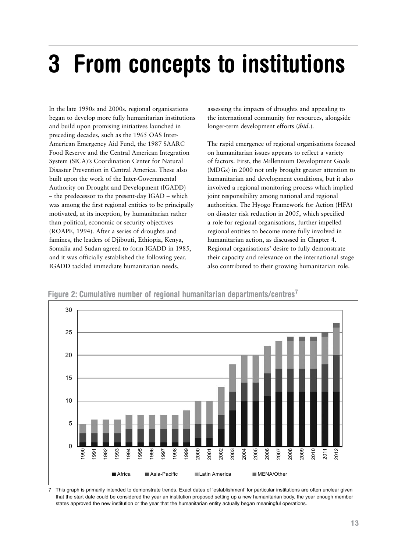# **3 From concepts to institutions**

In the late 1990s and 2000s, regional organisations began to develop more fully humanitarian institutions and build upon promising initiatives launched in preceding decades, such as the 1965 OAS Inter-American Emergency Aid Fund, the 1987 SAARC Food Reserve and the Central American Integration System (SICA)'s Coordination Center for Natural Disaster Prevention in Central America. These also built upon the work of the Inter-Governmental Authority on Drought and Development (IGADD) – the predecessor to the present-day IGAD – which was among the first regional entities to be principally motivated, at its inception, by humanitarian rather than political, economic or security objectives (ROAPE, 1994). After a series of droughts and famines, the leaders of Djibouti, Ethiopia, Kenya, Somalia and Sudan agreed to form IGADD in 1985, and it was officially established the following year. IGADD tackled immediate humanitarian needs,

assessing the impacts of droughts and appealing to the international community for resources, alongside longer-term development efforts (*ibid.*).

The rapid emergence of regional organisations focused on humanitarian issues appears to reflect a variety of factors. First, the Millennium Development Goals (MDGs) in 2000 not only brought greater attention to humanitarian and development conditions, but it also involved a regional monitoring process which implied joint responsibility among national and regional authorities. The Hyogo Framework for Action (HFA) on disaster risk reduction in 2005, which specified a role for regional organisations, further impelled regional entities to become more fully involved in humanitarian action, as discussed in Chapter 4. Regional organisations' desire to fully demonstrate their capacity and relevance on the international stage also contributed to their growing humanitarian role.





This graph is primarily intended to demonstrate trends. Exact dates of 'establishment' for particular institutions are often unclear given that the start date could be considered the year an institution proposed setting up a new humanitarian body, the year enough member states approved the new institution or the year that the humanitarian entity actually began meaningful operations.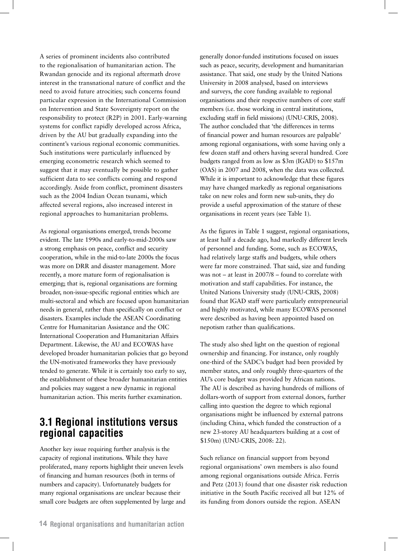A series of prominent incidents also contributed to the regionalisation of humanitarian action. The Rwandan genocide and its regional aftermath drove interest in the transnational nature of conflict and the need to avoid future atrocities; such concerns found particular expression in the International Commission on Intervention and State Sovereignty report on the responsibility to protect (R2P) in 2001. Early-warning systems for conflict rapidly developed across Africa, driven by the AU but gradually expanding into the continent's various regional economic communities. Such institutions were particularly influenced by emerging econometric research which seemed to suggest that it may eventually be possible to gather sufficient data to see conflicts coming and respond accordingly. Aside from conflict, prominent disasters such as the 2004 Indian Ocean tsunami, which affected several regions, also increased interest in regional approaches to humanitarian problems.

As regional organisations emerged, trends become evident. The late 1990s and early-to-mid-2000s saw a strong emphasis on peace, conflict and security cooperation, while in the mid-to-late 2000s the focus was more on DRR and disaster management. More recently, a more mature form of regionalisation is emerging; that is, regional organisations are forming broader, non-issue-specific regional entities which are multi-sectoral and which are focused upon humanitarian needs in general, rather than specifically on conflict or disasters. Examples include the ASEAN Coordinating Centre for Humanitarian Assistance and the OIC International Cooperation and Humanitarian Affairs Department. Likewise, the AU and ECOWAS have developed broader humanitarian policies that go beyond the UN-motivated frameworks they have previously tended to generate. While it is certainly too early to say, the establishment of these broader humanitarian entities and policies may suggest a new dynamic in regional humanitarian action. This merits further examination.

#### **3.1 Regional institutions versus regional capacities**

Another key issue requiring further analysis is the capacity of regional institutions. While they have proliferated, many reports highlight their uneven levels of financing and human resources (both in terms of numbers and capacity). Unfortunately budgets for many regional organisations are unclear because their small core budgets are often supplemented by large and generally donor-funded institutions focused on issues such as peace, security, development and humanitarian assistance. That said, one study by the United Nations University in 2008 analysed, based on interviews and surveys, the core funding available to regional organisations and their respective numbers of core staff members (i.e. those working in central institutions, excluding staff in field missions) (UNU-CRIS, 2008). The author concluded that 'the differences in terms of financial power and human resources are palpable' among regional organisations, with some having only a few dozen staff and others having several hundred. Core budgets ranged from as low as \$3m (IGAD) to \$157m (OAS) in 2007 and 2008, when the data was collected. While it is important to acknowledge that these figures may have changed markedly as regional organisations take on new roles and form new sub-units, they do provide a useful approximation of the stature of these organisations in recent years (see Table 1).

As the figures in Table 1 suggest, regional organisations, at least half a decade ago, had markedly different levels of personnel and funding. Some, such as ECOWAS, had relatively large staffs and budgets, while others were far more constrained. That said, size and funding was not – at least in 2007/8 – found to correlate with motivation and staff capabilities. For instance, the United Nations University study (UNU-CRIS, 2008) found that IGAD staff were particularly entrepreneurial and highly motivated, while many ECOWAS personnel were described as having been appointed based on nepotism rather than qualifications.

The study also shed light on the question of regional ownership and financing. For instance, only roughly one-third of the SADC's budget had been provided by member states, and only roughly three-quarters of the AU's core budget was provided by African nations. The AU is described as having hundreds of millions of dollars-worth of support from external donors, further calling into question the degree to which regional organisations might be influenced by external patrons (including China, which funded the construction of a new 23-storey AU headquarters building at a cost of \$150m) (UNU-CRIS, 2008: 22).

Such reliance on financial support from beyond regional organisations' own members is also found among regional organisations outside Africa. Ferris and Petz (2013) found that one disaster risk reduction initiative in the South Pacific received all but 12% of its funding from donors outside the region. ASEAN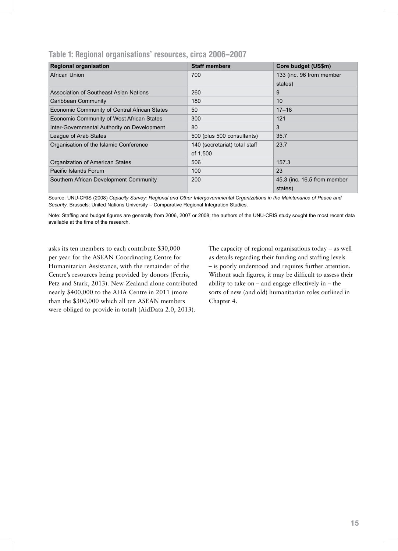| <b>Regional organisation</b>                 | <b>Staff members</b>          | Core budget (US\$m)         |
|----------------------------------------------|-------------------------------|-----------------------------|
| African Union                                | 700                           | 133 (inc. 96 from member    |
|                                              |                               | states)                     |
| Association of Southeast Asian Nations       | 260                           | 9                           |
| Caribbean Community                          | 180                           | 10                          |
| Economic Community of Central African States | 50                            | $17 - 18$                   |
| Economic Community of West African States    | 300                           | 121                         |
| Inter-Governmental Authority on Development  | 80                            | 3                           |
| League of Arab States                        | 500 (plus 500 consultants)    | 35.7                        |
| Organisation of the Islamic Conference       | 140 (secretariat) total staff | 23.7                        |
|                                              | of 1,500                      |                             |
| Organization of American States              | 506                           | 157.3                       |
| Pacific Islands Forum                        | 100                           | 23                          |
| Southern African Development Community       | 200                           | 45.3 (inc. 16.5 from member |
|                                              |                               | states)                     |

#### **Table 1: Regional organisations' resources, circa 2006–2007**

Source: UNU-CRIS (2008) *Capacity Survey: Regional and Other Intergovernmental Organizations in the Maintenance of Peace and Security*. Brussels: United Nations University – Comparative Regional Integration Studies.

Note: Staffing and budget figures are generally from 2006, 2007 or 2008; the authors of the UNU-CRIS study sought the most recent data available at the time of the research.

asks its ten members to each contribute \$30,000 per year for the ASEAN Coordinating Centre for Humanitarian Assistance, with the remainder of the Centre's resources being provided by donors (Ferris, Petz and Stark, 2013). New Zealand alone contributed nearly \$400,000 to the AHA Centre in 2011 (more than the \$300,000 which all ten ASEAN members were obliged to provide in total) (AidData 2.0, 2013).

The capacity of regional organisations today – as well as details regarding their funding and staffing levels – is poorly understood and requires further attention. Without such figures, it may be difficult to assess their ability to take on – and engage effectively in – the sorts of new (and old) humanitarian roles outlined in Chapter 4.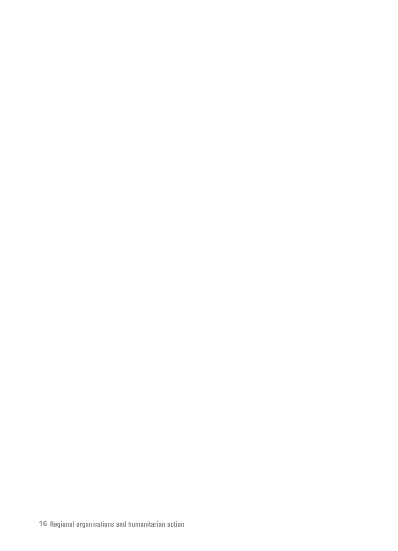**Regional organisations and humanitarian action**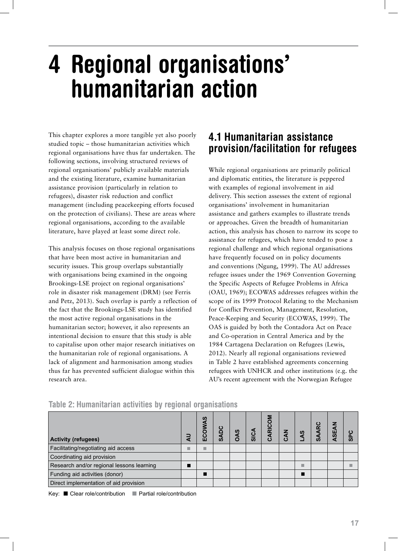# **4 Regional organisations' humanitarian action**

This chapter explores a more tangible yet also poorly studied topic – those humanitarian activities which regional organisations have thus far undertaken. The following sections, involving structured reviews of regional organisations' publicly available materials and the existing literature, examine humanitarian assistance provision (particularly in relation to refugees), disaster risk reduction and conflict management (including peacekeeping efforts focused on the protection of civilians). These are areas where regional organisations, according to the available literature, have played at least some direct role.

This analysis focuses on those regional organisations that have been most active in humanitarian and security issues. This group overlaps substantially with organisations being examined in the ongoing Brookings-LSE project on regional organisations' role in disaster risk management (DRM) (see Ferris and Petz, 2013). Such overlap is partly a reflection of the fact that the Brookings-LSE study has identified the most active regional organisations in the humanitarian sector; however, it also represents an intentional decision to ensure that this study is able to capitalise upon other major research initiatives on the humanitarian role of regional organisations. A lack of alignment and harmonisation among studies thus far has prevented sufficient dialogue within this research area.

## **4.1 Humanitarian assistance provision/facilitation for refugees**

While regional organisations are primarily political and diplomatic entities, the literature is peppered with examples of regional involvement in aid delivery. This section assesses the extent of regional organisations' involvement in humanitarian assistance and gathers examples to illustrate trends or approaches. Given the breadth of humanitarian action, this analysis has chosen to narrow its scope to assistance for refugees, which have tended to pose a regional challenge and which regional organisations have frequently focused on in policy documents and conventions (Ngung, 1999). The AU addresses refugee issues under the 1969 Convention Governing the Specific Aspects of Refugee Problems in Africa (OAU, 1969); ECOWAS addresses refugees within the scope of its 1999 Protocol Relating to the Mechanism for Conflict Prevention, Management, Resolution, Peace-Keeping and Security (ECOWAS, 1999). The OAS is guided by both the Contadora Act on Peace and Co-operation in Central America and by the 1984 Cartagena Declaration on Refugees (Lewis, 2012). Nearly all regional organisations reviewed in Table 2 have established agreements concerning refugees with UNHCR and other institutions (e.g. the AU's recent agreement with the Norwegian Refugee

| <b>Activity (refugees)</b>                                      | ढ | ECOWAS | ပ<br>Q | <b>SV</b><br>O | <u>ပ</u><br>စ | <b>NO</b><br>ပ<br>ğ | Z<br>∢ | ပ္မွ | RC | đ<br>ш<br><b>SC</b> | $\mathbf C$<br>൨<br><b>S</b> |
|-----------------------------------------------------------------|---|--------|--------|----------------|---------------|---------------------|--------|------|----|---------------------|------------------------------|
| Facilitating/negotiating aid access                             | ٠ | п      |        |                |               |                     |        |      |    |                     |                              |
| Coordinating aid provision                                      |   |        |        |                |               |                     |        |      |    |                     |                              |
| Research and/or regional lessons learning                       |   |        |        |                |               |                     |        | П    |    |                     | ш                            |
| Funding aid activities (donor)                                  |   | г      |        |                |               |                     |        | ┓    |    |                     |                              |
| Direct implementation of aid provision                          |   |        |        |                |               |                     |        |      |    |                     |                              |
| Kev: ∎<br>■ Clear role/contribution ■ Partial role/contribution |   |        |        |                |               |                     |        |      |    |                     |                              |

**Table 2: Humanitarian activities by regional organisations**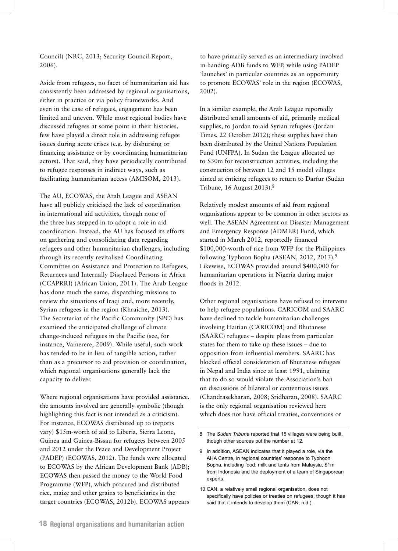Council) (NRC, 2013; Security Council Report, 2006).

Aside from refugees, no facet of humanitarian aid has consistently been addressed by regional organisations, either in practice or via policy frameworks. And even in the case of refugees, engagement has been limited and uneven. While most regional bodies have discussed refugees at some point in their histories, few have played a direct role in addressing refugee issues during acute crises (e.g. by disbursing or financing assistance or by coordinating humanitarian actors). That said, they have periodically contributed to refugee responses in indirect ways, such as facilitating humanitarian access (AMISOM, 2013).

The AU, ECOWAS, the Arab League and ASEAN have all publicly criticised the lack of coordination in international aid activities, though none of the three has stepped in to adopt a role in aid coordination. Instead, the AU has focused its efforts on gathering and consolidating data regarding refugees and other humanitarian challenges, including through its recently revitalised Coordinating Committee on Assistance and Protection to Refugees, Returnees and Internally Displaced Persons in Africa (CCAPRRI) (African Union, 2011). The Arab League has done much the same, dispatching missions to review the situations of Iraqi and, more recently, Syrian refugees in the region (Khraiche, 2013). The Secretariat of the Pacific Community (SPC) has examined the anticipated challenge of climate change-induced refugees in the Pacific (see, for instance, Vainerere, 2009). While useful, such work has tended to be in lieu of tangible action, rather than as a precursor to aid provision or coordination, which regional organisations generally lack the capacity to deliver.

Where regional organisations have provided assistance, the amounts involved are generally symbolic (though highlighting this fact is not intended as a criticism). For instance, ECOWAS distributed up to (reports vary) \$15m-worth of aid to Liberia, Sierra Leone, Guinea and Guinea-Bissau for refugees between 2005 and 2012 under the Peace and Development Project (PADEP) (ECOWAS, 2012). The funds were allocated to ECOWAS by the African Development Bank (ADB); ECOWAS then passed the money to the World Food Programme (WFP), which procured and distributed rice, maize and other grains to beneficiaries in the target countries (ECOWAS, 2012b). ECOWAS appears

to have primarily served as an intermediary involved in handing ADB funds to WFP, while using PADEP 'launches' in particular countries as an opportunity to promote ECOWAS' role in the region (ECOWAS, 2002).

In a similar example, the Arab League reportedly distributed small amounts of aid, primarily medical supplies, to Jordan to aid Syrian refugees (Jordan Times, 22 October 2012); these supplies have then been distributed by the United Nations Population Fund (UNFPA). In Sudan the League allocated up to \$30m for reconstruction activities, including the construction of between 12 and 15 model villages aimed at enticing refugees to return to Darfur (Sudan Tribune, 16 August 2013).8

Relatively modest amounts of aid from regional organisations appear to be common in other sectors as well. The ASEAN Agreement on Disaster Management and Emergency Response (ADMER) Fund, which started in March 2012, reportedly financed \$100,000-worth of rice from WFP for the Philippines following Typhoon Bopha (ASEAN, 2012, 2013).9 Likewise, ECOWAS provided around \$400,000 for humanitarian operations in Nigeria during major floods in 2012.

Other regional organisations have refused to intervene to help refugee populations. CARICOM and SAARC have declined to tackle humanitarian challenges involving Haitian (CARICOM) and Bhutanese (SAARC) refugees – despite pleas from particular states for them to take up these issues – due to opposition from influential members. SAARC has blocked official consideration of Bhutanese refugees in Nepal and India since at least 1991, claiming that to do so would violate the Association's ban on discussions of bilateral or contentious issues (Chandrasekharan, 2008; Sridharan, 2008). SAARC is the only regional organisation reviewed here which does not have official treaties, conventions or

<sup>8</sup> The *Sudan Tribune* reported that 15 villages were being built, though other sources put the number at 12.

<sup>9</sup> In addition, ASEAN indicates that it played a role, via the AHA Centre, in regional countries' response to Typhoon Bopha, including food, milk and tents from Malaysia, \$1m from Indonesia and the deployment of a team of Singaporean experts.

<sup>10</sup> CAN, a relatively small regional organisation, does not specifically have policies or treaties on refugees, though it has said that it intends to develop them (CAN, n.d.).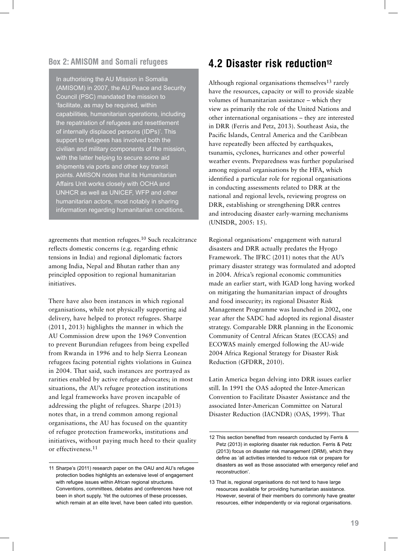#### **Box 2: AMISOM and Somali refugees**

In authorising the AU Mission in Somalia (AMISOM) in 2007, the AU Peace and Security Council (PSC) mandated the mission to 'facilitate, as may be required, within capabilities, humanitarian operations, including the repatriation of refugees and resettlement of internally displaced persons (IDPs)'. This support to refugees has involved both the civilian and military components of the mission, with the latter helping to secure some aid shipments via ports and other key transit points. AMISON notes that its Humanitarian Affairs Unit works closely with OCHA and UNHCR as well as UNICEF, WFP and other humanitarian actors, most notably in sharing information regarding humanitarian conditions.

agreements that mention refugees.10 Such recalcitrance reflects domestic concerns (e.g. regarding ethnic tensions in India) and regional diplomatic factors among India, Nepal and Bhutan rather than any principled opposition to regional humanitarian initiatives.

There have also been instances in which regional organisations, while not physically supporting aid delivery, have helped to protect refugees. Sharpe (2011, 2013) highlights the manner in which the AU Commission drew upon the 1969 Convention to prevent Burundian refugees from being expelled from Rwanda in 1996 and to help Sierra Leonean refugees facing potential rights violations in Guinea in 2004. That said, such instances are portrayed as rarities enabled by active refugee advocates; in most situations, the AU's refugee protection institutions and legal frameworks have proven incapable of addressing the plight of refugees. Sharpe (2013) notes that, in a trend common among regional organisations, the AU has focused on the quantity of refugee protection frameworks, institutions and initiatives, without paying much heed to their quality or effectiveness.11

## **4.2 Disaster risk reduction12**

Although regional organisations themselves $13$  rarely have the resources, capacity or will to provide sizable volumes of humanitarian assistance – which they view as primarily the role of the United Nations and other international organisations – they are interested in DRR (Ferris and Petz, 2013). Southeast Asia, the Pacific Islands, Central America and the Caribbean have repeatedly been affected by earthquakes, tsunamis, cyclones, hurricanes and other powerful weather events. Preparedness was further popularised among regional organisations by the HFA, which identified a particular role for regional organisations in conducting assessments related to DRR at the national and regional levels, reviewing progress on DRR, establishing or strengthening DRR centres and introducing disaster early-warning mechanisms (UNISDR, 2005: 15).

Regional organisations' engagement with natural disasters and DRR actually predates the Hyogo Framework. The IFRC (2011) notes that the AU's primary disaster strategy was formulated and adopted in 2004. Africa's regional economic communities made an earlier start, with IGAD long having worked on mitigating the humanitarian impact of droughts and food insecurity; its regional Disaster Risk Management Programme was launched in 2002, one year after the SADC had adopted its regional disaster strategy. Comparable DRR planning in the Economic Community of Central African States (ECCAS) and ECOWAS mainly emerged following the AU-wide 2004 Africa Regional Strategy for Disaster Risk Reduction (GFDRR, 2010).

Latin America began delving into DRR issues earlier still. In 1991 the OAS adopted the Inter-American Convention to Facilitate Disaster Assistance and the associated Inter-American Committee on Natural Disaster Reduction (IACNDR) (OAS, 1999). That

<sup>11</sup> Sharpe's (2011) research paper on the OAU and AU's refugee protection bodies highlights an extensive level of engagement with refugee issues within African regional structures. Conventions, committees, debates and conferences have not been in short supply. Yet the outcomes of these processes, which remain at an elite level, have been called into question.

<sup>12</sup> This section benefited from research conducted by Ferris & Petz (2013) in exploring disaster risk reduction. Ferris & Petz (2013) focus on disaster risk management (DRM), which they define as 'all activities intended to reduce risk or prepare for disasters as well as those associated with emergency relief and reconstruction'.

<sup>13</sup> That is, regional organisations do not tend to have large resources available for providing humanitarian assistance. However, several of their members do commonly have greater resources, either independently or via regional organisations.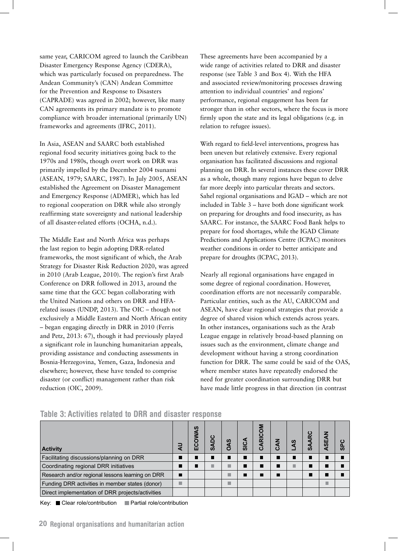same year, CARICOM agreed to launch the Caribbean Disaster Emergency Response Agency (CDERA), which was particularly focused on preparedness. The Andean Community's (CAN) Andean Committee for the Prevention and Response to Disasters (CAPRADE) was agreed in 2002; however, like many CAN agreements its primary mandate is to promote compliance with broader international (primarily UN) frameworks and agreements (IFRC, 2011).

In Asia, ASEAN and SAARC both established regional food security initiatives going back to the 1970s and 1980s, though overt work on DRR was primarily impelled by the December 2004 tsunami (ASEAN, 1979; SAARC, 1987). In July 2005, ASEAN established the Agreement on Disaster Management and Emergency Response (ADMER), which has led to regional cooperation on DRR while also strongly reaffirming state sovereignty and national leadership of all disaster-related efforts (OCHA, n.d.).

The Middle East and North Africa was perhaps the last region to begin adopting DRR-related frameworks, the most significant of which, the Arab Strategy for Disaster Risk Reduction 2020, was agreed in 2010 (Arab League, 2010). The region's first Arab Conference on DRR followed in 2013, around the same time that the GCC began collaborating with the United Nations and others on DRR and HFArelated issues (UNDP, 2013). The OIC – though not exclusively a Middle Eastern and North African entity – began engaging directly in DRR in 2010 (Ferris and Petz, 2013: 67), though it had previously played a significant role in launching humanitarian appeals, providing assistance and conducting assessments in Bosnia-Herzegovina, Yemen, Gaza, Indonesia and elsewhere; however, these have tended to comprise disaster (or conflict) management rather than risk reduction (OIC, 2009).

These agreements have been accompanied by a wide range of activities related to DRR and disaster response (see Table 3 and Box 4). With the HFA and associated review/monitoring processes drawing attention to individual countries' and regions' performance, regional engagement has been far stronger than in other sectors, where the focus is more firmly upon the state and its legal obligations (e.g. in relation to refugee issues).

With regard to field-level interventions, progress has been uneven but relatively extensive. Every regional organisation has facilitated discussions and regional planning on DRR. In several instances these cover DRR as a whole, though many regions have begun to delve far more deeply into particular threats and sectors. Sahel regional organisations and IGAD – which are not included in Table 3 – have both done significant work on preparing for droughts and food insecurity, as has SAARC. For instance, the SAARC Food Bank helps to prepare for food shortages, while the IGAD Climate Predictions and Applications Centre (ICPAC) monitors weather conditions in order to better anticipate and prepare for droughts (ICPAC, 2013).

Nearly all regional organisations have engaged in some degree of regional coordination. However, coordination efforts are not necessarily comparable. Particular entities, such as the AU, CARICOM and ASEAN, have clear regional strategies that provide a degree of shared vision which extends across years. In other instances, organisations such as the Arab League engage in relatively broad-based planning on issues such as the environment, climate change and development without having a strong coordination function for DRR. The same could be said of the OAS, where member states have repeatedly endorsed the need for greater coordination surrounding DRR but have made little progress in that direction (in contrast

| <b>Activity</b>                                             | ā | ECOWAS | ပ<br>Q<br>S | SV<br>Ö | SICA | ARICOM<br>ن | Z<br>∢<br>ن    | ပ<br>œ<br>ທ | đ<br>မ္တ       | ഗ |
|-------------------------------------------------------------|---|--------|-------------|---------|------|-------------|----------------|-------------|----------------|---|
| Facilitating discussions/planning on DRR                    |   | ٠      | m.          | ш       | ш    | П           | ш              | П           | П              |   |
| Coordinating regional DRR initiatives                       |   |        |             | ■       | ш    | ш           | ш              |             |                |   |
| Research and/or regional lessons learning on DRR            |   |        |             | ш       | П    | ш           | $\blacksquare$ | П           | $\blacksquare$ |   |
| Funding DRR activities in member states (donor)             |   |        |             | ш       |      |             |                |             | ■              |   |
| Direct implementation of DRR projects/activities            |   |        |             |         |      |             |                |             |                |   |
| $Key:$ Clear role/contribution<br>Partial role/contribution |   |        |             |         |      |             |                |             |                |   |

#### **Table 3: Activities related to DRR and disaster response**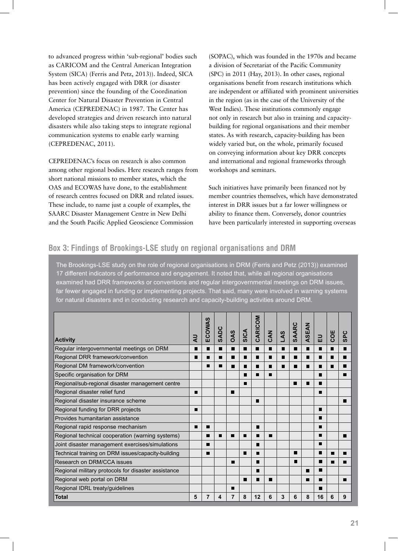to advanced progress within 'sub-regional' bodies such as CARICOM and the Central American Integration System (SICA) (Ferris and Petz, 2013)). Indeed, SICA has been actively engaged with DRR (or disaster prevention) since the founding of the Coordination Center for Natural Disaster Prevention in Central America (CEPREDENAC) in 1987. The Center has developed strategies and driven research into natural disasters while also taking steps to integrate regional communication systems to enable early warning (CEPREDENAC, 2011).

CEPREDENAC's focus on research is also common among other regional bodies. Here research ranges from short national missions to member states, which the OAS and ECOWAS have done, to the establishment of research centres focused on DRR and related issues. These include, to name just a couple of examples, the SAARC Disaster Management Centre in New Delhi and the South Pacific Applied Geoscience Commission

(SOPAC), which was founded in the 1970s and became a division of Secretariat of the Pacific Community (SPC) in 2011 (Hay, 2013). In other cases, regional organisations benefit from research institutions which are independent or affiliated with prominent universities in the region (as in the case of the University of the West Indies). These institutions commonly engage not only in research but also in training and capacitybuilding for regional organisations and their member states. As with research, capacity-building has been widely varied but, on the whole, primarily focused on conveying information about key DRR concepts and international and regional frameworks through workshops and seminars.

Such initiatives have primarily been financed not by member countries themselves, which have demonstrated interest in DRR issues but a far lower willingness or ability to finance them. Conversely, donor countries have been particularly interested in supporting overseas

#### **Box 3: Findings of Brookings-LSE study on regional organisations and DRM**

The Brookings-LSE study on the role of regional organisations in DRM (Ferris and Petz (2013)) examined 17 different indicators of performance and engagement. It noted that, while all regional organisations examined had DRR frameworks or conventions and regular intergovernmental meetings on DRM issues, far fewer engaged in funding or implementing projects. That said, many were involved in warning systems for natural disasters and in conducting research and capacity-building activities around DRM.

| <b>Activity</b>                                     | R | ECOWAS | <b>SADC</b> | OAS            | SICA | CARICOM        | <b>ZAN</b> | LAS | SAARC | ASEAN | 긊  | COE | <b>SPC</b> |
|-----------------------------------------------------|---|--------|-------------|----------------|------|----------------|------------|-----|-------|-------|----|-----|------------|
| Regular intergovernmental meetings on DRM           |   | п      | П           | п              | П    | ш              | ш          | ш   | П     | ш     | ш  | ш   |            |
| Regional DRR framework/convention                   | ш | ш      | П           | $\blacksquare$ | П    | П              | Ш          | П   | П     | П     | ш  | П   | ш          |
| Regional DM framework/convention                    |   | ш      | ш           | $\blacksquare$ | ш    | П              | П          | П   | П     | П     | ш  | П   |            |
| Specific organisation for DRM                       |   |        |             |                | п    | ш              | ш          |     |       |       | ш  |     | Г          |
| Regional/sub-regional disaster management centre    |   |        |             |                | п    |                |            |     | П     | Ш     | ш  |     |            |
| Regional disaster relief fund                       | П |        |             | ш              |      |                |            |     |       |       | П  |     |            |
| Regional disaster insurance scheme                  |   |        |             |                |      | ш              |            |     |       |       |    |     | ш          |
| Regional funding for DRR projects                   | ш |        |             |                |      |                |            |     |       |       | ш  |     |            |
| Provides humanitarian assistance                    |   |        |             |                |      |                |            |     |       |       | ш  |     |            |
| Regional rapid response mechanism                   |   |        |             |                |      | H              |            |     |       |       | ш  |     |            |
| Regional technical cooperation (warning systems)    |   |        |             |                | ш    | H              | ш          |     |       |       | ш  |     | ш          |
| Joint disaster management exercises/simulations     |   | L.     |             |                |      | ш              |            |     |       |       | П  |     |            |
| Technical training on DRM issues/capacity-building  |   | Г      |             |                | П    | $\blacksquare$ |            |     | П     |       | П  |     |            |
| Research on DRM/CCA issues                          |   |        |             | ш              |      | $\blacksquare$ |            |     | ш     |       | Ш  |     |            |
| Regional military protocols for disaster assistance |   |        |             |                |      | H              |            |     |       | L.    | Ш  |     |            |
| Regional web portal on DRM                          |   |        |             |                | ш    | ш              | L.         |     |       | Ш     | Ш  |     | ш          |
| Regional IDRL treaty/guidelines                     |   |        |             | т              |      |                |            |     |       |       |    |     |            |
| <b>Total</b>                                        | 5 | 7      | 4           | 7              | 8    | 12             | 6          | 3   | 6     | 8     | 16 | 6   | 9          |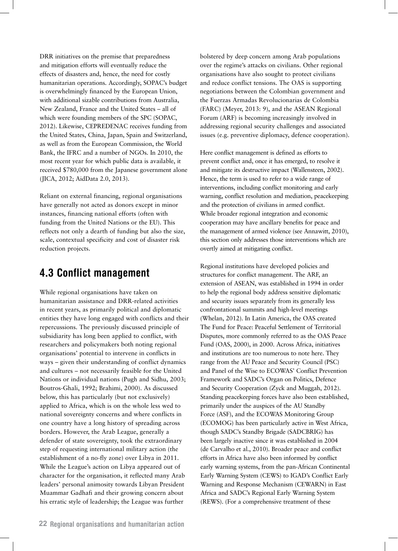DRR initiatives on the premise that preparedness and mitigation efforts will eventually reduce the effects of disasters and, hence, the need for costly humanitarian operations. Accordingly, SOPAC's budget is overwhelmingly financed by the European Union, with additional sizable contributions from Australia, New Zealand, France and the United States – all of which were founding members of the SPC (SOPAC, 2012). Likewise, CEPREDENAC receives funding from the United States, China, Japan, Spain and Switzerland, as well as from the European Commission, the World Bank, the IFRC and a number of NGOs. In 2010, the most recent year for which public data is available, it received \$780,000 from the Japanese government alone (JICA, 2012; AidData 2.0, 2013).

Reliant on external financing, regional organisations have generally not acted as donors except in minor instances, financing national efforts (often with funding from the United Nations or the EU). This reflects not only a dearth of funding but also the size, scale, contextual specificity and cost of disaster risk reduction projects.

## **4.3 Conflict management**

While regional organisations have taken on humanitarian assistance and DRR-related activities in recent years, as primarily political and diplomatic entities they have long engaged with conflicts and their repercussions. The previously discussed principle of subsidiarity has long been applied to conflict, with researchers and policymakers both noting regional organisations' potential to intervene in conflicts in ways – given their understanding of conflict dynamics and cultures – not necessarily feasible for the United Nations or individual nations (Pugh and Sidhu, 2003; Boutros-Ghali, 1992; Brahimi, 2000). As discussed below, this has particularly (but not exclusively) applied to Africa, which is on the whole less wed to national sovereignty concerns and where conflicts in one country have a long history of spreading across borders. However, the Arab League, generally a defender of state sovereignty, took the extraordinary step of requesting international military action (the establishment of a no-fly zone) over Libya in 2011. While the League's action on Libya appeared out of character for the organisation, it reflected many Arab leaders' personal animosity towards Libyan President Muammar Gadhafi and their growing concern about his erratic style of leadership; the League was further

bolstered by deep concern among Arab populations over the regime's attacks on civilians. Other regional organisations have also sought to protect civilians and reduce conflict tensions. The OAS is supporting negotiations between the Colombian government and the Fuerzas Armadas Revolucionarias de Colombia (FARC) (Meyer, 2013: 9), and the ASEAN Regional Forum (ARF) is becoming increasingly involved in addressing regional security challenges and associated issues (e.g. preventive diplomacy, defence cooperation).

Here conflict management is defined as efforts to prevent conflict and, once it has emerged, to resolve it and mitigate its destructive impact (Wallensteen, 2002). Hence, the term is used to refer to a wide range of interventions, including conflict monitoring and early warning, conflict resolution and mediation, peacekeeping and the protection of civilians in armed conflict. While broader regional integration and economic cooperation may have ancillary benefits for peace and the management of armed violence (see Annawitt, 2010), this section only addresses those interventions which are overtly aimed at mitigating conflict.

Regional institutions have developed policies and structures for conflict management. The ARF, an extension of ASEAN, was established in 1994 in order to help the regional body address sensitive diplomatic and security issues separately from its generally less confrontational summits and high-level meetings (Whelan, 2012). In Latin America, the OAS created The Fund for Peace: Peaceful Settlement of Territorial Disputes, more commonly referred to as the OAS Peace Fund (OAS, 2000), in 2000. Across Africa, initiatives and institutions are too numerous to note here. They range from the AU Peace and Security Council (PSC) and Panel of the Wise to ECOWAS' Conflict Prevention Framework and SADC's Organ on Politics, Defence and Security Cooperation (Zyck and Muggah, 2012). Standing peacekeeping forces have also been established, primarily under the auspices of the AU Standby Force (ASF), and the ECOWAS Monitoring Group (ECOMOG) has been particularly active in West Africa, though SADC's Standby Brigade (SADCBRIG) has been largely inactive since it was established in 2004 (de Carvalho et al., 2010). Broader peace and conflict efforts in Africa have also been informed by conflict early warning systems, from the pan-African Continental Early Warning System (CEWS) to IGAD's Conflict Early Warning and Response Mechanism (CEWARN) in East Africa and SADC's Regional Early Warning System (REWS). (For a comprehensive treatment of these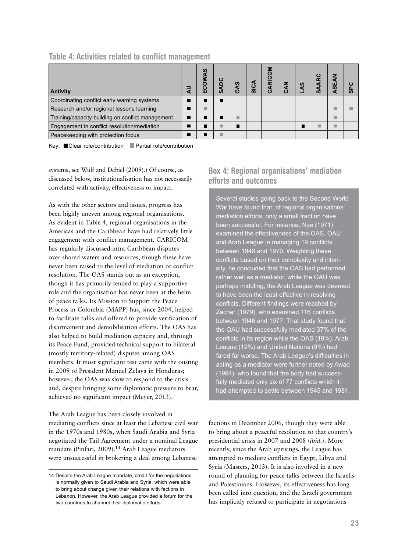| <b>Activity</b>                                           | ₹ | <b>WAS</b><br>ECO | <b>DC</b><br>R<br>ທ | ທ<br>O | <u>ပ</u><br>စ | ≅<br>O<br><b>ARICI</b> |  | ŏ | ш<br>ທ | ທ |
|-----------------------------------------------------------|---|-------------------|---------------------|--------|---------------|------------------------|--|---|--------|---|
| Coordinating conflict early warning systems               |   |                   | П                   |        |               |                        |  |   |        |   |
| Research and/or regional lessons learning                 |   | П                 |                     |        |               |                        |  |   |        |   |
| Training/capacity-building on conflict management         |   |                   |                     | п      |               |                        |  |   | π      |   |
| Engagement in conflict resolution/mediation               |   | П                 |                     | П      |               |                        |  |   |        |   |
| Peacekeeping with protection focus                        |   |                   |                     |        |               |                        |  |   |        |   |
| Key: ■Clear role/contribution ■ Partial role/contribution |   |                   |                     |        |               |                        |  |   |        |   |

#### **Table 4: Activities related to conflict management**

systems, see Wulf and Debiel (2009).) Of course, as discussed below, institutionalisation has not necessarily correlated with activity, effectiveness or impact.

As with the other sectors and issues, progress has been highly uneven among regional organisations. As evident in Table 4, regional organisations in the Americas and the Caribbean have had relatively little engagement with conflict management. CARICOM has regularly discussed intra-Caribbean disputes over shared waters and resources, though these have never been raised to the level of mediation or conflict resolution. The OAS stands out as an exception, though it has primarily tended to play a supportive role and the organisation has never been at the helm of peace talks. Its Mission to Support the Peace Process in Colombia (MAPP) has, since 2004, helped to facilitate talks and offered to provide verification of disarmament and demobilisation efforts. The OAS has also helped to build mediation capacity and, through its Peace Fund, provided technical support to bilateral (mostly territory-related) disputes among OAS members. It most significant test came with the ousting in 2009 of President Manuel Zelaya in Honduras; however, the OAS was slow to respond to the crisis and, despite bringing some diplomatic pressure to bear, achieved no significant impact (Meyer, 2013).

The Arab League has been closely involved in mediating conflicts since at least the Lebanese civil war in the 1970s and 1980s, when Saudi Arabia and Syria negotiated the Taif Agreement under a nominal League mandate (Pinfari, 2009).14 Arab League mediators were unsuccessful in brokering a deal among Lebanese

#### **Box 4: Regional organisations' mediation efforts and outcomes**

Several studies going back to the Second World War have found that, of regional organisations' mediation efforts, only a small fraction have been successful. For instance, Nye (1971) examined the effectiveness of the OAS, OAU and Arab League in managing 19 conflicts between 1948 and 1970. Weighting these conflicts based on their complexity and intensity, he concluded that the OAS had performed rather well as a mediator, while the OAU was perhaps middling; the Arab League was deemed to have been the least effective in resolving conflicts. Different findings were reached by Zacher (1979), who examined 116 conflicts between 1946 and 1977. That study found that the OAU had successfully mediated 37% of the conflicts in its region while the OAS (19%), Arab League (12%) and United Nations (9%) had fared far worse. The Arab League's difficulties in acting as a mediator were further noted by Awad (1994), who found that the body had successfully mediated only six of 77 conflicts which it had attempted to settle between 1945 and 1981.

factions in December 2006, though they were able to bring about a peaceful resolution to that country's presidential crisis in 2007 and 2008 (*ibid.*). More recently, since the Arab uprisings, the League has attempted to mediate conflicts in Egypt, Libya and Syria (Masters, 2013). It is also involved in a new round of planning for peace talks between the Israelis and Palestinians. However, its effectiveness has long been called into question, and the Israeli government has implicitly refused to participate in negotiations

<sup>14</sup> Despite the Arab League mandate, credit for the negotiations is normally given to Saudi Arabia and Syria, which were able to bring about change given their relations with factions in Lebanon. However, the Arab League provided a forum for the two countries to channel their diplomatic efforts.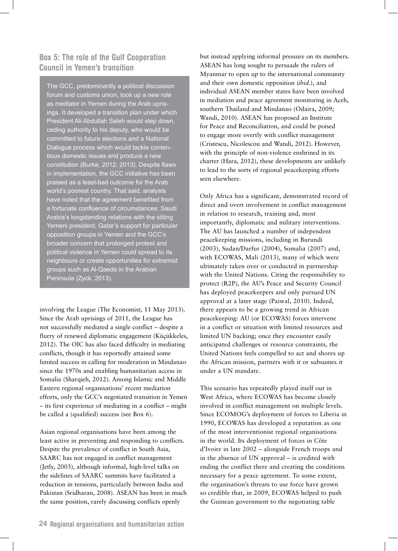#### **Box 5: The role of the Gulf Cooperation Council in Yemen's transition**

The GCC, predominantly a political discussion forum and customs union, took up a new role as mediator in Yemen during the Arab uprisings. It developed a transition plan under which President Ali Abdullah Saleh would step down, ceding authority to his deputy, who would be committed to future elections and a National Dialogue process which would tackle contentious domestic issues and produce a new constitution (Burke, 2012; 2013). Despite flaws in implementation, the GCC initiative has been praised as a least-bad outcome for the Arab world's poorest country. That said, analysts have noted that the agreement benefited from a fortunate confluence of circumstances: Saudi Arabia's longstanding relations with the sitting Yemeni president, Qatar's support for particular opposition groups in Yemen and the GCC's broader concern that prolonged protest and political violence in Yemen could spread to its neighbours or create opportunities for extremist groups such as Al-Qaeda in the Arabian Peninsula (Zyck, 2013).

involving the League (The Economist, 11 May 2013). Since the Arab uprisings of 2011, the League has not successfully mediated a single conflict – despite a flurry of renewed diplomatic engagement (Küçükkeles, 2012). The OIC has also faced difficulty in mediating conflicts, though it has reportedly attained some limited success in calling for moderation in Mindanao since the 1970s and enabling humanitarian access in Somalia (Sharqieh, 2012). Among Islamic and Middle Eastern regional organisations' recent mediation efforts, only the GCC's negotiated transition in Yemen – its first experience of mediating in a conflict – might be called a (qualified) success (see Box 6).

Asian regional organisations have been among the least active in preventing and responding to conflicts. Despite the prevalence of conflict in South Asia, SAARC has not engaged in conflict management (Jetly, 2003), although informal, high-level talks on the sidelines of SAARC summits have facilitated a reduction in tensions, particularly between India and Pakistan (Sridharan, 2008). ASEAN has been in much the same position, rarely discussing conflicts openly

but instead applying informal pressure on its members. ASEAN has long sought to persuade the rulers of Myanmar to open up to the international community and their own domestic opposition (*ibid.*), and individual ASEAN member states have been involved in mediation and peace agreement monitoring in Aceh, southern Thailand and Mindanao (Odaira, 2009; Wandi, 2010). ASEAN has proposed an Institute for Peace and Reconciliation, and could be poised to engage more overtly with conflict management (Cristescu, Nicolescou and Wandi, 2012). However, with the principle of non-violence enshrined in its charter (Hara, 2012), these developments are unlikely to lead to the sorts of regional peacekeeping efforts seen elsewhere.

Only Africa has a significant, demonstrated record of direct and overt involvement in conflict management in relation to research, training and, most importantly, diplomatic and military interventions. The AU has launched a number of independent peacekeeping missions, including in Burundi (2003), Sudan/Darfur (2004), Somalia (2007) and, with ECOWAS, Mali (2013), many of which were ultimately taken over or conducted in partnership with the United Nations. Citing the responsibility to protect (R2P), the AU's Peace and Security Council has deployed peacekeepers and only pursued UN approval at a later stage (Paiwal, 2010). Indeed, there appears to be a growing trend in African peacekeeping: AU (or ECOWAS) forces intervene in a conflict or situation with limited resources and limited UN backing; once they encounter easily anticipated challenges or resource constraints, the United Nations feels compelled to act and shores up the African mission, partners with it or subsumes it under a UN mandate.

This scenario has repeatedly played itself out in West Africa, where ECOWAS has become closely involved in conflict management on multiple levels. Since ECOMOG's deployment of forces to Liberia in 1990, ECOWAS has developed a reputation as one of the most interventionist regional organisations in the world. Its deployment of forces in Côte d'Ivoire in late 2002 – alongside French troops and in the absence of UN approval – is credited with ending the conflict there and creating the conditions necessary for a peace agreement. To some extent, the organisation's threats to use force have grown so credible that, in 2009, ECOWAS helped to push the Guinean government to the negotiating table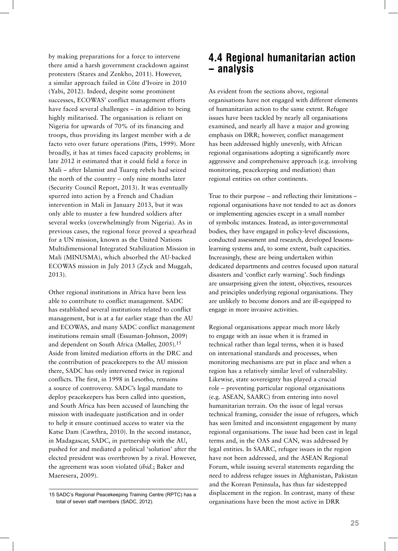by making preparations for a force to intervene there amid a harsh government crackdown against protesters (Stares and Zenkho, 2011). However, a similar approach failed in Côte d'Ivoire in 2010 (Yabi, 2012). Indeed, despite some prominent successes, ECOWAS' conflict management efforts have faced several challenges – in addition to being highly militarised. The organisation is reliant on Nigeria for upwards of 70% of its financing and troops, thus providing its largest member with a de facto veto over future operations (Pitts, 1999). More broadly, it has at times faced capacity problems; in late 2012 it estimated that it could field a force in Mali – after Islamist and Tuareg rebels had seized the north of the country – only nine months later (Security Council Report, 2013). It was eventually spurred into action by a French and Chadian intervention in Mali in January 2013, but it was only able to muster a few hundred soldiers after several weeks (overwhelmingly from Nigeria). As in previous cases, the regional force proved a spearhead for a UN mission, known as the United Nations Multidimensional Integrated Stabilization Mission in Mali (MINUSMA), which absorbed the AU-backed ECOWAS mission in July 2013 (Zyck and Muggah, 2013).

Other regional institutions in Africa have been less able to contribute to conflict management. SADC has established several institutions related to conflict management, but is at a far earlier stage than the AU and ECOWAS, and many SADC conflict management institutions remain small (Essuman-Johnson, 2009) and dependent on South Africa (Møller, 2005).15 Aside from limited mediation efforts in the DRC and the contribution of peacekeepers to the AU mission there, SADC has only intervened twice in regional conflicts. The first, in 1998 in Lesotho, remains a source of controversy. SADC's legal mandate to deploy peacekeepers has been called into question, and South Africa has been accused of launching the mission with inadequate justification and in order to help it ensure continued access to water via the Katse Dam (Cawthra, 2010). In the second instance, in Madagascar, SADC, in partnership with the AU, pushed for and mediated a political 'solution' after the elected president was overthrown by a rival. However, the agreement was soon violated (*ibid.*; Baker and Maeresera, 2009).

## **4.4 Regional humanitarian action – analysis**

As evident from the sections above, regional organisations have not engaged with different elements of humanitarian action to the same extent. Refugee issues have been tackled by nearly all organisations examined, and nearly all have a major and growing emphasis on DRR; however, conflict management has been addressed highly unevenly, with African regional organisations adopting a significantly more aggressive and comprehensive approach (e.g. involving monitoring, peacekeeping and mediation) than regional entities on other continents.

True to their purpose – and reflecting their limitations – regional organisations have not tended to act as donors or implementing agencies except in a small number of symbolic instances. Instead, as inter-governmental bodies, they have engaged in policy-level discussions, conducted assessment and research, developed lessonslearning systems and, to some extent, built capacities. Increasingly, these are being undertaken within dedicated departments and centres focused upon natural disasters and 'conflict early warning'. Such findings are unsurprising given the intent, objectives, resources and principles underlying regional organisations. They are unlikely to become donors and are ill-equipped to engage in more invasive activities.

Regional organisations appear much more likely to engage with an issue when it is framed in technical rather than legal terms, when it is based on international standards and processes, when monitoring mechanisms are put in place and when a region has a relatively similar level of vulnerability. Likewise, state sovereignty has played a crucial role – preventing particular regional organisations (e.g. ASEAN, SAARC) from entering into novel humanitarian terrain. On the issue of legal versus technical framing, consider the issue of refugees, which has seen limited and inconsistent engagement by many regional organisations. The issue had been cast in legal terms and, in the OAS and CAN, was addressed by legal entities. In SAARC, refugee issues in the region have not been addressed, and the ASEAN Regional Forum, while issuing several statements regarding the need to address refugee issues in Afghanistan, Pakistan and the Korean Peninsula, has thus far sidestepped displacement in the region. In contrast, many of these organisations have been the most active in DRR

<sup>15</sup> SADC's Regional Peacekeeping Training Centre (RPTC) has a total of seven staff members (SADC, 2012).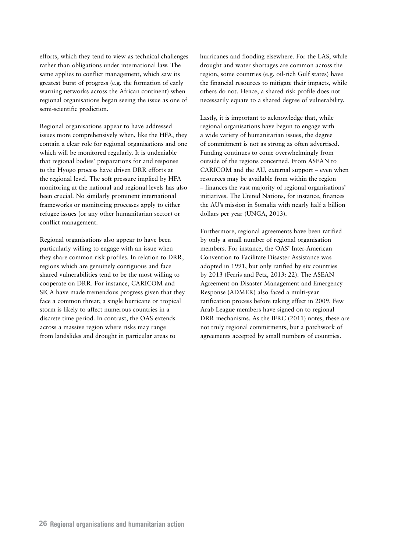efforts, which they tend to view as technical challenges rather than obligations under international law. The same applies to conflict management, which saw its greatest burst of progress (e.g. the formation of early warning networks across the African continent) when regional organisations began seeing the issue as one of semi-scientific prediction.

Regional organisations appear to have addressed issues more comprehensively when, like the HFA, they contain a clear role for regional organisations and one which will be monitored regularly. It is undeniable that regional bodies' preparations for and response to the Hyogo process have driven DRR efforts at the regional level. The soft pressure implied by HFA monitoring at the national and regional levels has also been crucial. No similarly prominent international frameworks or monitoring processes apply to either refugee issues (or any other humanitarian sector) or conflict management.

Regional organisations also appear to have been particularly willing to engage with an issue when they share common risk profiles. In relation to DRR, regions which are genuinely contiguous and face shared vulnerabilities tend to be the most willing to cooperate on DRR. For instance, CARICOM and SICA have made tremendous progress given that they face a common threat; a single hurricane or tropical storm is likely to affect numerous countries in a discrete time period. In contrast, the OAS extends across a massive region where risks may range from landslides and drought in particular areas to

hurricanes and flooding elsewhere. For the LAS, while drought and water shortages are common across the region, some countries (e.g. oil-rich Gulf states) have the financial resources to mitigate their impacts, while others do not. Hence, a shared risk profile does not necessarily equate to a shared degree of vulnerability.

Lastly, it is important to acknowledge that, while regional organisations have begun to engage with a wide variety of humanitarian issues, the degree of commitment is not as strong as often advertised. Funding continues to come overwhelmingly from outside of the regions concerned. From ASEAN to CARICOM and the AU, external support – even when resources may be available from within the region – finances the vast majority of regional organisations' initiatives. The United Nations, for instance, finances the AU's mission in Somalia with nearly half a billion dollars per year (UNGA, 2013).

Furthermore, regional agreements have been ratified by only a small number of regional organisation members. For instance, the OAS' Inter-American Convention to Facilitate Disaster Assistance was adopted in 1991, but only ratified by six countries by 2013 (Ferris and Petz, 2013: 22). The ASEAN Agreement on Disaster Management and Emergency Response (ADMER) also faced a multi-year ratification process before taking effect in 2009. Few Arab League members have signed on to regional DRR mechanisms. As the IFRC (2011) notes, these are not truly regional commitments, but a patchwork of agreements accepted by small numbers of countries.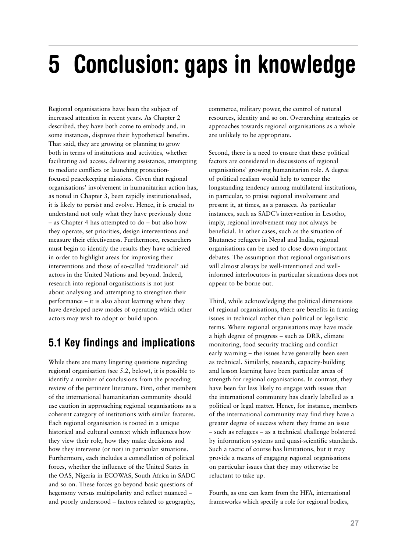# **5 Conclusion: gaps in knowledge**

Regional organisations have been the subject of increased attention in recent years. As Chapter 2 described, they have both come to embody and, in some instances, disprove their hypothetical benefits. That said, they are growing or planning to grow both in terms of institutions and activities, whether facilitating aid access, delivering assistance, attempting to mediate conflicts or launching protectionfocused peacekeeping missions. Given that regional organisations' involvement in humanitarian action has, as noted in Chapter 3, been rapidly institutionalised, it is likely to persist and evolve. Hence, it is crucial to understand not only what they have previously done – as Chapter 4 has attempted to do – but also how they operate, set priorities, design interventions and measure their effectiveness. Furthermore, researchers must begin to identify the results they have achieved in order to highlight areas for improving their interventions and those of so-called 'traditional' aid actors in the United Nations and beyond. Indeed, research into regional organisations is not just about analysing and attempting to strengthen their performance – it is also about learning where they have developed new modes of operating which other actors may wish to adopt or build upon.

## **5.1 Key findings and implications**

While there are many lingering questions regarding regional organisation (see 5.2, below), it is possible to identify a number of conclusions from the preceding review of the pertinent literature. First, other members of the international humanitarian community should use caution in approaching regional organisations as a coherent category of institutions with similar features. Each regional organisation is rooted in a unique historical and cultural context which influences how they view their role, how they make decisions and how they intervene (or not) in particular situations. Furthermore, each includes a constellation of political forces, whether the influence of the United States in the OAS, Nigeria in ECOWAS, South Africa in SADC and so on. These forces go beyond basic questions of hegemony versus multipolarity and reflect nuanced – and poorly understood – factors related to geography,

commerce, military power, the control of natural resources, identity and so on. Overarching strategies or approaches towards regional organisations as a whole are unlikely to be appropriate.

Second, there is a need to ensure that these political factors are considered in discussions of regional organisations' growing humanitarian role. A degree of political realism would help to temper the longstanding tendency among multilateral institutions, in particular, to praise regional involvement and present it, at times, as a panacea. As particular instances, such as SADC's intervention in Lesotho, imply, regional involvement may not always be beneficial. In other cases, such as the situation of Bhutanese refugees in Nepal and India, regional organisations can be used to close down important debates. The assumption that regional organisations will almost always be well-intentioned and wellinformed interlocutors in particular situations does not appear to be borne out.

Third, while acknowledging the political dimensions of regional organisations, there are benefits in framing issues in technical rather than political or legalistic terms. Where regional organisations may have made a high degree of progress – such as DRR, climate monitoring, food security tracking and conflict early warning – the issues have generally been seen as technical. Similarly, research, capacity-building and lesson learning have been particular areas of strength for regional organisations. In contrast, they have been far less likely to engage with issues that the international community has clearly labelled as a political or legal matter. Hence, for instance, members of the international community may find they have a greater degree of success where they frame an issue – such as refugees – as a technical challenge bolstered by information systems and quasi-scientific standards. Such a tactic of course has limitations, but it may provide a means of engaging regional organisations on particular issues that they may otherwise be reluctant to take up.

Fourth, as one can learn from the HFA, international frameworks which specify a role for regional bodies,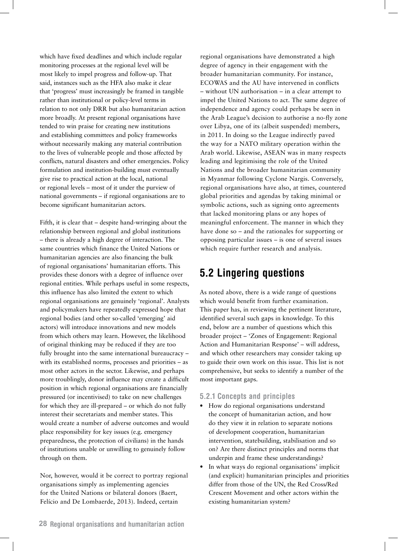which have fixed deadlines and which include regular monitoring processes at the regional level will be most likely to impel progress and follow-up. That said, instances such as the HFA also make it clear that 'progress' must increasingly be framed in tangible rather than institutional or policy-level terms in relation to not only DRR but also humanitarian action more broadly. At present regional organisations have tended to win praise for creating new institutions and establishing committees and policy frameworks without necessarily making any material contribution to the lives of vulnerable people and those affected by conflicts, natural disasters and other emergencies. Policy formulation and institution-building must eventually give rise to practical action at the local, national or regional levels – most of it under the purview of national governments – if regional organisations are to become significant humanitarian actors.

Fifth, it is clear that – despite hand-wringing about the relationship between regional and global institutions – there is already a high degree of interaction. The same countries which finance the United Nations or humanitarian agencies are also financing the bulk of regional organisations' humanitarian efforts. This provides these donors with a degree of influence over regional entities. While perhaps useful in some respects, this influence has also limited the extent to which regional organisations are genuinely 'regional'. Analysts and policymakers have repeatedly expressed hope that regional bodies (and other so-called 'emerging' aid actors) will introduce innovations and new models from which others may learn. However, the likelihood of original thinking may be reduced if they are too fully brought into the same international bureaucracy – with its established norms, processes and priorities – as most other actors in the sector. Likewise, and perhaps more troublingly, donor influence may create a difficult position in which regional organisations are financially pressured (or incentivised) to take on new challenges for which they are ill-prepared – or which do not fully interest their secretariats and member states. This would create a number of adverse outcomes and would place responsibility for key issues (e.g. emergency preparedness, the protection of civilians) in the hands of institutions unable or unwilling to genuinely follow through on them.

Nor, however, would it be correct to portray regional organisations simply as implementing agencies for the United Nations or bilateral donors (Baert, Felício and De Lombaerde, 2013). Indeed, certain

regional organisations have demonstrated a high degree of agency in their engagement with the broader humanitarian community. For instance, ECOWAS and the AU have intervened in conflicts – without UN authorisation – in a clear attempt to impel the United Nations to act. The same degree of independence and agency could perhaps be seen in the Arab League's decision to authorise a no-fly zone over Libya, one of its (albeit suspended) members, in 2011. In doing so the League indirectly paved the way for a NATO military operation within the Arab world. Likewise, ASEAN was in many respects leading and legitimising the role of the United Nations and the broader humanitarian community in Myanmar following Cyclone Nargis. Conversely, regional organisations have also, at times, countered global priorities and agendas by taking minimal or symbolic actions, such as signing onto agreements that lacked monitoring plans or any hopes of meaningful enforcement. The manner in which they have done so – and the rationales for supporting or opposing particular issues – is one of several issues which require further research and analysis.

## **5.2 Lingering questions**

As noted above, there is a wide range of questions which would benefit from further examination. This paper has, in reviewing the pertinent literature, identified several such gaps in knowledge. To this end, below are a number of questions which this broader project – 'Zones of Engagement: Regional Action and Humanitarian Response' – will address, and which other researchers may consider taking up to guide their own work on this issue. This list is not comprehensive, but seeks to identify a number of the most important gaps.

#### **5.2.1 Concepts and principles**

- How do regional organisations understand the concept of humanitarian action, and how do they view it in relation to separate notions of development cooperation, humanitarian intervention, statebuilding, stabilisation and so on? Are there distinct principles and norms that underpin and frame these understandings?
- In what ways do regional organisations' implicit (and explicit) humanitarian principles and priorities differ from those of the UN, the Red Cross/Red Crescent Movement and other actors within the existing humanitarian system?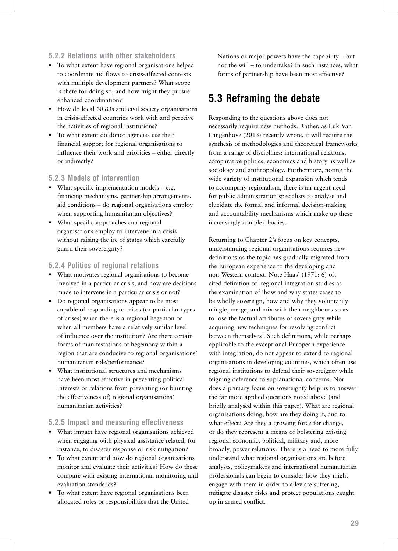#### **5.2.2 Relations with other stakeholders**

- To what extent have regional organisations helped to coordinate aid flows to crisis-affected contexts with multiple development partners? What scope is there for doing so, and how might they pursue enhanced coordination?
- How do local NGOs and civil society organisations in crisis-affected countries work with and perceive the activities of regional institutions?
- • To what extent do donor agencies use their financial support for regional organisations to influence their work and priorities – either directly or indirectly?

#### **5.2.3 Models of intervention**

- What specific implementation models e.g. financing mechanisms, partnership arrangements, aid conditions – do regional organisations employ when supporting humanitarian objectives?
- What specific approaches can regional organisations employ to intervene in a crisis without raising the ire of states which carefully guard their sovereignty?

#### **5.2.4 Politics of regional relations**

- What motivates regional organisations to become involved in a particular crisis, and how are decisions made to intervene in a particular crisis or not?
- Do regional organisations appear to be most capable of responding to crises (or particular types of crises) when there is a regional hegemon or when all members have a relatively similar level of influence over the institution? Are there certain forms of manifestations of hegemony within a region that are conducive to regional organisations' humanitarian role/performance?
- • What institutional structures and mechanisms have been most effective in preventing political interests or relations from preventing (or blunting the effectiveness of) regional organisations' humanitarian activities?

#### **5.2.5 Impact and measuring effectiveness**

- • What impact have regional organisations achieved when engaging with physical assistance related, for instance, to disaster response or risk mitigation?
- To what extent and how do regional organisations monitor and evaluate their activities? How do these compare with existing international monitoring and evaluation standards?
- To what extent have regional organisations been allocated roles or responsibilities that the United

Nations or major powers have the capability – but not the will – to undertake? In such instances, what forms of partnership have been most effective?

## **5.3 Reframing the debate**

Responding to the questions above does not necessarily require new methods. Rather, as Luk Van Langenhove (2013) recently wrote, it will require the synthesis of methodologies and theoretical frameworks from a range of disciplines: international relations, comparative politics, economics and history as well as sociology and anthropology. Furthermore, noting the wide variety of institutional expansion which tends to accompany regionalism, there is an urgent need for public administration specialists to analyse and elucidate the formal and informal decision-making and accountability mechanisms which make up these increasingly complex bodies.

Returning to Chapter 2's focus on key concepts, understanding regional organisations requires new definitions as the topic has gradually migrated from the European experience to the developing and non-Western context. Note Haas' (1971: 6) oftcited definition of regional integration studies as the examination of 'how and why states cease to be wholly sovereign, how and why they voluntarily mingle, merge, and mix with their neighbours so as to lose the factual attributes of sovereignty while acquiring new techniques for resolving conflict between themselves'. Such definitions, while perhaps applicable to the exceptional European experience with integration, do not appear to extend to regional organisations in developing countries, which often use regional institutions to defend their sovereignty while feigning deference to supranational concerns. Nor does a primary focus on sovereignty help us to answer the far more applied questions noted above (and briefly analysed within this paper). What are regional organisations doing, how are they doing it, and to what effect? Are they a growing force for change, or do they represent a means of bolstering existing regional economic, political, military and, more broadly, power relations? There is a need to more fully understand what regional organisations are before analysts, policymakers and international humanitarian professionals can begin to consider how they might engage with them in order to alleviate suffering, mitigate disaster risks and protect populations caught up in armed conflict.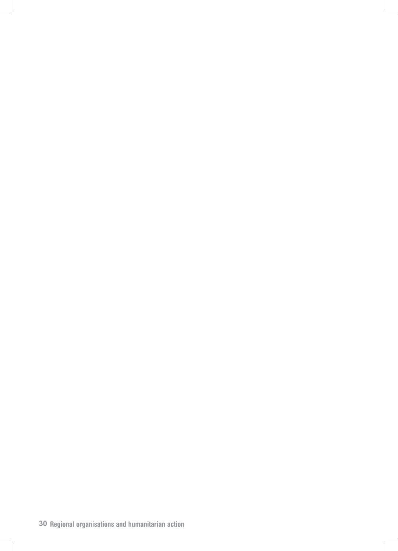**Regional organisations and humanitarian action**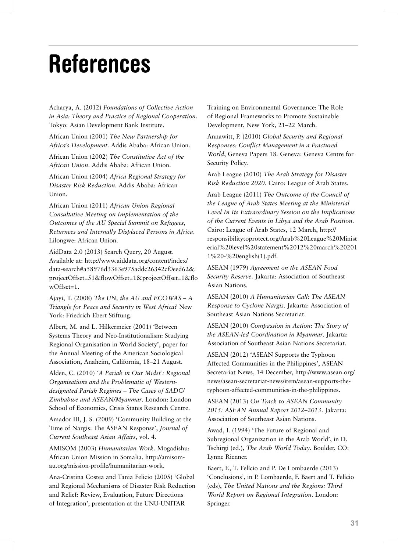# **References**

Acharya, A. (2012) *Foundations of Collective Action in Asia: Theory and Practice of Regional Cooperation*. Tokyo: Asian Development Bank Institute.

African Union (2001) *The New Partnership for Africa's Development*. Addis Ababa: African Union.

African Union (2002) *The Constitutive Act of the African Union*. Addis Ababa: African Union.

African Union (2004) *Africa Regional Strategy for Disaster Risk Reduction*. Addis Ababa: African Union.

African Union (2011) *African Union Regional Consultative Meeting on Implementation of the Outcomes of the AU Special Summit on Refugees, Returnees and Internally Displaced Persons in Africa*. Lilongwe: African Union.

AidData 2.0 (2013) Search Query, 20 August. Available at: http://www.aiddata.org/content/index/ data-search#a58976d3363e975addc26342cf0eed62& projectOffset=51&flowOffset=1&projectOffset=1&flo wOffset=1.

Ajayi, T. (2008) *The UN, the AU and ECOWAS – A Triangle for Peace and Security in West Africa?* New York: Friedrich Ebert Stiftung.

Albert, M. and L. Hilkermeier (2001) 'Between Systems Theory and Neo-Institutionalism: Studying Regional Organisation in World Society', paper for the Annual Meeting of the American Sociological Association, Anaheim, California, 18–21 August.

Alden, C. (2010) *'A Pariah in Our Midst': Regional Organisations and the Problematic of Westerndesignated Pariah Regimes – The Cases of SADC/ Zimbabwe and ASEAN/Myanmar*. London: London School of Economics, Crisis States Research Centre.

Amador III, J. S. (2009) 'Community Building at the Time of Nargis: The ASEAN Response', *Journal of Current Southeast Asian Affairs*, vol. 4.

AMISOM (2003) *Humanitarian Work*. Mogadishu: African Union Mission in Somalia, http://amisomau.org/mission-profile/humanitarian-work.

Ana-Cristina Costea and Tania Felicio (2005) 'Global and Regional Mechanisms of Disaster Risk Reduction and Relief: Review, Evaluation, Future Directions of Integration', presentation at the UNU-UNITAR

Training on Environmental Governance: The Role of Regional Frameworks to Promote Sustainable Development, New York, 21–22 March.

Annawitt, P. (2010) *Global Security and Regional Responses: Conflict Management in a Fractured World*, Geneva Papers 18. Geneva: Geneva Centre for Security Policy.

Arab League (2010) *The Arab Strategy for Disaster Risk Reduction 2020*. Cairo: League of Arab States.

Arab League (2011) *The Outcome of the Council of the League of Arab States Meeting at the Ministerial Level In Its Extraordinary Session on the Implications of the Current Events in Libya and the Arab Position*. Cairo: League of Arab States, 12 March, http:// responsibilitytoprotect.org/Arab%20League%20Minist erial%20level%20statement%2012%20march%20201 1%20-%20english(1).pdf.

ASEAN (1979) *Agreement on the ASEAN Food Security Reserve*. Jakarta: Association of Southeast Asian Nations.

ASEAN (2010) *A Humanitarian Call: The ASEAN Response to Cyclone Nargis*. Jakarta: Association of Southeast Asian Nations Secretariat.

ASEAN (2010) *Compassion in Action: The Story of the ASEAN-led Coordination in Myanmar*. Jakarta: Association of Southeast Asian Nations Secretariat.

ASEAN (2012) 'ASEAN Supports the Typhoon Affected Communities in the Philippines', ASEAN Secretariat News, 14 December, http://www.asean.org/ news/asean-secretariat-news/item/asean-supports-thetyphoon-affected-communities-in-the-philippines.

ASEAN (2013) *On Track to ASEAN Community 2015: ASEAN Annual Report 2012–2013*. Jakarta: Association of Southeast Asian Nations.

Awad, I. (1994) 'The Future of Regional and Subregional Organization in the Arab World', in D. Tschirgi (ed.), *The Arab World Today*. Boulder, CO: Lynne Rienner.

Baert, F., T. Felício and P. De Lombaerde (2013) 'Conclusions', in P. Lombaerde, F. Baert and T. Felício (eds), *The United Nations and the Regions: Third World Report on Regional Integration*. London: Springer.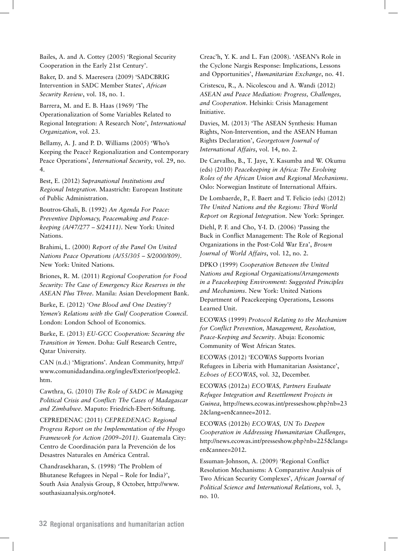Bailes, A. and A. Cottey (2005) 'Regional Security Cooperation in the Early 21st Century'.

Baker, D. and S. Maeresera (2009) 'SADCBRIG Intervention in SADC Member States', *African Security Review*, vol. 18, no. 1.

Barrera, M. and E. B. Haas (1969) 'The Operationalization of Some Variables Related to Regional Integration: A Research Note', *International Organization*, vol. 23.

Bellamy, A. J. and P. D. Williams (2005) 'Who's Keeping the Peace? Regionalization and Contemporary Peace Operations', *International Security*, vol. 29, no. 4.

Best, E. (2012) *Supranational Institutions and Regional Integration*. Maastricht: European Institute of Public Administration.

Boutros-Ghali, B. (1992) *An Agenda For Peace: Preventive Diplomacy, Peacemaking and Peacekeeping (A/47/277 – S/24111)*. New York: United Nations.

Brahimi, L. (2000) *Report of the Panel On United Nations Peace Operations (A/55/305 – S/2000/809)*. New York: United Nations.

Briones, R. M. (2011) *Regional Cooperation for Food Security: The Case of Emergency Rice Reserves in the ASEAN Plus Three*. Manila: Asian Development Bank.

Burke, E. (2012) *'One Blood and One Destiny'? Yemen's Relations with the Gulf Cooperation Council*. London: London School of Economics.

Burke, E. (2013) *EU-GCC Cooperation: Securing the Transition in Yemen*. Doha: Gulf Research Centre, Qatar University.

CAN (n.d.) 'Migrations'. Andean Community, http:// www.comunidadandina.org/ingles/Exterior/people2. htm.

Cawthra, G. (2010) *The Role of SADC in Managing Political Crisis and Conflict: The Cases of Madagascar and Zimbabwe*. Maputo: Friedrich-Ebert-Stiftung.

CEPREDENAC (2011) *CEPREDENAC: Regional Progress Report on the Implementation of the Hyogo Framework for Action (2009–2011)*. Guatemala City: Centro de Coordinación para la Prevención de los Desastres Naturales en América Central.

Chandrasekharan, S. (1998) 'The Problem of Bhutanese Refugees in Nepal – Role for India?', South Asia Analysis Group, 8 October, http://www. southasiaanalysis.org/note4.

Creac'h, Y. K. and L. Fan (2008). 'ASEAN's Role in the Cyclone Nargis Response: Implications, Lessons and Opportunities', *Humanitarian Exchange*, no. 41.

Cristescu, R., A. Nicolescou and A. Wandi (2012) *ASEAN and Peace Mediation: Progress, Challenges, and Cooperation*. Helsinki: Crisis Management Initiative.

Davies, M. (2013) 'The ASEAN Synthesis: Human Rights, Non-Intervention, and the ASEAN Human Rights Declaration', *Georgetown Journal of International Affairs*, vol. 14, no. 2.

De Carvalho, B., T. Jaye, Y. Kasumba and W. Okumu (eds) (2010) *Peacekeeping in Africa: The Evolving Roles of the African Union and Regional Mechanisms*. Oslo: Norwegian Institute of International Affairs.

De Lombaerde, P., F. Baert and T. Felicio (eds) (2012) *The United Nations and the Regions: Third World Report on Regional Integration*. New York: Springer.

Diehl, P. F. and Cho, Y-I. D. (2006) 'Passing the Buck in Conflict Management: The Role of Regional Organizations in the Post-Cold War Era', *Brown Journal of World Affairs*, vol. 12, no. 2.

DPKO (1999) *Cooperation Between the United Nations and Regional Organizations/Arrangements in a Peacekeeping Environment: Suggested Principles and Mechanisms*. New York: United Nations Department of Peacekeeping Operations, Lessons Learned Unit.

ECOWAS (1999) *Protocol Relating to the Mechanism for Conflict Prevention, Management, Resolution, Peace-Keeping and Security*. Abuja: Economic Community of West African States.

ECOWAS (2012) 'ECOWAS Supports Ivorian Refugees in Liberia with Humanitarian Assistance', *Echoes of ECOWAS*, vol. 32, December.

ECOWAS (2012a) *ECOWAS, Partners Evaluate Refugee Integration and Resettlement Projects in Guinea*, http://news.ecowas.int/presseshow.php?nb=23 2&lang=en&annee=2012.

ECOWAS (2012b) *ECOWAS, UN To Deepen Cooperation in Addressing Humanitarian Challenges*, http://news.ecowas.int/presseshow.php?nb=225&lang= en&annee=2012.

Essuman-Johnson, A. (2009) 'Regional Conflict Resolution Mechanisms: A Comparative Analysis of Two African Security Complexes', *African Journal of Political Science and International Relations*, vol. 3, no. 10.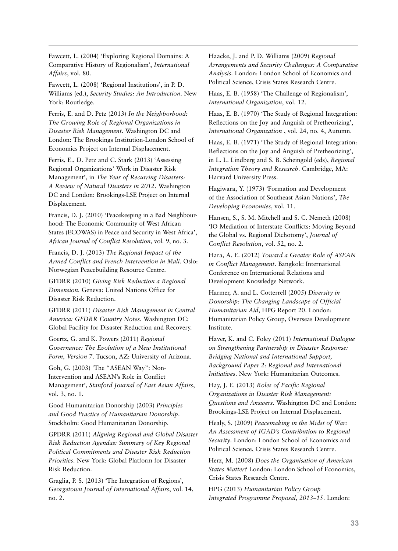Fawcett, L. (2004) 'Exploring Regional Domains: A Comparative History of Regionalism', *International Affairs*, vol. 80.

Fawcett, L. (2008) 'Regional Institutions', in P. D. Williams (ed.), *Security Studies: An Introduction*. New York: Routledge.

Ferris, E. and D. Petz (2013) *In the Neighborhood: The Growing Role of Regional Organizations in Disaster Risk Management*. Washington DC and London: The Brookings Institution-London School of Economics Project on Internal Displacement.

Ferris, E., D. Petz and C. Stark (2013) 'Assessing Regional Organizations' Work in Disaster Risk Management', in *The Year of Recurring Disasters: A Review of Natural Disasters in 2012*. Washington DC and London: Brookings-LSE Project on Internal Displacement.

Francis, D. J. (2010) 'Peacekeeping in a Bad Neighbourhood: The Economic Community of West African States (ECOWAS) in Peace and Security in West Africa', *African Journal of Conflict Resolution*, vol. 9, no. 3.

Francis, D. J. (2013) *The Regional Impact of the Armed Conflict and French Intervention in Mali*. Oslo: Norwegian Peacebuilding Resource Centre.

GFDRR (2010) *Giving Risk Reduction a Regional Dimension*. Geneva: United Nations Office for Disaster Risk Reduction.

GFDRR (2011) *Disaster Risk Management in Central America: GFDRR Country Notes*. Washington DC: Global Facility for Disaster Reduction and Recovery.

Goertz, G. and K. Powers (2011) *Regional Governance: The Evolution of a New Institutional Form, Version 7*. Tucson, AZ: University of Arizona.

Goh, G. (2003) 'The "ASEAN Way": Non-Intervention and ASEAN's Role in Conflict Management', *Stanford Journal of East Asian Affairs*, vol. 3, no. 1.

Good Humanitarian Donorship (2003) *Principles and Good Practice of Humanitarian Donorship*. Stockholm: Good Humanitarian Donorship.

GPDRR (2011) *Aligning Regional and Global Disaster Risk Reduction Agendas: Summary of Key Regional Political Commitments and Disaster Risk Reduction Priorities*. New York: Global Platform for Disaster Risk Reduction.

Graglia, P. S. (2013) 'The Integration of Regions', *Georgetown Journal of International Affairs*, vol. 14, no. 2.

Haacke, J. and P. D. Williams (2009) *Regional Arrangements and Security Challenges: A Comparative Analysis*. London: London School of Economics and Political Science, Crisis States Research Centre.

Haas, E. B. (1958) 'The Challenge of Regionalism', *International Organization*, vol. 12.

Haas, E. B. (1970) 'The Study of Regional Integration: Reflections on the Joy and Anguish of Pretheorizing', *International Organization* , vol. 24, no. 4, Autumn.

Haas, E. B. (1971) 'The Study of Regional Integration: Reflections on the Joy and Anguish of Pretheorizing', in L. L. Lindberg and S. B. Scheingold (eds), *Regional Integration Theory and Research*. Cambridge, MA: Harvard University Press.

Hagiwara, Y. (1973) 'Formation and Development of the Association of Southeast Asian Nations', *The Developing Economies*, vol. 11.

Hansen, S., S. M. Mitchell and S. C. Nemeth (2008) 'IO Mediation of Interstate Conflicts: Moving Beyond the Global vs. Regional Dichotomy', *Journal of Conflict Resolution*, vol. 52, no. 2.

Hara, A. E. (2012) *Toward a Greater Role of ASEAN in Conflict Management*. Bangkok: International Conference on International Relations and Development Knowledge Network.

Harmer, A. and L. Cotterrell (2005) *Diversity in Donorship: The Changing Landscape of Official Humanitarian Aid*, HPG Report 20. London: Humanitarian Policy Group, Overseas Development Institute.

Haver, K. and C. Foley (2011) *International Dialogue on Strengthening Partnership in Disaster Response: Bridging National and International Support, Background Paper 2: Regional and International Initiatives*. New York: Humanitarian Outcomes.

Hay, J. E. (2013) *Roles of Pacific Regional Organizations in Disaster Risk Management: Questions and Answers*. Washington DC and London: Brookings-LSE Project on Internal Displacement.

Healy, S. (2009) *Peacemaking in the Midst of War: An Assessment of IGAD's Contribution to Regional Security*. London: London School of Economics and Political Science, Crisis States Research Centre.

Herz, M. (2008) *Does the Organisation of American States Matter?* London: London School of Economics, Crisis States Research Centre.

HPG (2013) *Humanitarian Policy Group Integrated Programme Proposal, 2013–15*. London: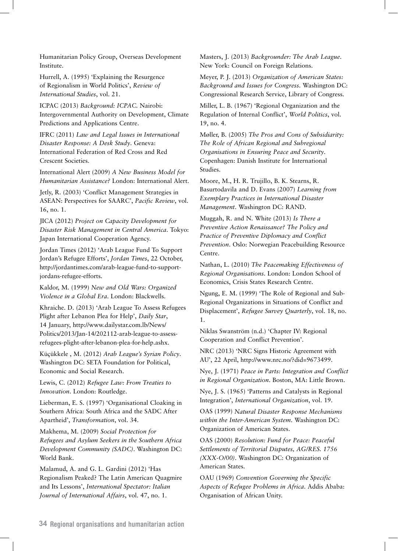Humanitarian Policy Group, Overseas Development Institute.

Hurrell, A. (1995) 'Explaining the Resurgence of Regionalism in World Politics', *Review of International Studies*, vol. 21.

ICPAC (2013) *Background: ICPAC.* Nairobi: Intergovernmental Authority on Development, Climate Predictions and Applications Centre.

IFRC (2011) *Law and Legal Issues in International Disaster Response: A Desk Study*. Geneva: International Federation of Red Cross and Red Crescent Societies.

International Alert (2009) *A New Business Model for Humanitarian Assistance?* London: International Alert.

Jetly, R. (2003) 'Conflict Management Strategies in ASEAN: Perspectives for SAARC', *Pacific Review*, vol. 16, no. 1.

JICA (2012) *Project on Capacity Development for Disaster Risk Management in Central America*. Tokyo: Japan International Cooperation Agency.

Jordan Times (2012) 'Arab League Fund To Support Jordan's Refugee Efforts', *Jordan Times*, 22 October, http://jordantimes.com/arab-league-fund-to-supportjordans-refugee-efforts.

Kaldor, M. (1999) *New and Old Wars: Organized Violence in a Global Era*. London: Blackwells.

Khraiche. D. (2013) 'Arab League To Assess Refugees Plight after Lebanon Plea for Help', *Daily Star*, 14 January, http://www.dailystar.com.lb/News/ Politics/2013/Jan-14/202112-arab-league-to-assessrefugees-plight-after-lebanon-plea-for-help.ashx.

Küçükkeleş, M. (2012) *Arab League's Syrian Policy*. Washington DC: SETA Foundation for Political, Economic and Social Research.

Lewis, C. (2012) *Refugee Law: From Treaties to Innovation*. London: Routledge.

Lieberman, E. S. (1997) 'Organisational Cloaking in Southern Africa: South Africa and the SADC After Apartheid', *Transformation*, vol. 34.

Makhema, M. (2009) *Social Protection for Refugees and Asylum Seekers in the Southern Africa Development Community (SADC)*. Washington DC: World Bank.

Malamud, A. and G. L. Gardini (2012) 'Has Regionalism Peaked? The Latin American Quagmire and Its Lessons', *International Spectator: Italian Journal of International Affairs*, vol. 47, no. 1.

Masters, J. (2013) *Backgrounder: The Arab League*. New York: Council on Foreign Relations.

Meyer, P. J. (2013) *Organization of American States: Background and Issues for Congress*. Washington DC: Congressional Research Service, Library of Congress.

Miller, L. B. (1967) 'Regional Organization and the Regulation of Internal Conflict', *World Politics*, vol. 19, no. 4.

Møller, B. (2005) *The Pros and Cons of Subsidiarity: The Role of African Regional and Subregional Organisations in Ensuring Peace and Security*. Copenhagen: Danish Institute for International Studies.

Moore, M., H. R. Trujillo, B. K. Stearns, R. Basurtodavila and D. Evans (2007) *Learning from Exemplary Practices in International Disaster Management*. Washington DC: RAND.

Muggah, R. and N. White (2013) *Is There a Preventive Action Renaissance? The Policy and Practice of Preventive Diplomacy and Conflict Prevention*. Oslo: Norwegian Peacebuilding Resource Centre.

Nathan, L. (2010) *The Peacemaking Effectiveness of Regional Organisations*. London: London School of Economics, Crisis States Research Centre.

Ngung, E. M. (1999) 'The Role of Regional and Sub-Regional Organizations in Situations of Conflict and Displacement', *Refugee Survey Quarterly*, vol. 18, no. 1.

Niklas Swanström (n.d.) 'Chapter IV: Regional Cooperation and Conflict Prevention'.

NRC (2013) 'NRC Signs Historic Agreement with AU', 22 April, http://www.nrc.no/?did=9673499.

Nye, J. (1971) *Peace in Parts: Integration and Conflict in Regional Organization*. Boston, MA: Little Brown.

Nye, J. S. (1965) 'Patterns and Catalysts in Regional Integration', *International Organization*, vol. 19.

OAS (1999) *Natural Disaster Response Mechanisms within the Inter-American System*. Washington DC: Organization of American States.

OAS (2000) *Resolution: Fund for Peace: Peaceful Settlements of Territorial Disputes, AG/RES. 1756 (XXX-O/00)*. Washington DC: Organization of American States.

OAU (1969) *Convention Governing the Specific Aspects of Refugee Problems in Africa*. Addis Ababa: Organisation of African Unity.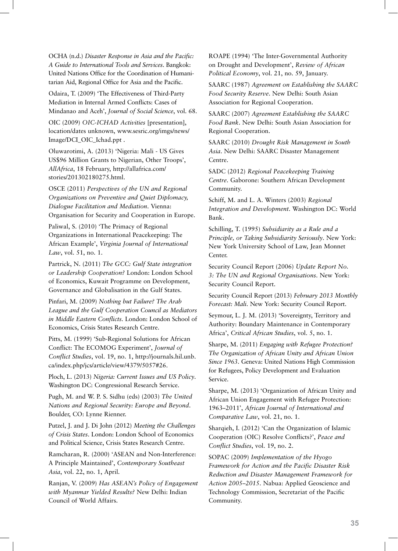OCHA (n.d.) *Disaster Response in Asia and the Pacific: A Guide to International Tools and Services*. Bangkok: United Nations Office for the Coordination of Humanitarian Aid, Regional Office for Asia and the Pacific.

Odaira, T. (2009) 'The Effectiveness of Third-Party Mediation in Internal Armed Conflicts: Cases of Mindanao and Aceh', *Journal of Social Science*, vol. 68.

OIC (2009) *OIC-ICHAD Activities* [presentation], location/dates unknown, www.sesric.org/imgs/news/ Image/DCI\_OIC\_Ichad.ppt .

Oluwarotimi, A. (2013) 'Nigeria: Mali - US Gives US\$96 Million Grants to Nigerian, Other Troops', *AllAfrica*, 18 February, http://allafrica.com/ stories/201302180275.html.

OSCE (2011) *Perspectives of the UN and Regional Organizations on Preventive and Quiet Diplomacy, Dialogue Facilitation and Mediation*. Vienna: Organisation for Security and Cooperation in Europe.

Paliwal, S. (2010) 'The Primacy of Regional Organizations in International Peacekeeping: The African Example', *Virginia Journal of International Law*, vol. 51, no. 1.

Partrick, N. (2011) *The GCC: Gulf State integration or Leadership Cooperation?* London: London School of Economics, Kuwait Programme on Development, Governance and Globalisation in the Gulf States.

Pinfari, M. (2009) *Nothing but Failure? The Arab League and the Gulf Cooperation Council as Mediators in Middle Eastern Conflicts*. London: London School of Economics, Crisis States Research Centre.

Pitts, M. (1999) 'Sub-Regional Solutions for African Conflict: The ECOMOG Experiment', *Journal of Conflict Studies*, vol. 19, no. 1, http://journals.hil.unb. ca/index.php/jcs/article/view/4379/5057#26.

Ploch, L. (2013) *Nigeria: Current Issues and US Policy*. Washington DC: Congressional Research Service.

Pugh, M. and W. P. S. Sidhu (eds) (2003) *The United Nations and Regional Security: Europe and Beyond*. Boulder, CO: Lynne Rienner.

Putzel, J. and J. Di John (2012) *Meeting the Challenges of Crisis States*. London: London School of Economics and Political Science, Crisis States Research Centre.

Ramcharan, R. (2000) 'ASEAN and Non-Interference: A Principle Maintained', *Contemporary Southeast Asia*, vol. 22, no. 1, April.

Ranjan, V. (2009) *Has ASEAN's Policy of Engagement with Myanmar Yielded Results?* New Delhi: Indian Council of World Affairs.

ROAPE (1994) 'The Inter-Governmental Authority on Drought and Development', *Review of African Political Economy*, vol. 21, no. 59, January.

SAARC (1987) *Agreement on Establishing the SAARC Food Security Reserve*. New Delhi: South Asian Association for Regional Cooperation.

SAARC (2007) *Agreement Establishing the SAARC Food Bank*. New Delhi: South Asian Association for Regional Cooperation.

SAARC (2010) *Drought Risk Management in South Asia*. New Delhi: SAARC Disaster Management Centre.

SADC (2012) *Regional Peacekeeping Training Centre*. Gaborone: Southern African Development Community.

Schiff, M. and L. A. Winters (2003) *Regional Integration and Development*. Washington DC: World Bank.

Schilling, T. (1995) *Subsidiarity as a Rule and a Principle, or Taking Subsidiarity Seriously*. New York: New York University School of Law, Jean Monnet Center.

Security Council Report (2006) *Update Report No. 3: The UN and Regional Organisations*. New York: Security Council Report.

Security Council Report (2013) *February 2013 Monthly Forecast: Mali*. New York: Security Council Report.

Seymour, L. J. M. (2013) 'Sovereignty, Territory and Authority: Boundary Maintenance in Contemporary Africa', *Critical African Studies*, vol. 5, no. 1.

Sharpe, M. (2011) *Engaging with Refugee Protection? The Organization of African Unity and African Union Since 1963*. Geneva: United Nations High Commission for Refugees, Policy Development and Evaluation Service.

Sharpe, M. (2013) 'Organization of African Unity and African Union Engagement with Refugee Protection: 1963–2011', *African Journal of International and Comparative Law*, vol. 21, no. 1.

Sharqieh, I. (2012) 'Can the Organization of Islamic Cooperation (OIC) Resolve Conflicts?', *Peace and Conflict Studies*, vol. 19, no. 2.

SOPAC (2009) *Implementation of the Hyogo Framework for Action and the Pacific Disaster Risk Reduction and Disaster Management Framework for Action 2005–2015*. Nabua: Applied Geoscience and Technology Commission, Secretariat of the Pacific Community.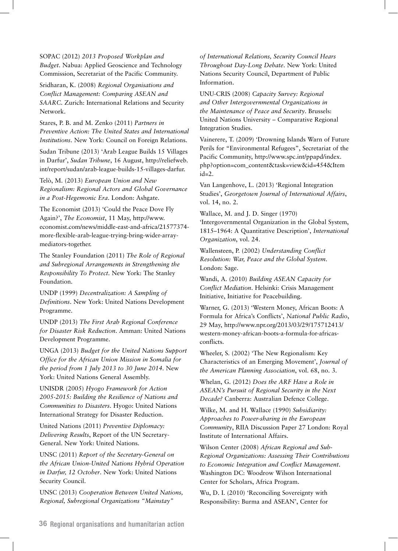SOPAC (2012) *2013 Proposed Workplan and Budget*. Nabua: Applied Geoscience and Technology Commission, Secretariat of the Pacific Community.

Sridharan, K. (2008) *Regional Organisations and Conflict Management: Comparing ASEAN and SAARC*. Zurich: International Relations and Security Network.

Stares, P. B. and M. Zenko (2011) *Partners in Preventive Action: The United States and International Institutions*. New York: Council on Foreign Relations.

Sudan Tribune (2013) 'Arab League Builds 15 Villages in Darfur', *Sudan Tribune*, 16 August, http://reliefweb. int/report/sudan/arab-league-builds-15-villages-darfur.

Telò, M. (2013) *European Union and New Regionalism: Regional Actors and Global Governance in a Post-Hegemonic Era*. London: Ashgate.

The Economist (2013) 'Could the Peace Dove Fly Again?', *The Economist*, 11 May, http://www. economist.com/news/middle-east-and-africa/21577374 more-flexible-arab-league-trying-bring-wider-arraymediators-together.

The Stanley Foundation (2011) *The Role of Regional and Subregional Arrangements in Strengthening the Responsibility To Protect*. New York: The Stanley Foundation.

UNDP (1999) *Decentralization: A Sampling of Definitions*. New York: United Nations Development Programme.

UNDP (2013) *The First Arab Regional Conference for Disaster Risk Reduction*. Amman: United Nations Development Programme.

UNGA (2013) *Budget for the United Nations Support Office for the African Union Mission in Somalia for the period from 1 July 2013 to 30 June 2014*. New York: United Nations General Assembly.

UNISDR (2005) *Hyogo Framework for Action 2005-2015: Building the Resilience of Nations and Communities to Disasters*. Hyogo: United Nations International Strategy for Disaster Reduction.

United Nations (2011) *Preventive Diplomacy: Delivering Results*, Report of the UN Secretary-General. New York: United Nations.

UNSC (2011) *Report of the Secretary-General on the African Union-United Nations Hybrid Operation in Darfur, 12 October*. New York: United Nations Security Council.

UNSC (2013) *Cooperation Between United Nations, Regional, Subregional Organizations "Mainstay"* 

*of International Relations, Security Council Hears Throughout Day-Long Debate*. New York: United Nations Security Council, Department of Public Information.

UNU-CRIS (2008) *Capacity Survey: Regional and Other Intergovernmental Organizations in the Maintenance of Peace and Security*. Brussels: United Nations University – Comparative Regional Integration Studies.

Vainerere, T. (2009) 'Drowning Islands Warn of Future Perils for "Environmental Refugees", Secretariat of the Pacific Community, http://www.spc.int/ppapd/index. php?option=com\_content&task=view&id=454&Item  $id=2$ .

Van Langenhove, L. (2013) 'Regional Integration Studies', *Georgetown Journal of International Affairs*, vol. 14, no. 2.

Wallace, M. and J. D. Singer (1970) 'Intergovernmental Organization in the Global System, 1815–1964: A Quantitative Description', *International* 

Wallensteen, P. (2002) *Understanding Conflict Resolution: War, Peace and the Global System*. London: Sage.

*Organization*, vol. 24.

Wandi, A. (2010) *Building ASEAN Capacity for Conflict Mediation*. Helsinki: Crisis Management Initiative, Initiative for Peacebuilding.

Warner, G. (2013) 'Western Money, African Boots: A Formula for Africa's Conflicts', *National Public Radio*, 29 May, http://www.npr.org/2013/03/29/175712413/ western-money-african-boots-a-formula-for-africasconflicts.

Wheeler, S. (2002) 'The New Regionalism: Key Characteristics of an Emerging Movement', *Journal of the American Planning Association*, vol. 68, no. 3.

Whelan, G. (2012) *Does the ARF Have a Role in ASEAN's Pursuit of Regional Security in the Next Decade?* Canberra: Australian Defence College.

Wilke, M. and H. Wallace (1990) *Subsidiarity: Approaches to Power-sharing in the European Community*, RIIA Discussion Paper 27 London: Royal Institute of International Affairs.

Wilson Center (2008) *African Regional and Sub-Regional Organizations: Assessing Their Contributions to Economic Integration and Conflict Management*. Washington DC: Woodrow Wilson International Center for Scholars, Africa Program.

Wu, D. I. (2010) 'Reconciling Sovereignty with Responsibility: Burma and ASEAN', Center for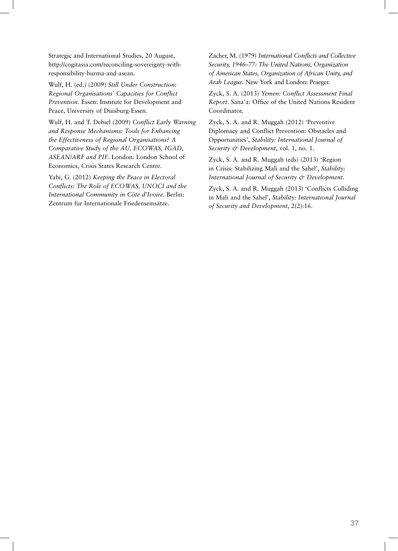Strategic and International Studies, 20 August, http://cogitasia.com/reconciling-sovereignty-withresponsibility-burma-and-asean.

Wulf, H. (ed.) (2009) *Still Under Construction: Regional Organisations' Capacities for Conflict Prevention*. Essen: Institute for Development and Peace, University of Duisburg-Essen.

Wulf, H. and T. Debiel (2009) *Conflict Early Warning and Response Mechanisms: Tools for Enhancing the Effectiveness of Regional Organisations? A Comparative Study of the AU, ECOWAS, IGAD, ASEAN/ARF and PIF*. London: London School of Economics, Crisis States Research Centre.

Yabi, G. (2012) *Keeping the Peace in Electoral Conflicts: The Role of ECOWAS, UNOCI and the International Community in Côte d'Ivoire*. Berlin: Zentrum für Internationale Friedenseinsätze.

Zacher, M. (1979) *International Conflicts and Collective Security, 1946–77: The United Nations, Organization of American States, Organization of African Unity, and Arab League*. New York and London: Praeger.

Zyck, S. A. (2013) *Yemen: Conflict Assessment Final Report*. Sana'a: Office of the United Nations Resident Coordinator.

Zyck, S. A. and R. Muggah (2012) 'Preventive Diplomacy and Conflict Prevention: Obstacles and Opportunities', *Stability: International Journal of Security & Development*, vol. 1, no. 1.

Zyck, S. A. and R. Muggah (eds) (2013) 'Region in Crisis: Stabilizing Mali and the Sahel', *Stability: International Journal of Security & Development*.

Zyck, S. A. and R. Muggah (2013) 'Conflicts Colliding in Mali and the Sahel', *Stability: International Journal of Security and Development*, 2(2):16.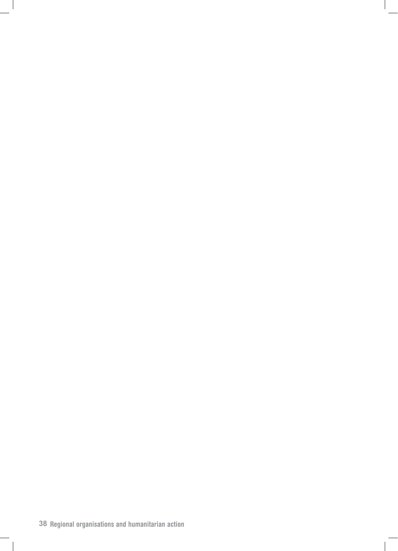**Regional organisations and humanitarian action**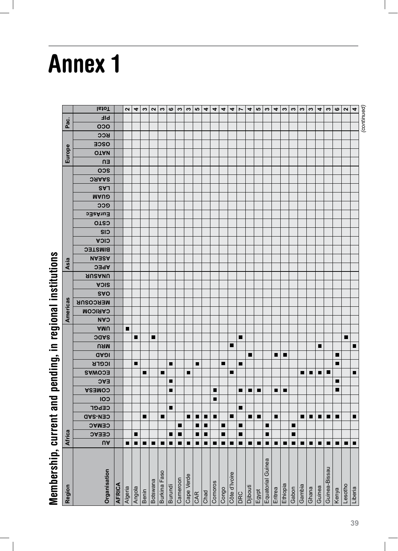#### **Total** (continued) *(continued)***4 3 2 3 6 3 3 5 4 4 4 4 4** <u>မ</u>ာ <u>ო</u> **4** <u>ო</u> **3 3** <u>ო</u> **4** <u>ო</u> **6 4**  $\boldsymbol{\alpha}$ **7**  $\boldsymbol{\alpha}$ **PIF** Pac. **Region Africa Americas Asia Europe Pac. OCO RCC OSCE** Europe **NATO EU SCO SAARC LAS GUAM GCC EurAsEc CSTO CIS CICA BIMSTEC** Membership, current and pending, in regional institutions **Membership, current and pending, in regional institutions ASEAN** Asia **APEC UNASUR SICA OAS** Americas **MERCOSUR CARICOM CAN UMA**  $\blacksquare$  $\blacksquare$  $\blacksquare$  $\blacksquare$  $\blacksquare$ **SADC**  $\blacksquare$ **MRU**  $\blacksquare$  $\blacksquare$  $\blacksquare$  $\blacksquare$  $\blacksquare$ **IGAD**  $\blacksquare$  $\blacksquare$  $\blacksquare$  $\blacksquare$  $\blacksquare$ **ICGLR**  $\blacksquare$  $\blacksquare$  $\blacksquare$  $\blacksquare$   $\blacksquare$  $\blacksquare$ **ECOWAS**  $\blacksquare$  $\blacksquare$  $\blacksquare$  $\blacksquare$  $\blacksquare$ **EAC**  $\blacksquare$  $\blacksquare$  $\blacksquare$ **COMESA**  $\blacksquare$  $\blacksquare$  $\blacksquare$  $\blacksquare$  $\blacksquare$  $\blacksquare$  $\begin{array}{c} \hline \end{array}$ **COI**  $\blacksquare$ **CEPGL**  $\blacksquare$  $\blacksquare$ **CEN-SAD**  $\blacksquare$  $\blacksquare$  $\blacksquare$  $\blacksquare$  $\blacksquare$  $\blacksquare$  $\blacksquare$  $\blacksquare$  $\blacksquare$  $\blacksquare$  $\blacksquare$  $\blacksquare$  $\blacksquare$  $\blacksquare$  $\blacksquare$  $\blacksquare$ **CEMAC**  $\blacksquare$  $\blacksquare$  $\blacksquare$  $\blacksquare$  $\blacksquare$ **Africa CEEAC**  $\blacksquare$  $\blacksquare$  $\blacksquare$  $\blacksquare$  $\blacksquare$  $\blacksquare$  $\blacksquare$ **AU**  $\blacksquare$  $\blacksquare$  $\blacksquare$  $\blacksquare$  $\blacksquare$  $\blacksquare$  $\blacksquare$  $\blacksquare$  $\blacksquare$  $\blacksquare$  $\blacksquare$  $\blacksquare$  $\blacksquare$  $\blacksquare$  $\blacksquare$  $\blacksquare$  $\blacksquare$  $\blacksquare$  $\blacksquare$  $\blacksquare$  $\blacksquare$  $\blacksquare$  $\blacksquare$  $\blacksquare$  $\blacksquare$  $\blacksquare$  $\blacksquare$ Equatorial Guinea Equatorial Guinea Organisation Guinea-Bissau Guinea-Bissau **Organisation Burkina Faso** Burkina Faso Côte d'Ivoire Côte d'Ivoire Cape Verde Cape Verde Cameroon Cameroon Botswana Botswana Comoros **Comoros** Ethiopia **AFRICA** Gambia Lesotho Angola Burundi Djibouti Gabon Region Algeria Ghana Guinea Liberia Congo Eritrea Kenya Benin Egypt Chad DRC CAR

# **Annex 1**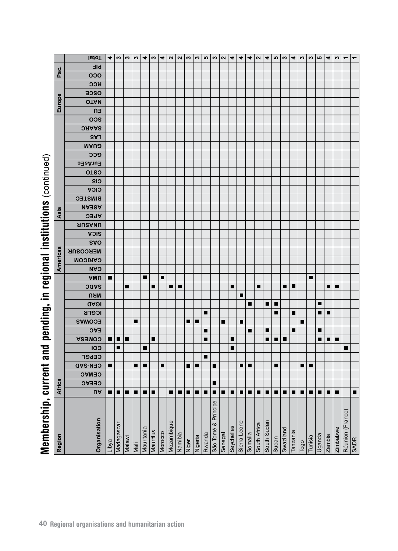|                           |               | <b>IstoT</b>    | 4              | S              | S              | S              | 4              | က              | 4       | $\sim$     | $\mathbf{\Omega}$ | S              | S              | <b>5</b>       | S                   | $\mathbf{\Omega}$ | 4              | 4              | 4                            | $\boldsymbol{\mathsf{N}}$ | $\blacktriangleleft$ | 5              | w              | 4              | S              | S              | 5              | 4              | S              | $\overline{\phantom{0}}$ | $\overline{\phantom{0}}$ |
|---------------------------|---------------|-----------------|----------------|----------------|----------------|----------------|----------------|----------------|---------|------------|-------------------|----------------|----------------|----------------|---------------------|-------------------|----------------|----------------|------------------------------|---------------------------|----------------------|----------------|----------------|----------------|----------------|----------------|----------------|----------------|----------------|--------------------------|--------------------------|
|                           |               | <b>PIF</b>      |                |                |                |                |                |                |         |            |                   |                |                |                |                     |                   |                |                |                              |                           |                      |                |                |                |                |                |                |                |                |                          |                          |
|                           | Pac.          | 000             |                |                |                |                |                |                |         |            |                   |                |                |                |                     |                   |                |                |                              |                           |                      |                |                |                |                |                |                |                |                |                          |                          |
|                           |               | <b>RCC</b>      |                |                |                |                |                |                |         |            |                   |                |                |                |                     |                   |                |                |                              |                           |                      |                |                |                |                |                |                |                |                |                          |                          |
|                           |               | OSCE            |                |                |                |                |                |                |         |            |                   |                |                |                |                     |                   |                |                |                              |                           |                      |                |                |                |                |                |                |                |                |                          |                          |
|                           | Europe        | <b>OTAN</b>     |                |                |                |                |                |                |         |            |                   |                |                |                |                     |                   |                |                |                              |                           |                      |                |                |                |                |                |                |                |                |                          |                          |
|                           |               | EN              |                |                |                |                |                |                |         |            |                   |                |                |                |                     |                   |                |                |                              |                           |                      |                |                |                |                |                |                |                |                |                          |                          |
|                           |               | OOS             |                |                |                |                |                |                |         |            |                   |                |                |                |                     |                   |                |                |                              |                           |                      |                |                |                |                |                |                |                |                |                          |                          |
|                           |               | <b>SAARC</b>    |                |                |                |                |                |                |         |            |                   |                |                |                |                     |                   |                |                |                              |                           |                      |                |                |                |                |                |                |                |                |                          |                          |
|                           |               | <b>SAJ</b>      |                |                |                |                |                |                |         |            |                   |                |                |                |                     |                   |                |                |                              |                           |                      |                |                |                |                |                |                |                |                |                          |                          |
|                           |               | <b>MAUQ</b>     |                |                |                |                |                |                |         |            |                   |                |                |                |                     |                   |                |                |                              |                           |                      |                |                |                |                |                |                |                |                |                          |                          |
|                           |               | <b>CCC</b>      |                |                |                |                |                |                |         |            |                   |                |                |                |                     |                   |                |                |                              |                           |                      |                |                |                |                |                |                |                |                |                          |                          |
|                           |               | <b>BurAsEc</b>  |                |                |                |                |                |                |         |            |                   |                |                |                |                     |                   |                |                |                              |                           |                      |                |                |                |                |                |                |                |                |                          |                          |
|                           |               | <b>OTSO</b>     |                |                |                |                |                |                |         |            |                   |                |                |                |                     |                   |                |                |                              |                           |                      |                |                |                |                |                |                |                |                |                          |                          |
| (DDD1111)                 |               | <b>CIS</b>      |                |                |                |                |                |                |         |            |                   |                |                |                |                     |                   |                |                |                              |                           |                      |                |                |                |                |                |                |                |                |                          |                          |
|                           |               | CICA            |                |                |                |                |                |                |         |            |                   |                |                |                |                     |                   |                |                |                              |                           |                      |                |                |                |                |                |                |                |                |                          |                          |
|                           |               | <b>BINSTEC</b>  |                |                |                |                |                |                |         |            |                   |                |                |                |                     |                   |                |                |                              |                           |                      |                |                |                |                |                |                |                |                |                          |                          |
|                           |               | <b>NAESA</b>    |                |                |                |                |                |                |         |            |                   |                |                |                |                     |                   |                |                |                              |                           |                      |                |                |                |                |                |                |                |                |                          |                          |
|                           | Asia          | <b>APEC</b>     |                |                |                |                |                |                |         |            |                   |                |                |                |                     |                   |                |                |                              |                           |                      |                |                |                |                |                |                |                |                |                          |                          |
|                           |               | <b>AUSANU</b>   |                |                |                |                |                |                |         |            |                   |                |                |                |                     |                   |                |                |                              |                           |                      |                |                |                |                |                |                |                |                |                          |                          |
|                           |               | <b>AJIS</b>     |                |                |                |                |                |                |         |            |                   |                |                |                |                     |                   |                |                |                              |                           |                      |                |                |                |                |                |                |                |                |                          |                          |
|                           |               | <b>SAO</b>      |                |                |                |                |                |                |         |            |                   |                |                |                |                     |                   |                |                |                              |                           |                      |                |                |                |                |                |                |                |                |                          |                          |
|                           |               | <b>MERCOSUR</b> |                |                |                |                |                |                |         |            |                   |                |                |                |                     |                   |                |                |                              |                           |                      |                |                |                |                |                |                |                |                |                          |                          |
|                           | Americas      | <b>CARICOM</b>  |                |                |                |                |                |                |         |            |                   |                |                |                |                     |                   |                |                |                              |                           |                      |                |                |                |                |                |                |                |                |                          |                          |
|                           |               | <b>CAN</b>      |                |                |                |                |                |                |         |            |                   |                |                |                |                     |                   |                |                |                              |                           |                      |                |                |                |                |                |                |                |                |                          |                          |
| <b>omainam isinistral</b> |               | <b>AMU</b>      | ш              |                |                |                | ш              |                | н       |            |                   |                |                |                |                     |                   |                |                |                              |                           |                      |                |                |                |                | ш              |                |                |                |                          |                          |
|                           |               | SADC            |                |                | п              |                |                | H              |         | ш          | п                 |                |                |                |                     |                   | ш              |                |                              | п                         |                      |                | ш              | ш              |                |                |                | П              | ш              |                          |                          |
| $\equiv$                  |               | <b>URM</b>      |                |                |                |                |                |                |         |            |                   |                |                |                |                     |                   |                | ш              |                              |                           |                      |                |                |                |                |                |                |                |                |                          |                          |
| ∙                         |               | <b>UADI</b>     |                |                |                |                |                |                |         |            |                   |                |                |                |                     |                   |                |                | ш                            |                           | H                    | ш              |                |                |                |                | H              |                |                |                          |                          |
|                           |               | <b>ICCFK</b>    |                |                |                |                |                |                |         |            |                   |                |                | H              |                     |                   |                |                |                              |                           |                      | ш              |                | ш              |                |                |                | ш              |                |                          |                          |
| Billin II                 |               | <b>ECOWAS</b>   |                |                |                | ш              |                |                |         |            |                   | ш              | ш              |                |                     | ш                 |                | ш              |                              |                           |                      |                |                |                | П              |                |                |                |                |                          |                          |
|                           |               | <b>EAC</b>      |                |                |                |                |                |                |         |            |                   |                |                | H              |                     |                   |                |                | Ш                            |                           |                      |                |                | a l            |                |                | H              |                |                |                          |                          |
| $\overline{\phantom{a}}$  |               | <b>COMESA</b>   | ш              | ш              | ш              |                |                | П              |         |            |                   |                |                | Ш              |                     |                   | П              |                |                              |                           | Ш                    | Ш              | ш              |                |                |                | п              | П              | ш              |                          |                          |
|                           |               | COI             |                | ш              |                |                | П              |                |         |            |                   |                |                |                |                     |                   | П              |                |                              |                           |                      |                |                |                |                |                |                |                |                | П                        |                          |
|                           |               | CEPGL           |                |                |                |                |                |                |         |            |                   |                |                | ■              |                     |                   |                |                |                              |                           |                      |                |                |                |                |                |                |                |                |                          |                          |
|                           |               | <b>CEN-SAD</b>  | ш              |                |                | a l            | п              |                | н       |            |                   | ш              | ш              |                | ш                   |                   |                | п              | ш                            |                           |                      | п              |                |                | ш              | п              |                |                |                |                          |                          |
|                           |               | CEMAC           |                |                |                |                |                |                |         |            |                   |                |                |                |                     |                   |                |                |                              |                           |                      |                |                |                |                |                |                |                |                |                          |                          |
| <b>Danime Time Than</b>   | <b>Africa</b> | CEEAC           |                |                |                |                |                |                |         |            |                   |                |                |                | П                   |                   |                |                |                              |                           |                      |                |                |                |                |                |                |                |                |                          |                          |
|                           |               | UA              | $\blacksquare$ | $\blacksquare$ | $\blacksquare$ | $\blacksquare$ | $\blacksquare$ | $\blacksquare$ |         | П          | $\blacksquare$    | $\blacksquare$ | $\blacksquare$ | $\blacksquare$ | $\blacksquare$      | $\blacksquare$    | $\blacksquare$ | $\blacksquare$ | $\qquad \qquad \blacksquare$ | $\blacksquare$            | П                    | $\blacksquare$ | $\blacksquare$ | $\blacksquare$ | $\blacksquare$ | $\blacksquare$ | $\blacksquare$ | $\blacksquare$ | $\blacksquare$ |                          |                          |
| <b>SHILLS DIRECTS</b>     | Region        | Organisation    | Libya          | Madagascar     | Malawi         | Mali           | Mauritania     | Mauritius      | Morocco | Mozambique | Namibia           | Niger          | Nigeria        | Rwanda         | São Tomé & Príncipe | Senegal           | Seychelles     | Sierra Leone   | Somalia                      | South Africa              | South Sudan          | Sudan          | Swaziland      | Tanzania       | Togo           | Tunisia        | Uganda         | Zambia         | Zimbabwe       | Réunion (France)         | <b>SADR</b>              |

Membership, current and pending, in regional institutions (continued) (continued) **Membership, current and pending, in regional institutions**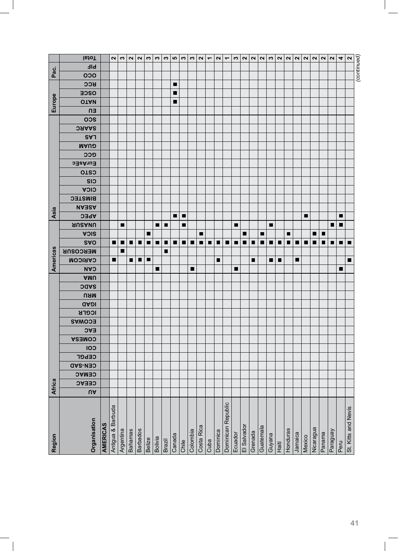|               | <b>IstoT</b>           |                 |                   | ∾∣∾       |                | N <sub>N</sub>  | w             | S       | ო $ $  | 5      | S     | 3        | $\mathbf{z}$ | $\blacktriangledown$ | $\sim$   | $\overline{\phantom{a}}$ | S       | $\mathbf{a}$ | N       |           | $N \omega $ |       | N N      | $\overline{\mathbf{N}}$ | $\mathbf{\Omega}$ | N         | $\mathbf{a}$ | $\mathbf{\Omega}$ | 4    | $\boldsymbol{\mathsf{N}}$ |             |
|---------------|------------------------|-----------------|-------------------|-----------|----------------|-----------------|---------------|---------|--------|--------|-------|----------|--------------|----------------------|----------|--------------------------|---------|--------------|---------|-----------|-------------|-------|----------|-------------------------|-------------------|-----------|--------------|-------------------|------|---------------------------|-------------|
|               | <b>blL</b>             |                 |                   |           |                |                 |               |         |        |        |       |          |              |                      |          |                          |         |              |         |           |             |       |          |                         |                   |           |              |                   |      |                           | (continued) |
| Pac.          | 000                    |                 |                   |           |                |                 |               |         |        |        |       |          |              |                      |          |                          |         |              |         |           |             |       |          |                         |                   |           |              |                   |      |                           |             |
|               | <b>RCC</b>             |                 |                   |           |                |                 |               |         |        | ш      |       |          |              |                      |          |                          |         |              |         |           |             |       |          |                         |                   |           |              |                   |      |                           |             |
|               | OSCE                   |                 |                   |           |                |                 |               |         |        | ш      |       |          |              |                      |          |                          |         |              |         |           |             |       |          |                         |                   |           |              |                   |      |                           |             |
| Europe        | <b>OTAN</b>            |                 |                   |           |                |                 |               |         |        | ш      |       |          |              |                      |          |                          |         |              |         |           |             |       |          |                         |                   |           |              |                   |      |                           |             |
|               | EN                     |                 |                   |           |                |                 |               |         |        |        |       |          |              |                      |          |                          |         |              |         |           |             |       |          |                         |                   |           |              |                   |      |                           |             |
|               | <b>OOS</b>             |                 |                   |           |                |                 |               |         |        |        |       |          |              |                      |          |                          |         |              |         |           |             |       |          |                         |                   |           |              |                   |      |                           |             |
|               | <b>SAARC</b>           |                 |                   |           |                |                 |               |         |        |        |       |          |              |                      |          |                          |         |              |         |           |             |       |          |                         |                   |           |              |                   |      |                           |             |
|               | <b>SAJ</b>             |                 |                   |           |                |                 |               |         |        |        |       |          |              |                      |          |                          |         |              |         |           |             |       |          |                         |                   |           |              |                   |      |                           |             |
|               | <b>MAU<sub>D</sub></b> |                 |                   |           |                |                 |               |         |        |        |       |          |              |                      |          |                          |         |              |         |           |             |       |          |                         |                   |           |              |                   |      |                           |             |
|               | <b>OCC</b>             |                 |                   |           |                |                 |               |         |        |        |       |          |              |                      |          |                          |         |              |         |           |             |       |          |                         |                   |           |              |                   |      |                           |             |
|               | <b>BurAsEc</b>         |                 |                   |           |                |                 |               |         |        |        |       |          |              |                      |          |                          |         |              |         |           |             |       |          |                         |                   |           |              |                   |      |                           |             |
|               | <b>OTSO</b>            |                 |                   |           |                |                 |               |         |        |        |       |          |              |                      |          |                          |         |              |         |           |             |       |          |                         |                   |           |              |                   |      |                           |             |
|               | CIS                    |                 |                   |           |                |                 |               |         |        |        |       |          |              |                      |          |                          |         |              |         |           |             |       |          |                         |                   |           |              |                   |      |                           |             |
|               | <b>CICA</b>            |                 |                   |           |                |                 |               |         |        |        |       |          |              |                      |          |                          |         |              |         |           |             |       |          |                         |                   |           |              |                   |      |                           |             |
|               | <b>BINSTEC</b>         |                 |                   |           |                |                 |               |         |        |        |       |          |              |                      |          |                          |         |              |         |           |             |       |          |                         |                   |           |              |                   |      |                           |             |
|               | <b>NAESA</b>           |                 |                   |           |                |                 |               |         |        |        |       |          |              |                      |          |                          |         |              |         |           |             |       |          |                         |                   |           |              |                   |      |                           |             |
| Asia          | <b>APEC</b>            |                 |                   |           |                |                 |               |         |        | ш      | ш     |          |              |                      |          |                          |         |              |         |           |             |       |          |                         | ш                 |           |              |                   | ш    |                           |             |
|               | <b>UNASUR</b>          |                 |                   | ш         |                |                 |               | ш       | ш      |        | ш     |          |              |                      |          |                          | ш       |              |         |           | ш           |       |          |                         |                   |           |              | ш                 | ш    |                           |             |
|               | <b>AJIS</b>            |                 |                   |           |                |                 | ш             |         |        |        |       |          | п            |                      |          |                          |         |              |         | H         |             |       | ш        |                         |                   | ш         | ш            |                   |      |                           |             |
|               | <b>SAO</b>             |                 | ш                 |           | ٠              | ш               | ш             | ш       | ш      | п      | ш     | п        |              |                      | ш        | ш                        | Ш       |              | Н       | ш         | H           | ш     | ш        | П                       | ш                 |           | ш            | Ш                 | ш    | ш                         |             |
| Americas      | <b>MERCOSUR</b>        |                 |                   | п         |                |                 |               |         | Ш      |        |       |          |              |                      |          |                          |         |              |         |           |             |       |          |                         |                   |           |              |                   |      |                           |             |
|               | <b>CARICOM</b>         |                 | П                 |           | ٠              | Ш               | п             |         |        |        |       |          |              |                      | Ш        |                          |         |              | ш       |           | H           | ш     |          | П                       |                   |           |              |                   |      |                           |             |
|               | <b>CAN</b>             |                 |                   |           |                |                 |               | ш       |        |        |       | ш        |              |                      |          |                          | Ш       |              |         |           |             |       |          |                         |                   |           |              |                   | П    |                           |             |
|               | <b>AMU</b>             |                 |                   |           |                |                 |               |         |        |        |       |          |              |                      |          |                          |         |              |         |           |             |       |          |                         |                   |           |              |                   |      |                           |             |
|               | SADC                   |                 |                   |           |                |                 |               |         |        |        |       |          |              |                      |          |                          |         |              |         |           |             |       |          |                         |                   |           |              |                   |      |                           |             |
|               | <b>URM</b>             |                 |                   |           |                |                 |               |         |        |        |       |          |              |                      |          |                          |         |              |         |           |             |       |          |                         |                   |           |              |                   |      |                           |             |
|               | <b>UADI</b>            |                 |                   |           |                |                 |               |         |        |        |       |          |              |                      |          |                          |         |              |         |           |             |       |          |                         |                   |           |              |                   |      |                           |             |
|               | <b>ICGLR</b>           |                 |                   |           |                |                 |               |         |        |        |       |          |              |                      |          |                          |         |              |         |           |             |       |          |                         |                   |           |              |                   |      |                           |             |
|               | <b>ECOWAS</b>          |                 |                   |           |                |                 |               |         |        |        |       |          |              |                      |          |                          |         |              |         |           |             |       |          |                         |                   |           |              |                   |      |                           |             |
|               | <b>EAC</b>             |                 |                   |           |                |                 |               |         |        |        |       |          |              |                      |          |                          |         |              |         |           |             |       |          |                         |                   |           |              |                   |      |                           |             |
|               | COMESA                 |                 |                   |           |                |                 |               |         |        |        |       |          |              |                      |          |                          |         |              |         |           |             |       |          |                         |                   |           |              |                   |      |                           |             |
|               | COI                    |                 |                   |           |                |                 |               |         |        |        |       |          |              |                      |          |                          |         |              |         |           |             |       |          |                         |                   |           |              |                   |      |                           |             |
|               | CEPGL                  |                 |                   |           |                |                 |               |         |        |        |       |          |              |                      |          |                          |         |              |         |           |             |       |          |                         |                   |           |              |                   |      |                           |             |
|               | CEN-SAD                |                 |                   |           |                |                 |               |         |        |        |       |          |              |                      |          |                          |         |              |         |           |             |       |          |                         |                   |           |              |                   |      |                           |             |
|               | CEMAC                  |                 |                   |           |                |                 |               |         |        |        |       |          |              |                      |          |                          |         |              |         |           |             |       |          |                         |                   |           |              |                   |      |                           |             |
| <b>Africa</b> | CEEAC                  |                 |                   |           |                |                 |               |         |        |        |       |          |              |                      |          |                          |         |              |         |           |             |       |          |                         |                   |           |              |                   |      |                           |             |
|               | UA                     |                 |                   |           |                |                 |               |         |        |        |       |          |              |                      |          |                          |         |              |         |           |             |       |          |                         |                   |           |              |                   |      |                           |             |
| Region        | Organisation           | <b>AMERICAS</b> | Antigua & Barbuda | Argentina | <b>Bahamas</b> | <b>Barbados</b> | <b>Belize</b> | Bolivia | Brazil | Canada | Chile | Colombia | Costa Rica   | Cuba                 | Dominica | Dominican Republic       | Ecuador | El Salvador  | Grenada | Guatemala | Guyana      | Haiti | Honduras | Jamaica                 | Mexico            | Nicaragua | Panama       | Paraguay          | Peru | St. Kitts and Nevis       |             |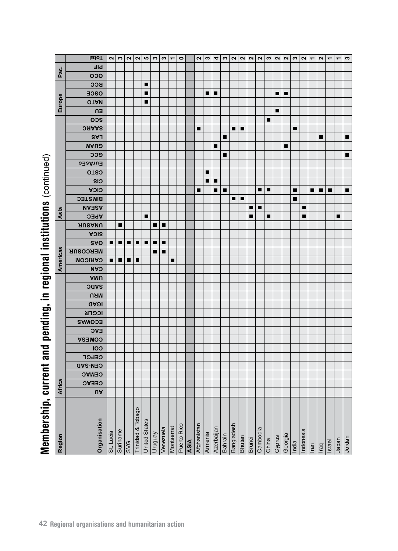| てくこうきく                                                              |
|---------------------------------------------------------------------|
|                                                                     |
| הוצפחה המה המה ומי יש המה המה המה והמ                               |
| $\frac{1}{2}$ and $\frac{1}{2}$ and $\frac{1}{2}$ and $\frac{1}{2}$ |
|                                                                     |
| Member:                                                             |

| <b>IstoT</b><br>$\mathbf{a}$<br>$\sim$<br>$\mathbf{N}$<br>$\mathbf{a}$<br>5<br>S<br>S<br>$\bullet$<br>$\mathbf{a}$<br>S<br>4<br>S<br>$\mathbf{\Omega}$<br>$\mathbf{N}$<br>$\mathbf{N}$<br>$\mathbf{N}$<br>S<br>$\mathbf{a}$<br>$\mathbf{N}$<br>S<br>$\mathbf{a}$<br>$\mathbf{\Omega}$<br>$\overline{\phantom{a}}$<br>$\overline{\phantom{a}}$<br>᠇<br>blE<br>000<br><b>RCC</b><br>Ш<br>O2CE<br>Ш<br>ш<br>Ш<br>П<br>ш<br><b>OTAN</b><br>ш<br>EN<br>ш<br><b>OOS</b><br>ш<br><b>JAAAS</b><br>ш<br>ш<br>п<br><b>SAJ</b><br>H<br>П<br><b>MAUS</b><br>ш<br>ш<br><b>GCC</b><br>H<br><b>BurAsEc</b><br><b>OTSO</b><br>п<br><b>SI3</b><br>ш<br>п<br><b>CICA</b><br>Ш<br>н<br>ш<br>ш<br>E<br><b>BIN2IEC</b><br>п<br>ш<br>п<br><b>UASEA</b><br>ш<br>H<br>ш<br>Asia<br><b>APEC</b><br>ш<br>ш<br>ш<br>Ш<br><b>UNASUR</b><br>ш<br>ш<br>ш<br><b>AJIS</b><br><b>SAO</b><br>$\blacksquare$<br>п<br>н<br>Ш<br>٠<br>Ш<br>Americas<br><b>MERCOSUR</b><br>ш<br>ш<br><b>CARICOM</b><br>$\blacksquare$<br>П<br>П<br>П<br>Ш<br><b>CAN</b><br><b>AMU</b><br>SADC<br><b>MRU</b><br><b>UADI</b><br><b>ICGFK</b><br><b>ECOWAS</b><br>EAC<br><b>COMESA</b><br>COI<br>CEPGL<br>CEN-SAD<br>CEMAC<br>Africa<br>CEEAC<br>UA | Trinidad & Tobago<br>Organisation<br><b>United States</b> |        |        |      |
|--------------------------------------------------------------------------------------------------------------------------------------------------------------------------------------------------------------------------------------------------------------------------------------------------------------------------------------------------------------------------------------------------------------------------------------------------------------------------------------------------------------------------------------------------------------------------------------------------------------------------------------------------------------------------------------------------------------------------------------------------------------------------------------------------------------------------------------------------------------------------------------------------------------------------------------------------------------------------------------------------------------------------------------------------------------------------------------------------------------------------------------------------------------------------------------------|-----------------------------------------------------------|--------|--------|------|
|                                                                                                                                                                                                                                                                                                                                                                                                                                                                                                                                                                                                                                                                                                                                                                                                                                                                                                                                                                                                                                                                                                                                                                                            |                                                           |        | Europe | Pac. |
|                                                                                                                                                                                                                                                                                                                                                                                                                                                                                                                                                                                                                                                                                                                                                                                                                                                                                                                                                                                                                                                                                                                                                                                            |                                                           |        |        |      |
|                                                                                                                                                                                                                                                                                                                                                                                                                                                                                                                                                                                                                                                                                                                                                                                                                                                                                                                                                                                                                                                                                                                                                                                            |                                                           |        |        |      |
|                                                                                                                                                                                                                                                                                                                                                                                                                                                                                                                                                                                                                                                                                                                                                                                                                                                                                                                                                                                                                                                                                                                                                                                            |                                                           |        |        |      |
|                                                                                                                                                                                                                                                                                                                                                                                                                                                                                                                                                                                                                                                                                                                                                                                                                                                                                                                                                                                                                                                                                                                                                                                            |                                                           |        |        |      |
|                                                                                                                                                                                                                                                                                                                                                                                                                                                                                                                                                                                                                                                                                                                                                                                                                                                                                                                                                                                                                                                                                                                                                                                            |                                                           |        |        |      |
|                                                                                                                                                                                                                                                                                                                                                                                                                                                                                                                                                                                                                                                                                                                                                                                                                                                                                                                                                                                                                                                                                                                                                                                            |                                                           |        |        |      |
|                                                                                                                                                                                                                                                                                                                                                                                                                                                                                                                                                                                                                                                                                                                                                                                                                                                                                                                                                                                                                                                                                                                                                                                            |                                                           |        |        |      |
|                                                                                                                                                                                                                                                                                                                                                                                                                                                                                                                                                                                                                                                                                                                                                                                                                                                                                                                                                                                                                                                                                                                                                                                            |                                                           |        |        |      |
|                                                                                                                                                                                                                                                                                                                                                                                                                                                                                                                                                                                                                                                                                                                                                                                                                                                                                                                                                                                                                                                                                                                                                                                            |                                                           |        |        |      |
|                                                                                                                                                                                                                                                                                                                                                                                                                                                                                                                                                                                                                                                                                                                                                                                                                                                                                                                                                                                                                                                                                                                                                                                            |                                                           |        |        |      |
|                                                                                                                                                                                                                                                                                                                                                                                                                                                                                                                                                                                                                                                                                                                                                                                                                                                                                                                                                                                                                                                                                                                                                                                            |                                                           |        |        |      |
|                                                                                                                                                                                                                                                                                                                                                                                                                                                                                                                                                                                                                                                                                                                                                                                                                                                                                                                                                                                                                                                                                                                                                                                            |                                                           |        |        |      |
|                                                                                                                                                                                                                                                                                                                                                                                                                                                                                                                                                                                                                                                                                                                                                                                                                                                                                                                                                                                                                                                                                                                                                                                            |                                                           |        |        |      |
|                                                                                                                                                                                                                                                                                                                                                                                                                                                                                                                                                                                                                                                                                                                                                                                                                                                                                                                                                                                                                                                                                                                                                                                            |                                                           |        |        |      |
|                                                                                                                                                                                                                                                                                                                                                                                                                                                                                                                                                                                                                                                                                                                                                                                                                                                                                                                                                                                                                                                                                                                                                                                            |                                                           |        |        |      |
|                                                                                                                                                                                                                                                                                                                                                                                                                                                                                                                                                                                                                                                                                                                                                                                                                                                                                                                                                                                                                                                                                                                                                                                            |                                                           |        |        |      |
|                                                                                                                                                                                                                                                                                                                                                                                                                                                                                                                                                                                                                                                                                                                                                                                                                                                                                                                                                                                                                                                                                                                                                                                            |                                                           |        |        |      |
|                                                                                                                                                                                                                                                                                                                                                                                                                                                                                                                                                                                                                                                                                                                                                                                                                                                                                                                                                                                                                                                                                                                                                                                            |                                                           |        |        |      |
|                                                                                                                                                                                                                                                                                                                                                                                                                                                                                                                                                                                                                                                                                                                                                                                                                                                                                                                                                                                                                                                                                                                                                                                            |                                                           |        |        |      |
|                                                                                                                                                                                                                                                                                                                                                                                                                                                                                                                                                                                                                                                                                                                                                                                                                                                                                                                                                                                                                                                                                                                                                                                            |                                                           |        |        |      |
|                                                                                                                                                                                                                                                                                                                                                                                                                                                                                                                                                                                                                                                                                                                                                                                                                                                                                                                                                                                                                                                                                                                                                                                            |                                                           |        |        |      |
|                                                                                                                                                                                                                                                                                                                                                                                                                                                                                                                                                                                                                                                                                                                                                                                                                                                                                                                                                                                                                                                                                                                                                                                            |                                                           |        |        |      |
|                                                                                                                                                                                                                                                                                                                                                                                                                                                                                                                                                                                                                                                                                                                                                                                                                                                                                                                                                                                                                                                                                                                                                                                            |                                                           |        |        |      |
|                                                                                                                                                                                                                                                                                                                                                                                                                                                                                                                                                                                                                                                                                                                                                                                                                                                                                                                                                                                                                                                                                                                                                                                            |                                                           |        |        |      |
|                                                                                                                                                                                                                                                                                                                                                                                                                                                                                                                                                                                                                                                                                                                                                                                                                                                                                                                                                                                                                                                                                                                                                                                            |                                                           |        |        |      |
|                                                                                                                                                                                                                                                                                                                                                                                                                                                                                                                                                                                                                                                                                                                                                                                                                                                                                                                                                                                                                                                                                                                                                                                            |                                                           |        |        |      |
|                                                                                                                                                                                                                                                                                                                                                                                                                                                                                                                                                                                                                                                                                                                                                                                                                                                                                                                                                                                                                                                                                                                                                                                            |                                                           |        |        |      |
|                                                                                                                                                                                                                                                                                                                                                                                                                                                                                                                                                                                                                                                                                                                                                                                                                                                                                                                                                                                                                                                                                                                                                                                            |                                                           | ш<br>П | ш      | S    |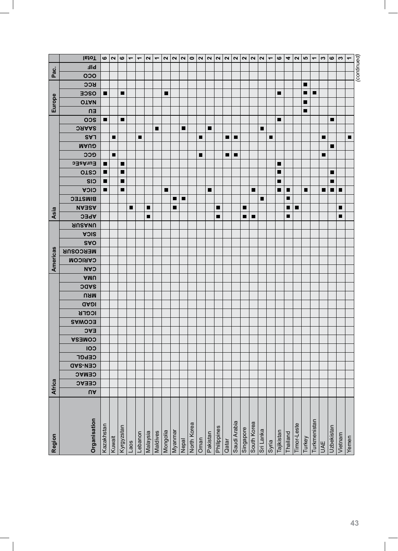|               | <b>IstoT</b>    |            | $\omega   \mathsf{N}   \mathsf{O}$ |            | $\overline{\phantom{a}}$ | $\overline{\phantom{0}}$ | $\mathbf{z}$ | $\overline{\phantom{a}}$ |          | N N N   |       | $\bullet$   |      |          | N  N  N  N  N |       |              | $\overline{\mathsf{N}}$ | N           |           | $\overline{\phantom{a}}$ | ဖ          | 4        |             | N   N  | $\overline{\phantom{0}}$ | S          | ဖ          | S       | $\overline{\phantom{0}}$ |
|---------------|-----------------|------------|------------------------------------|------------|--------------------------|--------------------------|--------------|--------------------------|----------|---------|-------|-------------|------|----------|---------------|-------|--------------|-------------------------|-------------|-----------|--------------------------|------------|----------|-------------|--------|--------------------------|------------|------------|---------|--------------------------|
|               | <b>PIF</b>      |            |                                    |            |                          |                          |              |                          |          |         |       |             |      |          |               |       |              |                         |             |           |                          |            |          |             |        |                          |            |            |         | continued                |
| Pac.          | 000             |            |                                    |            |                          |                          |              |                          |          |         |       |             |      |          |               |       |              |                         |             |           |                          |            |          |             |        |                          |            |            |         |                          |
|               | <b>RCC</b>      |            |                                    |            |                          |                          |              |                          |          |         |       |             |      |          |               |       |              |                         |             |           |                          |            |          |             | ш      |                          |            |            |         |                          |
|               | OSCE            | ш          |                                    | ш          |                          |                          |              |                          | ш        |         |       |             |      |          |               |       |              |                         |             |           |                          | Ш          |          |             | ш      | ш                        |            |            |         |                          |
| Europe        | <b>OTAN</b>     |            |                                    |            |                          |                          |              |                          |          |         |       |             |      |          |               |       |              |                         |             |           |                          |            |          |             | ш      |                          |            |            |         |                          |
|               | EN              |            |                                    |            |                          |                          |              |                          |          |         |       |             |      |          |               |       |              |                         |             |           |                          |            |          |             |        |                          |            |            |         |                          |
|               | <b>OOS</b>      | ш          |                                    | ш          |                          |                          |              |                          |          |         |       |             |      |          |               |       |              |                         |             |           |                          | Ш          |          |             |        |                          |            | Ш          |         |                          |
|               | <b>SAARC</b>    |            |                                    |            |                          |                          |              | ш                        |          |         | ш     |             |      | ш        |               |       |              |                         |             | ш         |                          |            |          |             |        |                          |            |            |         |                          |
|               | <b>SAJ</b>      |            | ш                                  |            |                          | ш                        |              |                          |          |         |       |             | ш    |          |               | ш     | п            |                         |             |           | ш                        |            |          |             |        |                          | п          |            |         | ш                        |
|               | <b>MAUQ</b>     |            |                                    |            |                          |                          |              |                          |          |         |       |             |      |          |               |       |              |                         |             |           |                          |            |          |             |        |                          |            | ш          |         |                          |
|               | <b>CCC</b>      |            | ш                                  |            |                          |                          |              |                          |          |         |       |             | П    |          |               | ш     | п            |                         |             |           |                          |            |          |             |        |                          | н          |            |         |                          |
|               | <b>DEAMBEC</b>  | ш          |                                    | ш          |                          |                          |              |                          |          |         |       |             |      |          |               |       |              |                         |             |           |                          | ш          |          |             |        |                          |            |            |         |                          |
|               | <b>OTSO</b>     | ш          |                                    | H          |                          |                          |              |                          |          |         |       |             |      |          |               |       |              |                         |             |           |                          | H          |          |             |        |                          |            |            |         |                          |
|               | <b>CIS</b>      | ш          |                                    | ш          |                          |                          |              |                          |          |         |       |             |      |          |               |       |              |                         |             |           |                          | Ш          |          |             |        |                          |            | Н          |         |                          |
|               | CICA            | п          |                                    | ш          |                          |                          |              |                          | ш        |         |       |             |      | ш        |               |       |              |                         | ш           |           |                          | ш          | п        |             | П      |                          | ш          | ш          | п       |                          |
|               | <b>BINSTEC</b>  |            |                                    |            |                          |                          |              |                          |          | ш       | ш     |             |      |          |               |       |              |                         |             | ш         |                          |            | Ш        |             |        |                          |            |            |         |                          |
|               | <b>NAESA</b>    |            |                                    |            | Ш                        |                          | п            |                          |          | ш       |       |             |      |          | ш             |       |              | ш                       |             |           |                          |            |          | ш           |        |                          |            |            | н       |                          |
| Asia          |                 |            |                                    |            |                          |                          |              |                          |          |         |       |             |      |          |               |       |              |                         |             |           |                          |            |          |             |        |                          |            |            |         |                          |
|               | <b>APEC</b>     |            |                                    |            |                          |                          | ш            |                          |          |         |       |             |      |          | ш             |       |              | н                       | ш           |           |                          |            | ш        |             |        |                          |            |            | ш       |                          |
|               | <b>UNASUR</b>   |            |                                    |            |                          |                          |              |                          |          |         |       |             |      |          |               |       |              |                         |             |           |                          |            |          |             |        |                          |            |            |         |                          |
|               | <b>AJIS</b>     |            |                                    |            |                          |                          |              |                          |          |         |       |             |      |          |               |       |              |                         |             |           |                          |            |          |             |        |                          |            |            |         |                          |
|               | <b>SAO</b>      |            |                                    |            |                          |                          |              |                          |          |         |       |             |      |          |               |       |              |                         |             |           |                          |            |          |             |        |                          |            |            |         |                          |
|               | <b>MERCOSUR</b> |            |                                    |            |                          |                          |              |                          |          |         |       |             |      |          |               |       |              |                         |             |           |                          |            |          |             |        |                          |            |            |         |                          |
| Americas      | <b>CARICOM</b>  |            |                                    |            |                          |                          |              |                          |          |         |       |             |      |          |               |       |              |                         |             |           |                          |            |          |             |        |                          |            |            |         |                          |
|               | <b>CAN</b>      |            |                                    |            |                          |                          |              |                          |          |         |       |             |      |          |               |       |              |                         |             |           |                          |            |          |             |        |                          |            |            |         |                          |
|               | <b>AMU</b>      |            |                                    |            |                          |                          |              |                          |          |         |       |             |      |          |               |       |              |                         |             |           |                          |            |          |             |        |                          |            |            |         |                          |
|               | SADC            |            |                                    |            |                          |                          |              |                          |          |         |       |             |      |          |               |       |              |                         |             |           |                          |            |          |             |        |                          |            |            |         |                          |
|               | <b>URN</b>      |            |                                    |            |                          |                          |              |                          |          |         |       |             |      |          |               |       |              |                         |             |           |                          |            |          |             |        |                          |            |            |         |                          |
|               | <b>UADI</b>     |            |                                    |            |                          |                          |              |                          |          |         |       |             |      |          |               |       |              |                         |             |           |                          |            |          |             |        |                          |            |            |         |                          |
|               | <b>ICGLR</b>    |            |                                    |            |                          |                          |              |                          |          |         |       |             |      |          |               |       |              |                         |             |           |                          |            |          |             |        |                          |            |            |         |                          |
|               | <b>ECOWAS</b>   |            |                                    |            |                          |                          |              |                          |          |         |       |             |      |          |               |       |              |                         |             |           |                          |            |          |             |        |                          |            |            |         |                          |
|               | <b>EAC</b>      |            |                                    |            |                          |                          |              |                          |          |         |       |             |      |          |               |       |              |                         |             |           |                          |            |          |             |        |                          |            |            |         |                          |
|               | <b>COMESA</b>   |            |                                    |            |                          |                          |              |                          |          |         |       |             |      |          |               |       |              |                         |             |           |                          |            |          |             |        |                          |            |            |         |                          |
|               | COI             |            |                                    |            |                          |                          |              |                          |          |         |       |             |      |          |               |       |              |                         |             |           |                          |            |          |             |        |                          |            |            |         |                          |
|               | <b>CEPGL</b>    |            |                                    |            |                          |                          |              |                          |          |         |       |             |      |          |               |       |              |                         |             |           |                          |            |          |             |        |                          |            |            |         |                          |
|               | <b>CEN-SAD</b>  |            |                                    |            |                          |                          |              |                          |          |         |       |             |      |          |               |       |              |                         |             |           |                          |            |          |             |        |                          |            |            |         |                          |
|               | CEMAC           |            |                                    |            |                          |                          |              |                          |          |         |       |             |      |          |               |       |              |                         |             |           |                          |            |          |             |        |                          |            |            |         |                          |
| <b>Africa</b> | CEEAC           |            |                                    |            |                          |                          |              |                          |          |         |       |             |      |          |               |       |              |                         |             |           |                          |            |          |             |        |                          |            |            |         |                          |
|               | UA              |            |                                    |            |                          |                          |              |                          |          |         |       |             |      |          |               |       |              |                         |             |           |                          |            |          |             |        |                          |            |            |         |                          |
| Region        | Organisation    | Kazakhstan | Kuwait                             | Kyrgyzstan | Laos                     | Lebanon                  | Malaysia     | Maldives                 | Mongolia | Myanmar | Nepal | North Korea | Oman | Pakistan | Philippines   | Qatar | Saudi Arabia | Singapore               | South Korea | Sri Lanka | Syria                    | Tajikistan | Thailand | Timor-Leste | Turkey | Turkmenistan             | <b>JAE</b> | Uzbekistan | Vietnam | Yemen                    |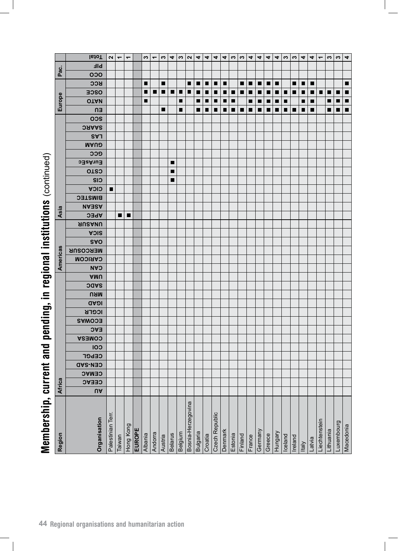# Membership, current and pending, in regional institutions (continued) (continued) **Membership, current and pending, in regional institutions**

|               | <b>IstoT</b>    | $\mathbf{a}$      | $\overline{\phantom{0}}$ | $\overline{\phantom{0}}$ |               | S       | ے       | S       | 4              | S       | $\mathbf{a}$       | 4               | 4       | 4              | 4       | S       | S       | 4      | 4       | 4      | 4       | S       | S       | 4            | 4      | $\overline{\phantom{0}}$ | S         | S          | 4         |
|---------------|-----------------|-------------------|--------------------------|--------------------------|---------------|---------|---------|---------|----------------|---------|--------------------|-----------------|---------|----------------|---------|---------|---------|--------|---------|--------|---------|---------|---------|--------------|--------|--------------------------|-----------|------------|-----------|
|               | blE             |                   |                          |                          |               |         |         |         |                |         |                    |                 |         |                |         |         |         |        |         |        |         |         |         |              |        |                          |           |            |           |
| Pac.          | 000             |                   |                          |                          |               |         |         |         |                |         |                    |                 |         |                |         |         |         |        |         |        |         |         |         |              |        |                          |           |            |           |
|               | <b>RCC</b>      |                   |                          |                          |               | Ш       |         | н       |                |         | Ш                  | E               | ш       | п              | ш       |         | ш       |        | ٠       | ш      | н       |         | ш       |              | m      |                          |           |            | ш         |
|               | OSCE            |                   |                          |                          |               | П       |         | ٠       | П              | ш       | ш                  |                 |         | н              | Ш       |         |         |        |         | ٠      | Н       | ш       |         |              | п      | Ш                        | ш         |            | Ш         |
| Europe        | <b>OTAN</b>     |                   |                          |                          |               | ш       |         |         |                | ш       |                    | п               |         | ш              | ш       | ш       |         | П      | н       | Ш      | ш       | П       |         | ш            | ш      |                          | ш         | П          | ш         |
|               | EN              |                   |                          |                          |               |         |         | ш       |                | ш       |                    | П               |         | п              | ш       | ш       | ш       | n      | н       | П      | H       | a l     | ш       | ш            | ш      |                          | ш         | Ш          | ш         |
|               | <b>OOS</b>      |                   |                          |                          |               |         |         |         |                |         |                    |                 |         |                |         |         |         |        |         |        |         |         |         |              |        |                          |           |            |           |
|               | <b>JAAAS</b>    |                   |                          |                          |               |         |         |         |                |         |                    |                 |         |                |         |         |         |        |         |        |         |         |         |              |        |                          |           |            |           |
|               | <b>SAJ</b>      |                   |                          |                          |               |         |         |         |                |         |                    |                 |         |                |         |         |         |        |         |        |         |         |         |              |        |                          |           |            |           |
|               | <b>MAUS</b>     |                   |                          |                          |               |         |         |         |                |         |                    |                 |         |                |         |         |         |        |         |        |         |         |         |              |        |                          |           |            |           |
|               | <b>GCC</b>      |                   |                          |                          |               |         |         |         |                |         |                    |                 |         |                |         |         |         |        |         |        |         |         |         |              |        |                          |           |            |           |
|               | <b>BurAsEc</b>  |                   |                          |                          |               |         |         |         | п              |         |                    |                 |         |                |         |         |         |        |         |        |         |         |         |              |        |                          |           |            |           |
|               | <b>OTSO</b>     |                   |                          |                          |               |         |         |         | н              |         |                    |                 |         |                |         |         |         |        |         |        |         |         |         |              |        |                          |           |            |           |
|               | <b>SI3</b>      |                   |                          |                          |               |         |         |         | П              |         |                    |                 |         |                |         |         |         |        |         |        |         |         |         |              |        |                          |           |            |           |
|               | <b>CICA</b>     | ш                 |                          |                          |               |         |         |         |                |         |                    |                 |         |                |         |         |         |        |         |        |         |         |         |              |        |                          |           |            |           |
|               | <b>BINSTEC</b>  |                   |                          |                          |               |         |         |         |                |         |                    |                 |         |                |         |         |         |        |         |        |         |         |         |              |        |                          |           |            |           |
|               | <b>NAESA</b>    |                   |                          |                          |               |         |         |         |                |         |                    |                 |         |                |         |         |         |        |         |        |         |         |         |              |        |                          |           |            |           |
| Asia          | <b>APEC</b>     |                   | ш                        | ш                        |               |         |         |         |                |         |                    |                 |         |                |         |         |         |        |         |        |         |         |         |              |        |                          |           |            |           |
|               | <b>UNASUR</b>   |                   |                          |                          |               |         |         |         |                |         |                    |                 |         |                |         |         |         |        |         |        |         |         |         |              |        |                          |           |            |           |
|               | <b>AJIS</b>     |                   |                          |                          |               |         |         |         |                |         |                    |                 |         |                |         |         |         |        |         |        |         |         |         |              |        |                          |           |            |           |
|               | <b>SAO</b>      |                   |                          |                          |               |         |         |         |                |         |                    |                 |         |                |         |         |         |        |         |        |         |         |         |              |        |                          |           |            |           |
|               | <b>MERCOSUR</b> |                   |                          |                          |               |         |         |         |                |         |                    |                 |         |                |         |         |         |        |         |        |         |         |         |              |        |                          |           |            |           |
| Americas      | <b>CARICOM</b>  |                   |                          |                          |               |         |         |         |                |         |                    |                 |         |                |         |         |         |        |         |        |         |         |         |              |        |                          |           |            |           |
|               | <b>CAN</b>      |                   |                          |                          |               |         |         |         |                |         |                    |                 |         |                |         |         |         |        |         |        |         |         |         |              |        |                          |           |            |           |
|               | <b>AMU</b>      |                   |                          |                          |               |         |         |         |                |         |                    |                 |         |                |         |         |         |        |         |        |         |         |         |              |        |                          |           |            |           |
|               | SADC            |                   |                          |                          |               |         |         |         |                |         |                    |                 |         |                |         |         |         |        |         |        |         |         |         |              |        |                          |           |            |           |
|               | <b>URM</b>      |                   |                          |                          |               |         |         |         |                |         |                    |                 |         |                |         |         |         |        |         |        |         |         |         |              |        |                          |           |            |           |
|               | <b>UADI</b>     |                   |                          |                          |               |         |         |         |                |         |                    |                 |         |                |         |         |         |        |         |        |         |         |         |              |        |                          |           |            |           |
|               | <b>ICGFK</b>    |                   |                          |                          |               |         |         |         |                |         |                    |                 |         |                |         |         |         |        |         |        |         |         |         |              |        |                          |           |            |           |
|               | <b>ECOWAS</b>   |                   |                          |                          |               |         |         |         |                |         |                    |                 |         |                |         |         |         |        |         |        |         |         |         |              |        |                          |           |            |           |
|               | EAC             |                   |                          |                          |               |         |         |         |                |         |                    |                 |         |                |         |         |         |        |         |        |         |         |         |              |        |                          |           |            |           |
|               | <b>COMESA</b>   |                   |                          |                          |               |         |         |         |                |         |                    |                 |         |                |         |         |         |        |         |        |         |         |         |              |        |                          |           |            |           |
|               | COI             |                   |                          |                          |               |         |         |         |                |         |                    |                 |         |                |         |         |         |        |         |        |         |         |         |              |        |                          |           |            |           |
|               | <b>CEPGL</b>    |                   |                          |                          |               |         |         |         |                |         |                    |                 |         |                |         |         |         |        |         |        |         |         |         |              |        |                          |           |            |           |
|               | <b>CEN-SAD</b>  |                   |                          |                          |               |         |         |         |                |         |                    |                 |         |                |         |         |         |        |         |        |         |         |         |              |        |                          |           |            |           |
|               | CEMAC           |                   |                          |                          |               |         |         |         |                |         |                    |                 |         |                |         |         |         |        |         |        |         |         |         |              |        |                          |           |            |           |
| <b>Africa</b> | CEEAC           |                   |                          |                          |               |         |         |         |                |         |                    |                 |         |                |         |         |         |        |         |        |         |         |         |              |        |                          |           |            |           |
|               | UA              |                   |                          |                          |               |         |         |         |                |         |                    |                 |         |                |         |         |         |        |         |        |         |         |         |              |        |                          |           |            |           |
| Region        | Organisation    | Palestinian Terr. | Taiwan                   | Hong Kong                | <b>EUROPE</b> | Albania | Andorra | Austria | <b>Belarus</b> | Belgium | Bosnia-Herzegovina | <b>Bulgaria</b> | Croatia | Czech Republic | Denmark | Estonia | Finland | France | Germany | Greece | Hungary | Iceland | Ireland | <b>Italy</b> | Latvia | Liechtenstein            | Lithuania | Luxembourg | Macedonia |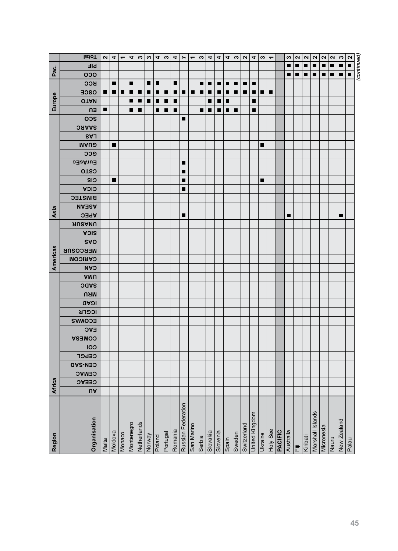| (continued)<br><b>IstoT</b><br>$\boldsymbol{\sim}$<br>$\mathbf{z}$<br>3<br>S<br>4<br>S<br>S<br>$\sim$<br>$\sim$<br>$\mathbf{z}$<br>$\boldsymbol{\mathsf{N}}$<br>$\boldsymbol{\omega}$<br>4<br>4<br>4<br>$\overline{ }$<br>S<br>4<br>4<br>4<br>$\mathbf{a}$<br>4<br>S<br>S<br>$\boldsymbol{\mathsf{N}}$<br>$\overline{\phantom{0}}$<br>$\overline{\phantom{0}}$<br>$\overline{\phantom{0}}$<br>П<br><b>PIF</b><br>ш<br>ш<br>ш<br>000<br>п<br>ш<br>Н<br>п<br>H<br>П<br><b>RCC</b><br>ш<br>п<br>П<br>ш<br>٠<br>ш<br>п<br>ш<br>п<br>п<br>OSCE<br>ш<br>П<br>▉▏▊<br>п<br>ш<br>ш<br>ш<br>ш<br>ш<br>ш<br>ш<br>ш<br>ш<br>ш<br>ш<br>ш<br><b>OTAN</b><br>■<br>ш<br>ш<br>ш<br>H<br>ш<br>ш<br>ш<br>EN<br>п<br>a l<br>ш<br>п<br>Ш<br>٠<br><b>OOS</b><br>ш<br><b>SAARC</b><br><b>SAJ</b><br><b>MAUS</b><br>ш<br>ш<br><b>OCC</b><br><b>BurAsEc</b><br>ш<br>CSTO<br>ш | Asia<br>Americas<br><b>Africa</b>                                                                                                                                                                                                                                                                                    |  |  |  |  |  |  |  |  |             |     |  |  |  | Europe |  | Pac. |  |
|------------------------------------------------------------------------------------------------------------------------------------------------------------------------------------------------------------------------------------------------------------------------------------------------------------------------------------------------------------------------------------------------------------------------------------------------------------------------------------------------------------------------------------------------------------------------------------------------------------------------------------------------------------------------------------------------------------------------------------------------------------------------------------------------------------------------------------------------------|----------------------------------------------------------------------------------------------------------------------------------------------------------------------------------------------------------------------------------------------------------------------------------------------------------------------|--|--|--|--|--|--|--|--|-------------|-----|--|--|--|--------|--|------|--|
| П<br>ш<br>Ш<br>ш                                                                                                                                                                                                                                                                                                                                                                                                                                                                                                                                                                                                                                                                                                                                                                                                                                     | <b>BINSTEC</b><br><b>NAESA</b><br><b>APEC</b><br><b>UNASUR</b><br><b>AJIS</b><br><b>SAO</b><br><b>MERCOSUR</b><br><b>CARICOM</b><br><b>CAN</b><br><b>AMU</b><br>SADC<br><b>URN</b><br><b>UADI</b><br><b>ICCFK</b><br><b>ECOWAS</b><br><b>EAC</b><br><b>COMESA</b><br>COI<br>CEPGL<br>CEN-SAD<br>CEMAC<br>CEEAC<br>UA |  |  |  |  |  |  |  |  | <b>CICA</b> | CIS |  |  |  |        |  |      |  |
|                                                                                                                                                                                                                                                                                                                                                                                                                                                                                                                                                                                                                                                                                                                                                                                                                                                      |                                                                                                                                                                                                                                                                                                                      |  |  |  |  |  |  |  |  |             |     |  |  |  |        |  |      |  |
|                                                                                                                                                                                                                                                                                                                                                                                                                                                                                                                                                                                                                                                                                                                                                                                                                                                      |                                                                                                                                                                                                                                                                                                                      |  |  |  |  |  |  |  |  |             |     |  |  |  |        |  |      |  |
|                                                                                                                                                                                                                                                                                                                                                                                                                                                                                                                                                                                                                                                                                                                                                                                                                                                      |                                                                                                                                                                                                                                                                                                                      |  |  |  |  |  |  |  |  |             |     |  |  |  |        |  |      |  |
|                                                                                                                                                                                                                                                                                                                                                                                                                                                                                                                                                                                                                                                                                                                                                                                                                                                      |                                                                                                                                                                                                                                                                                                                      |  |  |  |  |  |  |  |  |             |     |  |  |  |        |  |      |  |
|                                                                                                                                                                                                                                                                                                                                                                                                                                                                                                                                                                                                                                                                                                                                                                                                                                                      |                                                                                                                                                                                                                                                                                                                      |  |  |  |  |  |  |  |  |             |     |  |  |  |        |  |      |  |
|                                                                                                                                                                                                                                                                                                                                                                                                                                                                                                                                                                                                                                                                                                                                                                                                                                                      |                                                                                                                                                                                                                                                                                                                      |  |  |  |  |  |  |  |  |             |     |  |  |  |        |  |      |  |
|                                                                                                                                                                                                                                                                                                                                                                                                                                                                                                                                                                                                                                                                                                                                                                                                                                                      |                                                                                                                                                                                                                                                                                                                      |  |  |  |  |  |  |  |  |             |     |  |  |  |        |  |      |  |
|                                                                                                                                                                                                                                                                                                                                                                                                                                                                                                                                                                                                                                                                                                                                                                                                                                                      |                                                                                                                                                                                                                                                                                                                      |  |  |  |  |  |  |  |  |             |     |  |  |  |        |  |      |  |
|                                                                                                                                                                                                                                                                                                                                                                                                                                                                                                                                                                                                                                                                                                                                                                                                                                                      |                                                                                                                                                                                                                                                                                                                      |  |  |  |  |  |  |  |  |             |     |  |  |  |        |  |      |  |
|                                                                                                                                                                                                                                                                                                                                                                                                                                                                                                                                                                                                                                                                                                                                                                                                                                                      | ш                                                                                                                                                                                                                                                                                                                    |  |  |  |  |  |  |  |  |             |     |  |  |  |        |  |      |  |
|                                                                                                                                                                                                                                                                                                                                                                                                                                                                                                                                                                                                                                                                                                                                                                                                                                                      |                                                                                                                                                                                                                                                                                                                      |  |  |  |  |  |  |  |  |             |     |  |  |  |        |  |      |  |
|                                                                                                                                                                                                                                                                                                                                                                                                                                                                                                                                                                                                                                                                                                                                                                                                                                                      |                                                                                                                                                                                                                                                                                                                      |  |  |  |  |  |  |  |  |             |     |  |  |  |        |  |      |  |
|                                                                                                                                                                                                                                                                                                                                                                                                                                                                                                                                                                                                                                                                                                                                                                                                                                                      |                                                                                                                                                                                                                                                                                                                      |  |  |  |  |  |  |  |  |             |     |  |  |  |        |  |      |  |
|                                                                                                                                                                                                                                                                                                                                                                                                                                                                                                                                                                                                                                                                                                                                                                                                                                                      |                                                                                                                                                                                                                                                                                                                      |  |  |  |  |  |  |  |  |             |     |  |  |  |        |  |      |  |
|                                                                                                                                                                                                                                                                                                                                                                                                                                                                                                                                                                                                                                                                                                                                                                                                                                                      |                                                                                                                                                                                                                                                                                                                      |  |  |  |  |  |  |  |  |             |     |  |  |  |        |  |      |  |
|                                                                                                                                                                                                                                                                                                                                                                                                                                                                                                                                                                                                                                                                                                                                                                                                                                                      |                                                                                                                                                                                                                                                                                                                      |  |  |  |  |  |  |  |  |             |     |  |  |  |        |  |      |  |
|                                                                                                                                                                                                                                                                                                                                                                                                                                                                                                                                                                                                                                                                                                                                                                                                                                                      |                                                                                                                                                                                                                                                                                                                      |  |  |  |  |  |  |  |  |             |     |  |  |  |        |  |      |  |
|                                                                                                                                                                                                                                                                                                                                                                                                                                                                                                                                                                                                                                                                                                                                                                                                                                                      |                                                                                                                                                                                                                                                                                                                      |  |  |  |  |  |  |  |  |             |     |  |  |  |        |  |      |  |
|                                                                                                                                                                                                                                                                                                                                                                                                                                                                                                                                                                                                                                                                                                                                                                                                                                                      |                                                                                                                                                                                                                                                                                                                      |  |  |  |  |  |  |  |  |             |     |  |  |  |        |  |      |  |
|                                                                                                                                                                                                                                                                                                                                                                                                                                                                                                                                                                                                                                                                                                                                                                                                                                                      |                                                                                                                                                                                                                                                                                                                      |  |  |  |  |  |  |  |  |             |     |  |  |  |        |  |      |  |
|                                                                                                                                                                                                                                                                                                                                                                                                                                                                                                                                                                                                                                                                                                                                                                                                                                                      |                                                                                                                                                                                                                                                                                                                      |  |  |  |  |  |  |  |  |             |     |  |  |  |        |  |      |  |
|                                                                                                                                                                                                                                                                                                                                                                                                                                                                                                                                                                                                                                                                                                                                                                                                                                                      | ш                                                                                                                                                                                                                                                                                                                    |  |  |  |  |  |  |  |  |             |     |  |  |  |        |  |      |  |
|                                                                                                                                                                                                                                                                                                                                                                                                                                                                                                                                                                                                                                                                                                                                                                                                                                                      |                                                                                                                                                                                                                                                                                                                      |  |  |  |  |  |  |  |  |             |     |  |  |  |        |  |      |  |
|                                                                                                                                                                                                                                                                                                                                                                                                                                                                                                                                                                                                                                                                                                                                                                                                                                                      |                                                                                                                                                                                                                                                                                                                      |  |  |  |  |  |  |  |  |             |     |  |  |  |        |  |      |  |
|                                                                                                                                                                                                                                                                                                                                                                                                                                                                                                                                                                                                                                                                                                                                                                                                                                                      |                                                                                                                                                                                                                                                                                                                      |  |  |  |  |  |  |  |  |             |     |  |  |  |        |  |      |  |
|                                                                                                                                                                                                                                                                                                                                                                                                                                                                                                                                                                                                                                                                                                                                                                                                                                                      |                                                                                                                                                                                                                                                                                                                      |  |  |  |  |  |  |  |  |             |     |  |  |  |        |  |      |  |
|                                                                                                                                                                                                                                                                                                                                                                                                                                                                                                                                                                                                                                                                                                                                                                                                                                                      |                                                                                                                                                                                                                                                                                                                      |  |  |  |  |  |  |  |  |             |     |  |  |  |        |  |      |  |
|                                                                                                                                                                                                                                                                                                                                                                                                                                                                                                                                                                                                                                                                                                                                                                                                                                                      | ш                                                                                                                                                                                                                                                                                                                    |  |  |  |  |  |  |  |  |             |     |  |  |  |        |  |      |  |
|                                                                                                                                                                                                                                                                                                                                                                                                                                                                                                                                                                                                                                                                                                                                                                                                                                                      |                                                                                                                                                                                                                                                                                                                      |  |  |  |  |  |  |  |  |             |     |  |  |  |        |  |      |  |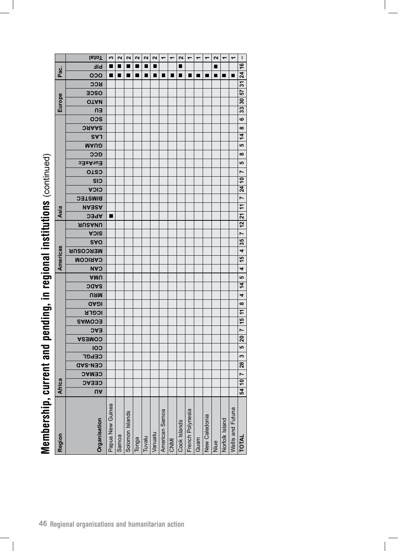|                                              |               | <b>IstoT</b>    | S                | 2     | $\overline{\mathbf{r}}$ | 2     | $\mathbf{\Omega}$ | $\mathbf{\Omega}$ | ᠇              | ے          | $\mathbf{\Omega}$ | ᡪ                |      | ↽             | $\mathbf{z}$ | ٣              | ↽                 | п                                              |
|----------------------------------------------|---------------|-----------------|------------------|-------|-------------------------|-------|-------------------|-------------------|----------------|------------|-------------------|------------------|------|---------------|--------------|----------------|-------------------|------------------------------------------------|
|                                              |               | <b>PIF</b>      |                  |       |                         |       |                   |                   |                |            |                   |                  |      |               |              |                |                   | 16                                             |
|                                              | Pac.          | 000             |                  | H     | Н                       |       | П                 |                   | H              |            | ш                 | н                |      | ш             | E            |                | Н                 | 24                                             |
|                                              |               | <b>BCC</b>      |                  |       |                         |       |                   |                   |                |            |                   |                  |      |               |              |                |                   | $\overline{31}$                                |
|                                              |               | OSCE            |                  |       |                         |       |                   |                   |                |            |                   |                  |      |               |              |                |                   | 57                                             |
|                                              | <b>Europe</b> | <b>OTAN</b>     |                  |       |                         |       |                   |                   |                |            |                   |                  |      |               |              |                |                   | $\overline{30}$                                |
|                                              |               | EN              |                  |       |                         |       |                   |                   |                |            |                   |                  |      |               |              |                |                   | $\overline{33}$                                |
|                                              |               | <b>OOS</b>      |                  |       |                         |       |                   |                   |                |            |                   |                  |      |               |              |                |                   | ဖ                                              |
|                                              |               | <b>SAARC</b>    |                  |       |                         |       |                   |                   |                |            |                   |                  |      |               |              |                |                   | $\infty$                                       |
|                                              |               | <b>SAJ</b>      |                  |       |                         |       |                   |                   |                |            |                   |                  |      |               |              |                |                   | $\frac{4}{1}$                                  |
|                                              |               | <b>MAUO</b>     |                  |       |                         |       |                   |                   |                |            |                   |                  |      |               |              |                |                   | မာ                                             |
|                                              |               | ၁၁១             |                  |       |                         |       |                   |                   |                |            |                   |                  |      |               |              |                |                   | $\infty$                                       |
|                                              |               | <b>EurAsEc</b>  |                  |       |                         |       |                   |                   |                |            |                   |                  |      |               |              |                |                   | 5                                              |
|                                              |               | <b>OTSO</b>     |                  |       |                         |       |                   |                   |                |            |                   |                  |      |               |              |                |                   | $\overline{ }$                                 |
|                                              |               | CIS             |                  |       |                         |       |                   |                   |                |            |                   |                  |      |               |              |                |                   | 24 10                                          |
|                                              |               | CICA            |                  |       |                         |       |                   |                   |                |            |                   |                  |      |               |              |                |                   |                                                |
|                                              |               | <b>BINSTEC</b>  |                  |       |                         |       |                   |                   |                |            |                   |                  |      |               |              |                |                   | $\overline{ }$                                 |
| enaing, in regional institutions (continued) |               | <b>UAESA</b>    |                  |       |                         |       |                   |                   |                |            |                   |                  |      |               |              |                |                   | $\overline{11}$                                |
|                                              | Asia          | <b>APEC</b>     |                  |       |                         |       |                   |                   |                |            |                   |                  |      |               |              |                |                   |                                                |
|                                              |               | <b>UNASUR</b>   |                  |       |                         |       |                   |                   |                |            |                   |                  |      |               |              |                |                   | 7  12 21                                       |
|                                              |               | <b>AJIS</b>     |                  |       |                         |       |                   |                   |                |            |                   |                  |      |               |              |                |                   |                                                |
|                                              |               | <b>SAO</b>      |                  |       |                         |       |                   |                   |                |            |                   |                  |      |               |              |                |                   | 35                                             |
|                                              |               | <b>MERCOSUR</b> |                  |       |                         |       |                   |                   |                |            |                   |                  |      |               |              |                |                   | $\overline{a}$                                 |
|                                              | Americas      | <b>CARICOM</b>  |                  |       |                         |       |                   |                   |                |            |                   |                  |      |               |              |                |                   | 15                                             |
|                                              |               | <b>CAN</b>      |                  |       |                         |       |                   |                   |                |            |                   |                  |      |               |              |                |                   | 4                                              |
|                                              |               | <b>AMU</b>      |                  |       |                         |       |                   |                   |                |            |                   |                  |      |               |              |                |                   | <b>LO</b>                                      |
|                                              |               | SADC            |                  |       |                         |       |                   |                   |                |            |                   |                  |      |               |              |                |                   | $\overline{4}$                                 |
|                                              |               | <b>URN</b>      |                  |       |                         |       |                   |                   |                |            |                   |                  |      |               |              |                |                   | 4                                              |
|                                              |               | <b>UADI</b>     |                  |       |                         |       |                   |                   |                |            |                   |                  |      |               |              |                |                   | $\infty$                                       |
|                                              |               | <b>ICGLR</b>    |                  |       |                         |       |                   |                   |                |            |                   |                  |      |               |              |                |                   | $\div$                                         |
|                                              |               | <b>ECOWAS</b>   |                  |       |                         |       |                   |                   |                |            |                   |                  |      |               |              |                |                   | $\begin{array}{c c c c} \hline 15 \end{array}$ |
|                                              |               | EAC             |                  |       |                         |       |                   |                   |                |            |                   |                  |      |               |              |                |                   | $\overline{a}$                                 |
|                                              |               | COMESA          |                  |       |                         |       |                   |                   |                |            |                   |                  |      |               |              |                |                   | $\overline{20}$                                |
|                                              |               | COI             |                  |       |                         |       |                   |                   |                |            |                   |                  |      |               |              |                |                   | ဖ                                              |
|                                              |               | CEPGL           |                  |       |                         |       |                   |                   |                |            |                   |                  |      |               |              |                |                   | $\mathbf{\hat{c}}$                             |
|                                              |               | CEN-SAD         |                  |       |                         |       |                   |                   |                |            |                   |                  |      |               |              |                |                   | 28                                             |
|                                              |               | CEMAC           |                  |       |                         |       |                   |                   |                |            |                   |                  |      |               |              |                |                   |                                                |
|                                              |               | CEEAC           |                  |       |                         |       |                   |                   |                |            |                   |                  |      |               |              |                |                   |                                                |
|                                              | Africa        | UA              |                  |       |                         |       |                   |                   |                |            |                   |                  |      |               |              |                |                   | 54   10   7                                    |
|                                              |               |                 |                  |       |                         |       |                   |                   |                |            |                   |                  |      |               |              |                |                   |                                                |
| Membership, current and p                    | Region        | Organisation    | Papua New Guinea | Samoa | Solomon Islands         | Tonga | Tuvalu            | Vanuatu           | American Samoa | <b>NND</b> | Cook Islands      | French Polynesia | Guam | New Caledonia | Niue         | Norfolk Island | Wallis and Futuna | <b>TOTAL</b>                                   |

 $\ddot{\phantom{a}}$ **Membership, current and pending, in regional institutions** (continued) - :::::::  $\ddot{\phantom{a}}$  $\ddot{\phantom{0}}$ Ë